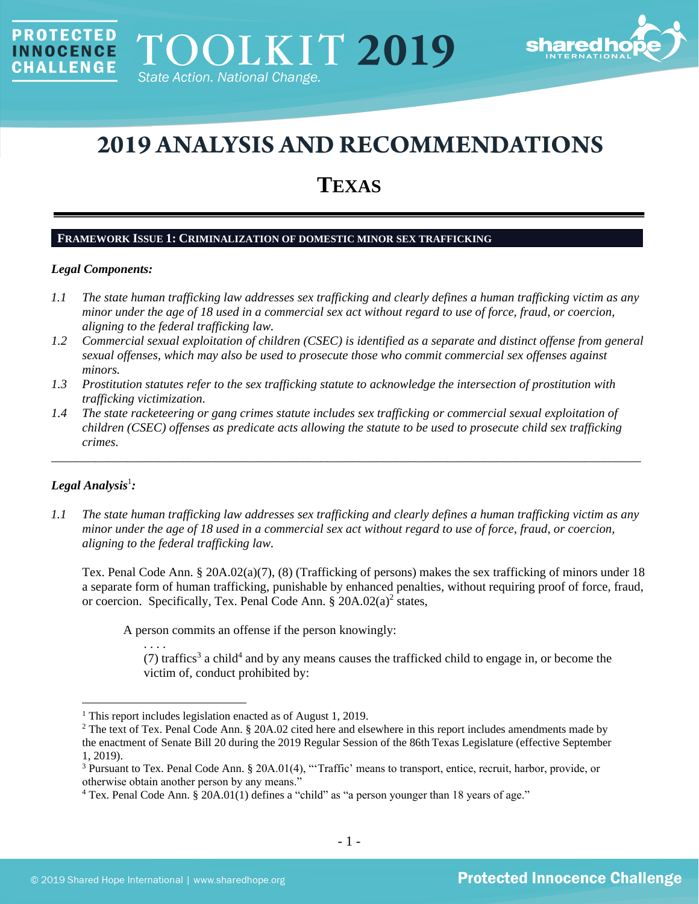

# **2019 ANALYSIS AND RECOMMENDATIONS**

## **TEXAS**

## **FRAMEWORK ISSUE 1: CRIMINALIZATION OF DOMESTIC MINOR SEX TRAFFICKING**

## *Legal Components:*

PROTECTED

**INNOCENCE CHALLENGE** 

- *1.1 The state human trafficking law addresses sex trafficking and clearly defines a human trafficking victim as any minor under the age of 18 used in a commercial sex act without regard to use of force, fraud, or coercion, aligning to the federal trafficking law.*
- *1.2 Commercial sexual exploitation of children (CSEC) is identified as a separate and distinct offense from general sexual offenses, which may also be used to prosecute those who commit commercial sex offenses against minors.*
- *1.3 Prostitution statutes refer to the sex trafficking statute to acknowledge the intersection of prostitution with trafficking victimization.*
- *1.4 The state racketeering or gang crimes statute includes sex trafficking or commercial sexual exploitation of children (CSEC) offenses as predicate acts allowing the statute to be used to prosecute child sex trafficking crimes.*

\_\_\_\_\_\_\_\_\_\_\_\_\_\_\_\_\_\_\_\_\_\_\_\_\_\_\_\_\_\_\_\_\_\_\_\_\_\_\_\_\_\_\_\_\_\_\_\_\_\_\_\_\_\_\_\_\_\_\_\_\_\_\_\_\_\_\_\_\_\_\_\_\_\_\_\_\_\_\_\_\_\_\_\_\_\_\_\_\_\_\_\_\_\_

## $Legal$  Analysis<sup>1</sup>:

*1.1 The state human trafficking law addresses sex trafficking and clearly defines a human trafficking victim as any minor under the age of 18 used in a commercial sex act without regard to use of force, fraud, or coercion, aligning to the federal trafficking law.*

Tex. Penal Code Ann. § 20A.02(a)(7), (8) (Trafficking of persons) makes the sex trafficking of minors under 18 a separate form of human trafficking, punishable by enhanced penalties, without requiring proof of force, fraud, or coercion. Specifically, Tex. Penal Code Ann.  $\S 20A.02(a)^2$  states,

A person commits an offense if the person knowingly:

<span id="page-0-0"></span>. . . . (7) traffics<sup>3</sup> a child<sup>4</sup> and by any means causes the trafficked child to engage in, or become the victim of, conduct prohibited by:

<sup>&</sup>lt;sup>1</sup> This report includes legislation enacted as of August 1, 2019.

<sup>&</sup>lt;sup>2</sup> The text of Tex. Penal Code Ann. § 20A.02 cited here and elsewhere in this report includes amendments made by the enactment of Senate Bill 20 during the 2019 Regular Session of the 86th Texas Legislature (effective September 1, 2019).

<sup>3</sup> Pursuant to Tex. Penal Code Ann. § 20A.01(4), "'Traffic' means to transport, entice, recruit, harbor, provide, or otherwise obtain another person by any means."

<sup>4</sup> Tex. Penal Code Ann. § 20A.01(1) defines a "child" as "a person younger than 18 years of age."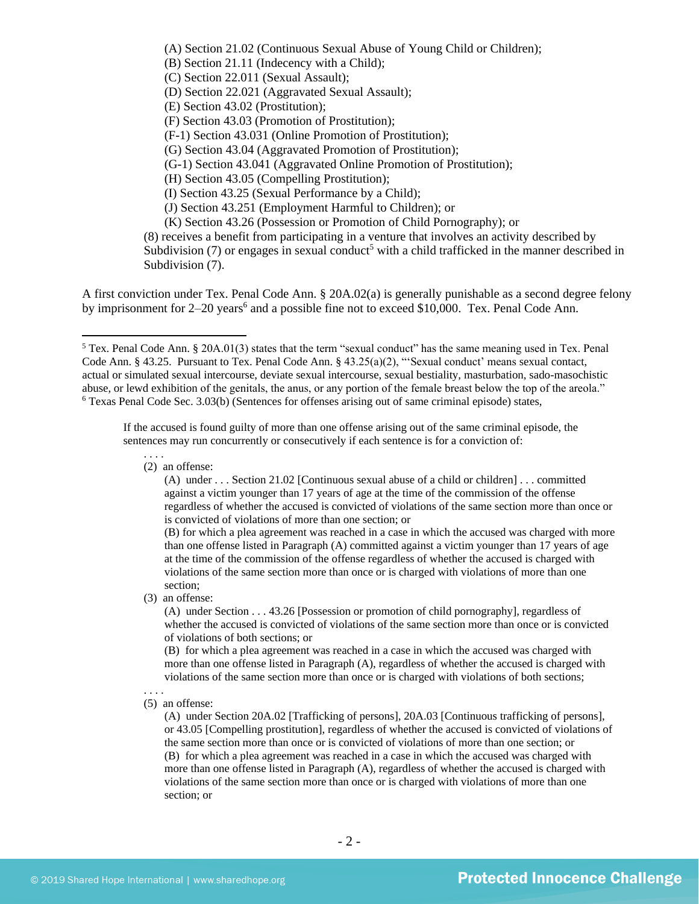(A) Section 21.02 (Continuous Sexual Abuse of Young Child or Children); (B) Section 21.11 (Indecency with a Child); (C) Section 22.011 (Sexual Assault); (D) Section 22.021 (Aggravated Sexual Assault); (E) Section 43.02 (Prostitution); (F) Section 43.03 (Promotion of Prostitution); (F-1) Section 43.031 (Online Promotion of Prostitution); (G) Section 43.04 (Aggravated Promotion of Prostitution); (G-1) Section 43.041 (Aggravated Online Promotion of Prostitution); (H) Section 43.05 (Compelling Prostitution); (I) Section 43.25 (Sexual Performance by a Child); (J) Section 43.251 (Employment Harmful to Children); or (K) Section 43.26 (Possession or Promotion of Child Pornography); or (8) receives a benefit from participating in a venture that involves an activity described by Subdivision (7) or engages in sexual conduct<sup>5</sup> with a child trafficked in the manner described in Subdivision (7).

<span id="page-1-1"></span><span id="page-1-0"></span>A first conviction under Tex. Penal Code Ann. § 20A.02(a) is generally punishable as a second degree felony by imprisonment for  $2-20$  years<sup>6</sup> and a possible fine not to exceed \$10,000. Tex. Penal Code Ann.

If the accused is found guilty of more than one offense arising out of the same criminal episode, the sentences may run concurrently or consecutively if each sentence is for a conviction of:

(2) an offense:

. . . .

(A) under . . . Section 21.02 [Continuous sexual abuse of a child or children] . . . committed against a victim younger than 17 years of age at the time of the commission of the offense regardless of whether the accused is convicted of violations of the same section more than once or is convicted of violations of more than one section; or

(B) for which a plea agreement was reached in a case in which the accused was charged with more than one offense listed in Paragraph (A) committed against a victim younger than 17 years of age at the time of the commission of the offense regardless of whether the accused is charged with violations of the same section more than once or is charged with violations of more than one section;

(3) an offense:

(A) under Section . . . 43.26 [Possession or promotion of child pornography], regardless of whether the accused is convicted of violations of the same section more than once or is convicted of violations of both sections; or

(B) for which a plea agreement was reached in a case in which the accused was charged with more than one offense listed in Paragraph (A), regardless of whether the accused is charged with violations of the same section more than once or is charged with violations of both sections;

. . . . (5) an offense:

> (A) under Section 20A.02 [Trafficking of persons], 20A.03 [Continuous trafficking of persons], or 43.05 [Compelling prostitution], regardless of whether the accused is convicted of violations of the same section more than once or is convicted of violations of more than one section; or (B) for which a plea agreement was reached in a case in which the accused was charged with more than one offense listed in Paragraph (A), regardless of whether the accused is charged with violations of the same section more than once or is charged with violations of more than one section; or

 $5$  Tex. Penal Code Ann. § 20A.01(3) states that the term "sexual conduct" has the same meaning used in Tex. Penal Code Ann. § 43.25. Pursuant to Tex. Penal Code Ann. § 43.25(a)(2), "'Sexual conduct' means sexual contact, actual or simulated sexual intercourse, deviate sexual intercourse, sexual bestiality, masturbation, sado-masochistic abuse, or lewd exhibition of the genitals, the anus, or any portion of the female breast below the top of the areola." <sup>6</sup> Texas Penal Code Sec. 3.03(b) (Sentences for offenses arising out of same criminal episode) states,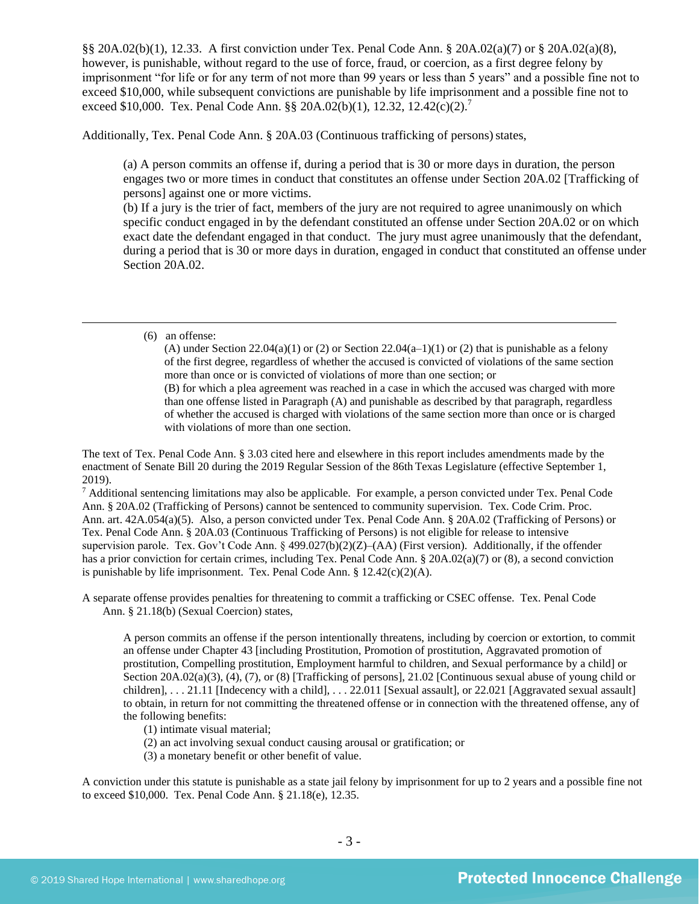§§ 20A.02(b)(1), 12.33. A first conviction under Tex. Penal Code Ann. § 20A.02(a)(7) or § 20A.02(a)(8), however, is punishable, without regard to the use of force, fraud, or coercion, as a first degree felony by imprisonment "for life or for any term of not more than 99 years or less than 5 years" and a possible fine not to exceed \$10,000, while subsequent convictions are punishable by life imprisonment and a possible fine not to exceed \$10,000. Tex. Penal Code Ann. §§ 20A.02(b)(1), 12.32, 12.42(c)(2).<sup>7</sup>

Additionally, Tex. Penal Code Ann. § 20A.03 (Continuous trafficking of persons) states,

<span id="page-2-0"></span>(a) A person commits an offense if, during a period that is 30 or more days in duration, the person engages two or more times in conduct that constitutes an offense under Section 20A.02 [Trafficking of persons] against one or more victims.

(b) If a jury is the trier of fact, members of the jury are not required to agree unanimously on which specific conduct engaged in by the defendant constituted an offense under Section 20A.02 or on which exact date the defendant engaged in that conduct. The jury must agree unanimously that the defendant, during a period that is 30 or more days in duration, engaged in conduct that constituted an offense under Section 20A.02.

(6) an offense:

(A) under Section 22.04(a)(1) or (2) or Section 22.04(a–1)(1) or (2) that is punishable as a felony of the first degree, regardless of whether the accused is convicted of violations of the same section more than once or is convicted of violations of more than one section; or

(B) for which a plea agreement was reached in a case in which the accused was charged with more than one offense listed in Paragraph (A) and punishable as described by that paragraph, regardless of whether the accused is charged with violations of the same section more than once or is charged with violations of more than one section.

The text of Tex. Penal Code Ann. § 3.03 cited here and elsewhere in this report includes amendments made by the enactment of Senate Bill 20 during the 2019 Regular Session of the 86th Texas Legislature (effective September 1, 2019).

<sup>7</sup> Additional sentencing limitations may also be applicable. For example, a person convicted under Tex. Penal Code Ann. § 20A.02 (Trafficking of Persons) cannot be sentenced to community supervision. Tex. Code Crim. Proc. Ann. art. 42A.054(a)(5). Also, a person convicted under Tex. Penal Code Ann. § 20A.02 (Trafficking of Persons) or Tex. Penal Code Ann. § 20A.03 (Continuous Trafficking of Persons) is not eligible for release to intensive supervision parole. Tex. Gov't Code Ann. § 499.027(b)(2)(Z)–(AA) (First version). Additionally, if the offender has a prior conviction for certain crimes, including Tex. Penal Code Ann. § 20A.02(a)(7) or (8), a second conviction is punishable by life imprisonment. Tex. Penal Code Ann. § 12.42(c)(2)(A).

A separate offense provides penalties for threatening to commit a trafficking or CSEC offense. Tex. Penal Code Ann. § 21.18(b) (Sexual Coercion) states,

A person commits an offense if the person intentionally threatens, including by coercion or extortion, to commit an offense under Chapter 43 [including Prostitution, Promotion of prostitution, Aggravated promotion of prostitution, Compelling prostitution, Employment harmful to children, and Sexual performance by a child] or Section 20A.02(a)(3), (4), (7), or (8) [Trafficking of persons], 21.02 [Continuous sexual abuse of young child or children], . . . 21.11 [Indecency with a child], . . . 22.011 [Sexual assault], or 22.021 [Aggravated sexual assault] to obtain, in return for not committing the threatened offense or in connection with the threatened offense, any of the following benefits:

(1) intimate visual material;

(2) an act involving sexual conduct causing arousal or gratification; or

(3) a monetary benefit or other benefit of value.

A conviction under this statute is punishable as a state jail felony by imprisonment for up to 2 years and a possible fine not to exceed \$10,000. Tex. Penal Code Ann. § 21.18(e), 12.35.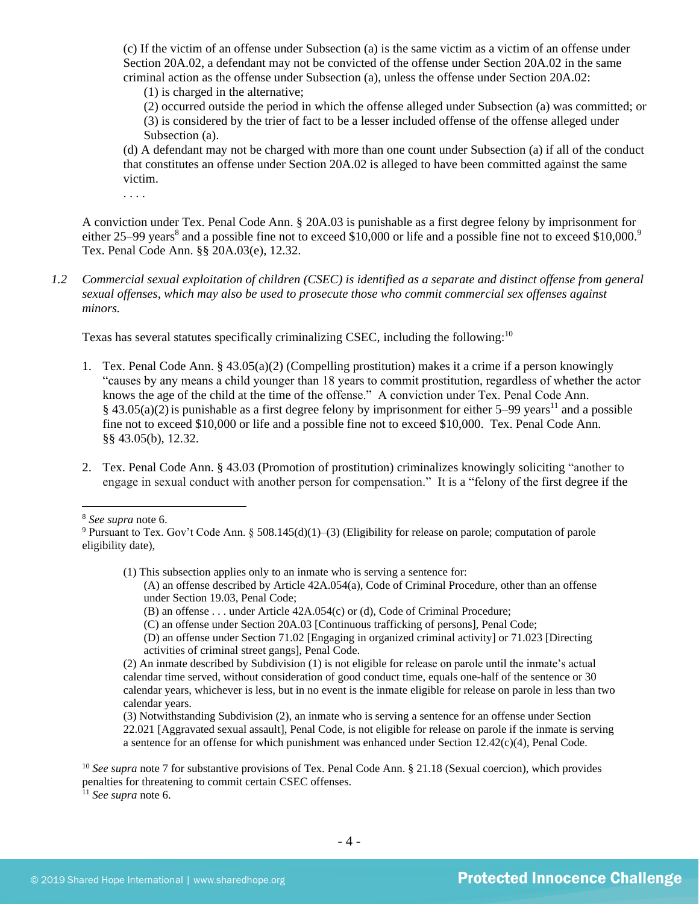(c) If the victim of an offense under Subsection (a) is the same victim as a victim of an offense under Section 20A.02, a defendant may not be convicted of the offense under Section 20A.02 in the same criminal action as the offense under Subsection (a), unless the offense under Section 20A.02:

(1) is charged in the alternative;

<span id="page-3-0"></span>(2) occurred outside the period in which the offense alleged under Subsection (a) was committed; or (3) is considered by the trier of fact to be a lesser included offense of the offense alleged under Subsection (a).

(d) A defendant may not be charged with more than one count under Subsection (a) if all of the conduct that constitutes an offense under Section 20A.02 is alleged to have been committed against the same victim.

. . . .

A conviction under Tex. Penal Code Ann. § 20A.03 is punishable as a first degree felony by imprisonment for either 25–99 years<sup>8</sup> and a possible fine not to exceed \$10,000 or life and a possible fine not to exceed \$10,000.<sup>9</sup> Tex. Penal Code Ann. §§ 20A.03(e), 12.32.

*1.2 Commercial sexual exploitation of children (CSEC) is identified as a separate and distinct offense from general sexual offenses, which may also be used to prosecute those who commit commercial sex offenses against minors.*

Texas has several statutes specifically criminalizing CSEC, including the following:<sup>10</sup>

- 1. Tex. Penal Code Ann. § 43.05(a)(2) (Compelling prostitution) makes it a crime if a person knowingly "causes by any means a child younger than 18 years to commit prostitution, regardless of whether the actor knows the age of the child at the time of the offense." A conviction under Tex. Penal Code Ann. § 43.05(a)(2) is punishable as a first degree felony by imprisonment for either 5–99 years<sup>11</sup> and a possible fine not to exceed \$10,000 or life and a possible fine not to exceed \$10,000. Tex. Penal Code Ann. §§ 43.05(b), 12.32.
- 2. Tex. Penal Code Ann. § 43.03 (Promotion of prostitution) criminalizes knowingly soliciting "another to engage in sexual conduct with another person for compensation." It is a "felony of the first degree if the

(1) This subsection applies only to an inmate who is serving a sentence for:

(A) an offense described by Article 42A.054(a), Code of Criminal Procedure, other than an offense under Section 19.03, Penal Code;

(B) an offense . . . under Article 42A.054(c) or (d), Code of Criminal Procedure;

(C) an offense under Section 20A.03 [Continuous trafficking of persons], Penal Code;

(D) an offense under Section 71.02 [Engaging in organized criminal activity] or 71.023 [Directing activities of criminal street gangs], Penal Code.

(2) An inmate described by Subdivision (1) is not eligible for release on parole until the inmate's actual calendar time served, without consideration of good conduct time, equals one-half of the sentence or 30 calendar years, whichever is less, but in no event is the inmate eligible for release on parole in less than two calendar years.

(3) Notwithstanding Subdivision (2), an inmate who is serving a sentence for an offense under Section 22.021 [Aggravated sexual assault], Penal Code, is not eligible for release on parole if the inmate is serving a sentence for an offense for which punishment was enhanced under Section 12.42(c)(4), Penal Code.

<sup>8</sup> *See supra* note [6.](#page-1-0)

<sup>9</sup> Pursuant to Tex. Gov't Code Ann. § 508.145(d)(1)–(3) (Eligibility for release on parole; computation of parole eligibility date),

<sup>&</sup>lt;sup>10</sup> *See supra* note [7](#page-2-0) for substantive provisions of Tex. Penal Code Ann. § 21.18 (Sexual coercion), which provides penalties for threatening to commit certain CSEC offenses.

<sup>11</sup> *See supra* note [6.](#page-1-0)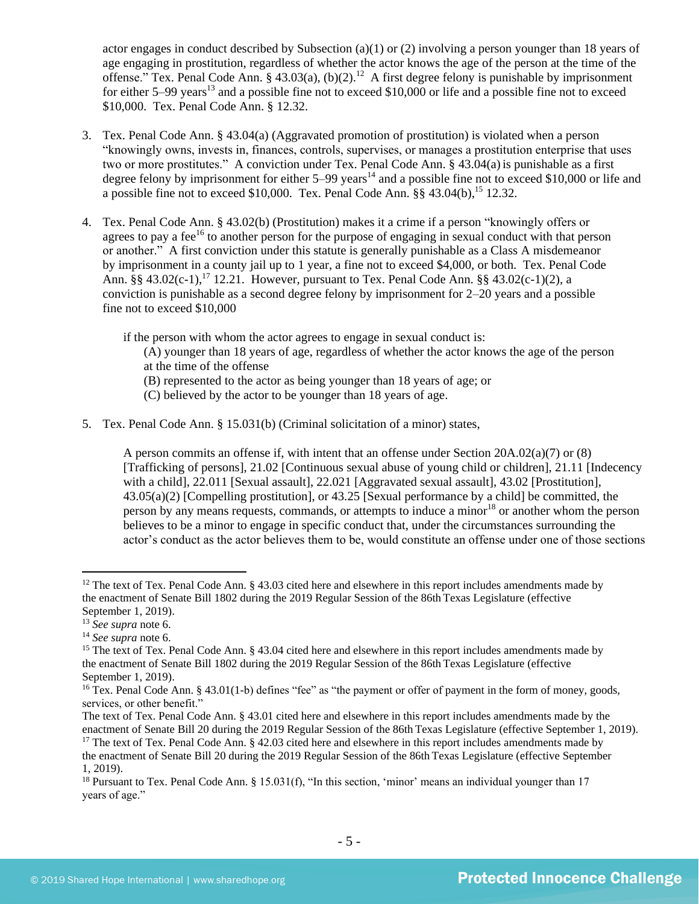<span id="page-4-2"></span>actor engages in conduct described by Subsection (a)(1) or (2) involving a person younger than 18 years of age engaging in prostitution, regardless of whether the actor knows the age of the person at the time of the offense." Tex. Penal Code Ann. § 43.03(a),  $(b)(2)$ .<sup>12</sup> A first degree felony is punishable by imprisonment for either 5–99 years<sup>13</sup> and a possible fine not to exceed \$10,000 or life and a possible fine not to exceed \$10,000. Tex. Penal Code Ann. § 12.32.

- 3. Tex. Penal Code Ann. § 43.04(a) (Aggravated promotion of prostitution) is violated when a person "knowingly owns, invests in, finances, controls, supervises, or manages a prostitution enterprise that uses two or more prostitutes." A conviction under Tex. Penal Code Ann. § 43.04(a) is punishable as a first degree felony by imprisonment for either  $5-99$  years<sup>14</sup> and a possible fine not to exceed \$10,000 or life and a possible fine not to exceed \$10,000. Tex. Penal Code Ann.  $\S$ § 43.04(b), <sup>15</sup> 12.32.
- 4. Tex. Penal Code Ann. § 43.02(b) (Prostitution) makes it a crime if a person "knowingly offers or agrees to pay a fee $16$  to another person for the purpose of engaging in sexual conduct with that person or another." A first conviction under this statute is generally punishable as a Class A misdemeanor by imprisonment in a county jail up to 1 year, a fine not to exceed \$4,000, or both. Tex. Penal Code Ann. §§  $43.02(c-1)$ ,<sup>17</sup> 12.21. However, pursuant to Tex. Penal Code Ann. §§  $43.02(c-1)(2)$ , a conviction is punishable as a second degree felony by imprisonment for 2–20 years and a possible fine not to exceed \$10,000

if the person with whom the actor agrees to engage in sexual conduct is:

- <span id="page-4-3"></span><span id="page-4-0"></span>(A) younger than 18 years of age, regardless of whether the actor knows the age of the person at the time of the offense
- (B) represented to the actor as being younger than 18 years of age; or
- <span id="page-4-1"></span>(C) believed by the actor to be younger than 18 years of age.
- 5. Tex. Penal Code Ann. § 15.031(b) (Criminal solicitation of a minor) states,

A person commits an offense if, with intent that an offense under Section 20A.02(a)(7) or (8) [Trafficking of persons], 21.02 [Continuous sexual abuse of young child or children], 21.11 [Indecency with a child], 22.011 [Sexual assault], 22.021 [Aggravated sexual assault], 43.02 [Prostitution], 43.05(a)(2) [Compelling prostitution], or 43.25 [Sexual performance by a child] be committed, the person by any means requests, commands, or attempts to induce a minor<sup>18</sup> or another whom the person believes to be a minor to engage in specific conduct that, under the circumstances surrounding the actor's conduct as the actor believes them to be, would constitute an offense under one of those sections

<sup>&</sup>lt;sup>12</sup> The text of Tex. Penal Code Ann. § 43.03 cited here and elsewhere in this report includes amendments made by the enactment of Senate Bill 1802 during the 2019 Regular Session of the 86th Texas Legislature (effective September 1, 2019).

<sup>13</sup> *See supra* note [6.](#page-1-0)

<sup>14</sup> *See supra* note [6.](#page-1-0)

<sup>&</sup>lt;sup>15</sup> The text of Tex. Penal Code Ann. § 43.04 cited here and elsewhere in this report includes amendments made by the enactment of Senate Bill 1802 during the 2019 Regular Session of the 86th Texas Legislature (effective September 1, 2019).

<sup>&</sup>lt;sup>16</sup> Tex. Penal Code Ann. § 43.01(1-b) defines "fee" as "the payment or offer of payment in the form of money, goods, services, or other benefit."

The text of Tex. Penal Code Ann. § 43.01 cited here and elsewhere in this report includes amendments made by the enactment of Senate Bill 20 during the 2019 Regular Session of the 86th Texas Legislature (effective September 1, 2019).

<sup>&</sup>lt;sup>17</sup> The text of Tex. Penal Code Ann. § 42.03 cited here and elsewhere in this report includes amendments made by the enactment of Senate Bill 20 during the 2019 Regular Session of the 86th Texas Legislature (effective September 1, 2019).

<sup>&</sup>lt;sup>18</sup> Pursuant to Tex. Penal Code Ann. § 15.031(f), "In this section, 'minor' means an individual younger than 17 years of age."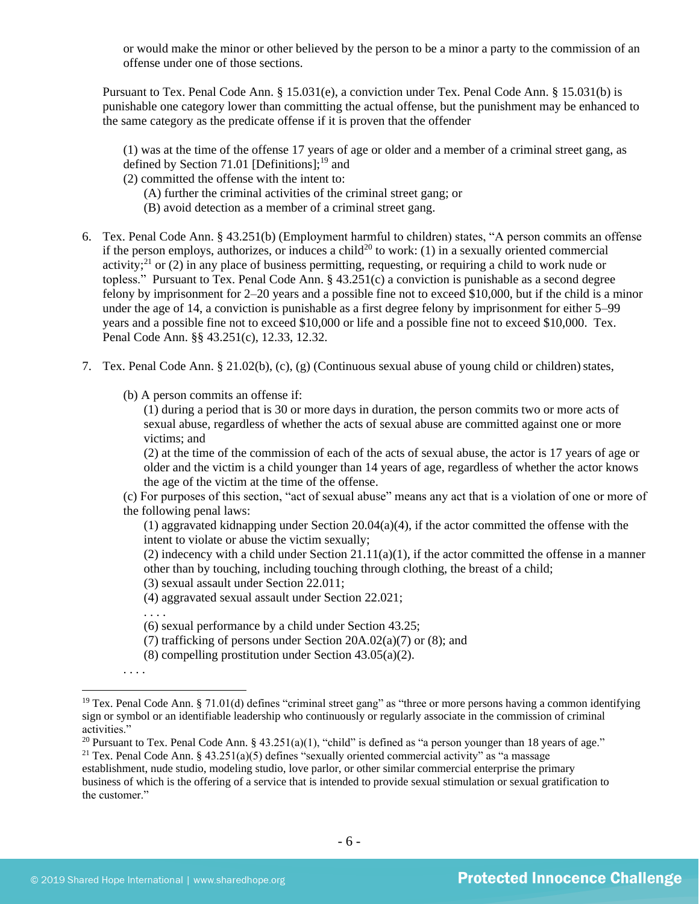or would make the minor or other believed by the person to be a minor a party to the commission of an offense under one of those sections.

Pursuant to Tex. Penal Code Ann. § 15.031(e), a conviction under Tex. Penal Code Ann. § 15.031(b) is punishable one category lower than committing the actual offense, but the punishment may be enhanced to the same category as the predicate offense if it is proven that the offender

<span id="page-5-0"></span>(1) was at the time of the offense 17 years of age or older and a member of a criminal street gang, as defined by Section 71.01 [Definitions]; $^{19}$  and

- (2) committed the offense with the intent to:
	- (A) further the criminal activities of the criminal street gang; or
	- (B) avoid detection as a member of a criminal street gang.
- 6. Tex. Penal Code Ann. § 43.251(b) (Employment harmful to children) states, "A person commits an offense if the person employs, authorizes, or induces a child<sup>20</sup> to work: (1) in a sexually oriented commercial activity;<sup>21</sup> or (2) in any place of business permitting, requesting, or requiring a child to work nude or topless." Pursuant to Tex. Penal Code Ann. § 43.251(c) a conviction is punishable as a second degree felony by imprisonment for 2–20 years and a possible fine not to exceed \$10,000, but if the child is a minor under the age of 14, a conviction is punishable as a first degree felony by imprisonment for either 5–99 years and a possible fine not to exceed \$10,000 or life and a possible fine not to exceed \$10,000. Tex. Penal Code Ann. §§ 43.251(c), 12.33, 12.32.
- 7. Tex. Penal Code Ann. § 21.02(b), (c), (g) (Continuous sexual abuse of young child or children) states,

(b) A person commits an offense if:

(1) during a period that is 30 or more days in duration, the person commits two or more acts of sexual abuse, regardless of whether the acts of sexual abuse are committed against one or more victims; and

(2) at the time of the commission of each of the acts of sexual abuse, the actor is 17 years of age or older and the victim is a child younger than 14 years of age, regardless of whether the actor knows the age of the victim at the time of the offense.

(c) For purposes of this section, "act of sexual abuse" means any act that is a violation of one or more of the following penal laws:

(1) aggravated kidnapping under Section 20.04(a)(4), if the actor committed the offense with the intent to violate or abuse the victim sexually;

(2) indecency with a child under Section  $21.11(a)(1)$ , if the actor committed the offense in a manner other than by touching, including touching through clothing, the breast of a child;

(3) sexual assault under Section 22.011;

(4) aggravated sexual assault under Section 22.021;

. . . .

(6) sexual performance by a child under Section 43.25;

(7) trafficking of persons under Section 20A.02(a)(7) or (8); and

(8) compelling prostitution under Section 43.05(a)(2).

. . . .

 $19$  Tex. Penal Code Ann. § 71.01(d) defines "criminal street gang" as "three or more persons having a common identifying sign or symbol or an identifiable leadership who continuously or regularly associate in the commission of criminal activities."

<sup>&</sup>lt;sup>20</sup> Pursuant to Tex. Penal Code Ann. §  $43.251(a)(1)$ , "child" is defined as "a person younger than 18 years of age." <sup>21</sup> Tex. Penal Code Ann. § 43.251(a)(5) defines "sexually oriented commercial activity" as "a massage

establishment, nude studio, modeling studio, love parlor, or other similar commercial enterprise the primary business of which is the offering of a service that is intended to provide sexual stimulation or sexual gratification to the customer."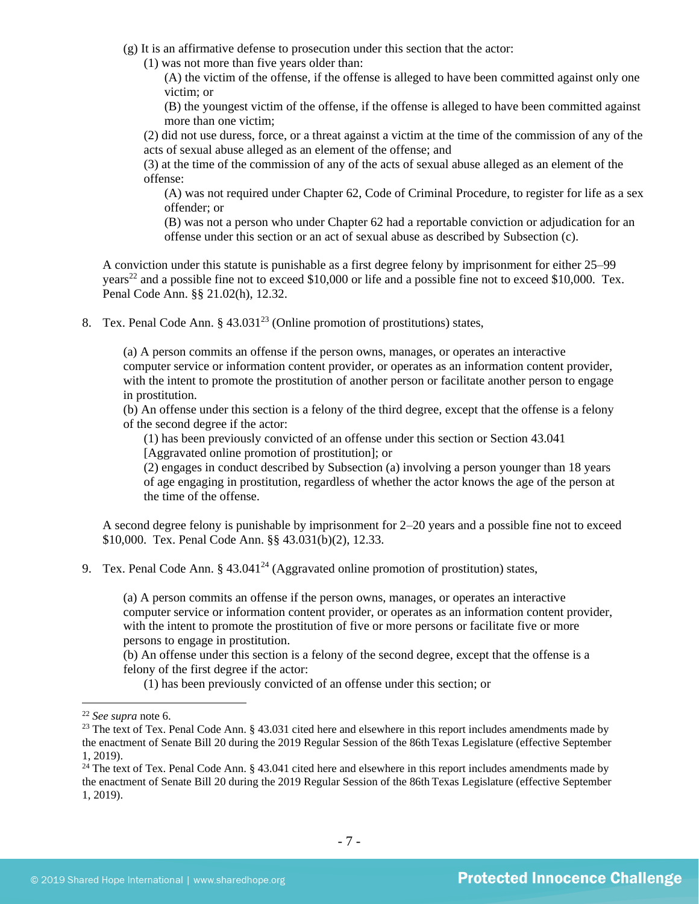- (g) It is an affirmative defense to prosecution under this section that the actor:
	- (1) was not more than five years older than:

(A) the victim of the offense, if the offense is alleged to have been committed against only one victim; or

(B) the youngest victim of the offense, if the offense is alleged to have been committed against more than one victim;

(2) did not use duress, force, or a threat against a victim at the time of the commission of any of the acts of sexual abuse alleged as an element of the offense; and

(3) at the time of the commission of any of the acts of sexual abuse alleged as an element of the offense:

(A) was not required under Chapter 62, Code of Criminal Procedure, to register for life as a sex offender; or

<span id="page-6-0"></span>(B) was not a person who under Chapter 62 had a reportable conviction or adjudication for an offense under this section or an act of sexual abuse as described by Subsection (c).

A conviction under this statute is punishable as a first degree felony by imprisonment for either 25–99 years<sup>22</sup> and a possible fine not to exceed \$10,000 or life and a possible fine not to exceed \$10,000. Tex. Penal Code Ann. §§ 21.02(h), 12.32.

8. Tex. Penal Code Ann.  $\S$  43.031<sup>23</sup> (Online promotion of prostitutions) states,

(a) A person commits an offense if the person owns, manages, or operates an interactive computer service or information content provider, or operates as an information content provider, with the intent to promote the prostitution of another person or facilitate another person to engage in prostitution.

(b) An offense under this section is a felony of the third degree, except that the offense is a felony of the second degree if the actor:

(1) has been previously convicted of an offense under this section or Section 43.041

[Aggravated online promotion of prostitution]; or

(2) engages in conduct described by Subsection (a) involving a person younger than 18 years of age engaging in prostitution, regardless of whether the actor knows the age of the person at the time of the offense.

A second degree felony is punishable by imprisonment for 2–20 years and a possible fine not to exceed \$10,000. Tex. Penal Code Ann. §§ 43.031(b)(2), 12.33.

9. Tex. Penal Code Ann.  $\S 43.041<sup>24</sup>$  (Aggravated online promotion of prostitution) states,

(a) A person commits an offense if the person owns, manages, or operates an interactive computer service or information content provider, or operates as an information content provider, with the intent to promote the prostitution of five or more persons or facilitate five or more persons to engage in prostitution.

(b) An offense under this section is a felony of the second degree, except that the offense is a felony of the first degree if the actor:

(1) has been previously convicted of an offense under this section; or

<sup>22</sup> *See supra* note [6.](#page-1-0)

<sup>&</sup>lt;sup>23</sup> The text of Tex. Penal Code Ann. § 43.031 cited here and elsewhere in this report includes amendments made by the enactment of Senate Bill 20 during the 2019 Regular Session of the 86th Texas Legislature (effective September 1, 2019).

<sup>&</sup>lt;sup>24</sup> The text of Tex. Penal Code Ann.  $\frac{124}{10}$  cited here and elsewhere in this report includes amendments made by the enactment of Senate Bill 20 during the 2019 Regular Session of the 86th Texas Legislature (effective September 1, 2019).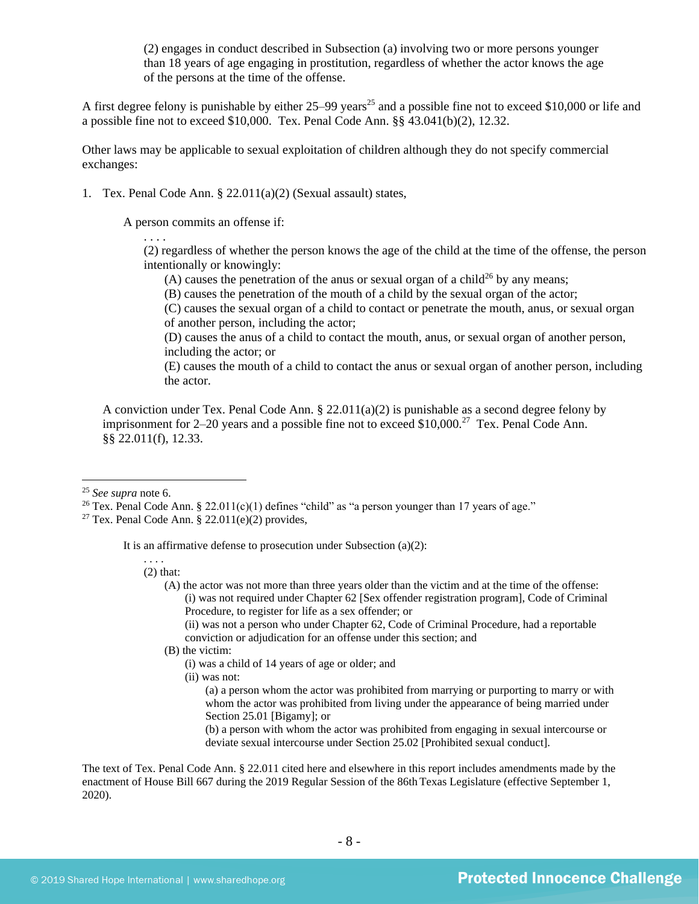(2) engages in conduct described in Subsection (a) involving two or more persons younger than 18 years of age engaging in prostitution, regardless of whether the actor knows the age of the persons at the time of the offense.

A first degree felony is punishable by either  $25-99$  years<sup>25</sup> and a possible fine not to exceed \$10,000 or life and a possible fine not to exceed \$10,000. Tex. Penal Code Ann. §§ 43.041(b)(2), 12.32.

Other laws may be applicable to sexual exploitation of children although they do not specify commercial exchanges:

1. Tex. Penal Code Ann. § 22.011(a)(2) (Sexual assault) states,

A person commits an offense if:

. . . .

(2) regardless of whether the person knows the age of the child at the time of the offense, the person intentionally or knowingly:

(A) causes the penetration of the anus or sexual organ of a child<sup>26</sup> by any means;

(B) causes the penetration of the mouth of a child by the sexual organ of the actor;

(C) causes the sexual organ of a child to contact or penetrate the mouth, anus, or sexual organ of another person, including the actor;

(D) causes the anus of a child to contact the mouth, anus, or sexual organ of another person, including the actor; or

(E) causes the mouth of a child to contact the anus or sexual organ of another person, including the actor.

A conviction under Tex. Penal Code Ann. § 22.011(a)(2) is punishable as a second degree felony by imprisonment for 2–20 years and a possible fine not to exceed \$10,000.<sup>27</sup> Tex. Penal Code Ann. §§ 22.011(f), 12.33.

<sup>25</sup> *See supra* note [6.](#page-1-0)

<sup>26</sup> Tex. Penal Code Ann. § 22.011(c)(1) defines "child" as "a person younger than 17 years of age."

It is an affirmative defense to prosecution under Subsection (a)(2):

. . . . (2) that:

> (A) the actor was not more than three years older than the victim and at the time of the offense: (i) was not required under Chapter 62 [Sex offender registration program], Code of Criminal Procedure, to register for life as a sex offender; or

(ii) was not a person who under Chapter 62, Code of Criminal Procedure, had a reportable conviction or adjudication for an offense under this section; and

(B) the victim:

(i) was a child of 14 years of age or older; and

(ii) was not:

(a) a person whom the actor was prohibited from marrying or purporting to marry or with whom the actor was prohibited from living under the appearance of being married under Section 25.01 [Bigamy]; or

(b) a person with whom the actor was prohibited from engaging in sexual intercourse or deviate sexual intercourse under Section 25.02 [Prohibited sexual conduct].

The text of Tex. Penal Code Ann. § 22.011 cited here and elsewhere in this report includes amendments made by the enactment of House Bill 667 during the 2019 Regular Session of the 86th Texas Legislature (effective September 1, 2020).

<sup>&</sup>lt;sup>27</sup> Tex. Penal Code Ann. § 22.011(e)(2) provides,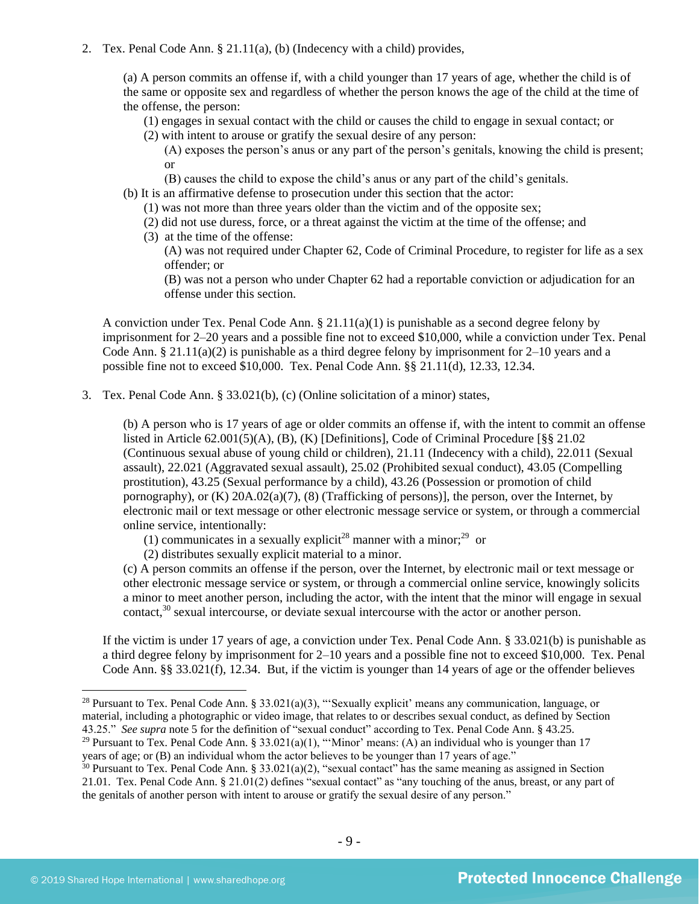2. Tex. Penal Code Ann. § 21.11(a), (b) (Indecency with a child) provides,

(a) A person commits an offense if, with a child younger than 17 years of age, whether the child is of the same or opposite sex and regardless of whether the person knows the age of the child at the time of the offense, the person:

(1) engages in sexual contact with the child or causes the child to engage in sexual contact; or

(2) with intent to arouse or gratify the sexual desire of any person:

(A) exposes the person's anus or any part of the person's genitals, knowing the child is present; or

- (B) causes the child to expose the child's anus or any part of the child's genitals.
- (b) It is an affirmative defense to prosecution under this section that the actor:
	- (1) was not more than three years older than the victim and of the opposite sex;
	- (2) did not use duress, force, or a threat against the victim at the time of the offense; and
	- (3) at the time of the offense:
		- (A) was not required under Chapter 62, Code of Criminal Procedure, to register for life as a sex offender; or

(B) was not a person who under Chapter 62 had a reportable conviction or adjudication for an offense under this section.

A conviction under Tex. Penal Code Ann.  $\S 21.11(a)(1)$  is punishable as a second degree felony by imprisonment for 2–20 years and a possible fine not to exceed \$10,000, while a conviction under Tex. Penal Code Ann. § 21.11(a)(2) is punishable as a third degree felony by imprisonment for 2–10 years and a possible fine not to exceed \$10,000. Tex. Penal Code Ann. §§ 21.11(d), 12.33, 12.34.

3. Tex. Penal Code Ann. § 33.021(b), (c) (Online solicitation of a minor) states,

(b) A person who is 17 years of age or older commits an offense if, with the intent to commit an offense listed in Article 62.001(5)(A), (B), (K) [Definitions], Code of Criminal Procedure [§§ 21.02 (Continuous sexual abuse of young child or children), 21.11 (Indecency with a child), 22.011 (Sexual assault), 22.021 (Aggravated sexual assault), 25.02 (Prohibited sexual conduct), 43.05 (Compelling prostitution), 43.25 (Sexual performance by a child), 43.26 (Possession or promotion of child pornography), or (K) 20A.02(a)(7), (8) (Trafficking of persons)], the person, over the Internet, by electronic mail or text message or other electronic message service or system, or through a commercial online service, intentionally:

<span id="page-8-1"></span><span id="page-8-0"></span>(1) communicates in a sexually explicit<sup>28</sup> manner with a minor;<sup>29</sup> or

(2) distributes sexually explicit material to a minor.

<span id="page-8-2"></span>(c) A person commits an offense if the person, over the Internet, by electronic mail or text message or other electronic message service or system, or through a commercial online service, knowingly solicits a minor to meet another person, including the actor, with the intent that the minor will engage in sexual contact, $30$  sexual intercourse, or deviate sexual intercourse with the actor or another person.

If the victim is under 17 years of age, a conviction under Tex. Penal Code Ann. § 33.021(b) is punishable as a third degree felony by imprisonment for 2–10 years and a possible fine not to exceed \$10,000. Tex. Penal Code Ann. §§ 33.021(f), 12.34. But, if the victim is younger than 14 years of age or the offender believes

<sup>&</sup>lt;sup>28</sup> Pursuant to Tex. Penal Code Ann. § 33.021(a)(3), "'Sexually explicit' means any communication, language, or material, including a photographic or video image, that relates to or describes sexual conduct, as defined by Section 43.25." *See supra* note [5](#page-1-1) for the definition of "sexual conduct" according to Tex. Penal Code Ann. § 43.25.

<sup>&</sup>lt;sup>29</sup> Pursuant to Tex. Penal Code Ann. § 33.021(a)(1), "'Minor' means: (A) an individual who is younger than 17 years of age; or (B) an individual whom the actor believes to be younger than 17 years of age."

<sup>&</sup>lt;sup>30</sup> Pursuant to Tex. Penal Code Ann. § 33.021(a)(2), "sexual contact" has the same meaning as assigned in Section 21.01. Tex. Penal Code Ann. § 21.01(2) defines "sexual contact" as "any touching of the anus, breast, or any part of the genitals of another person with intent to arouse or gratify the sexual desire of any person."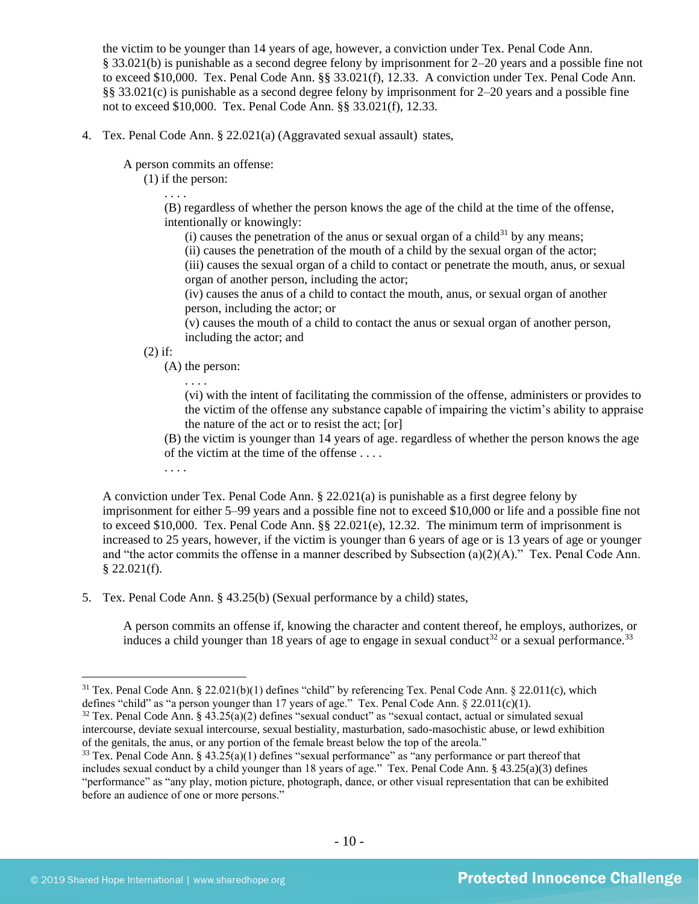the victim to be younger than 14 years of age, however, a conviction under Tex. Penal Code Ann. § 33.021(b) is punishable as a second degree felony by imprisonment for 2–20 years and a possible fine not to exceed \$10,000. Tex. Penal Code Ann. §§ 33.021(f), 12.33. A conviction under Tex. Penal Code Ann. §§ 33.021(c) is punishable as a second degree felony by imprisonment for 2–20 years and a possible fine not to exceed \$10,000. Tex. Penal Code Ann. §§ 33.021(f), 12.33.

4. Tex. Penal Code Ann. § 22.021(a) (Aggravated sexual assault) states,

A person commits an offense:

(1) if the person:

. . . .

(B) regardless of whether the person knows the age of the child at the time of the offense, intentionally or knowingly:

(i) causes the penetration of the anus or sexual organ of a child<sup>31</sup> by any means;

(ii) causes the penetration of the mouth of a child by the sexual organ of the actor;

(iii) causes the sexual organ of a child to contact or penetrate the mouth, anus, or sexual organ of another person, including the actor;

(iv) causes the anus of a child to contact the mouth, anus, or sexual organ of another person, including the actor; or

(v) causes the mouth of a child to contact the anus or sexual organ of another person, including the actor; and

(2) if:

(A) the person: . . . .

> (vi) with the intent of facilitating the commission of the offense, administers or provides to the victim of the offense any substance capable of impairing the victim's ability to appraise the nature of the act or to resist the act; [or]

(B) the victim is younger than 14 years of age. regardless of whether the person knows the age of the victim at the time of the offense . . . .

<span id="page-9-1"></span>. . . .

A conviction under Tex. Penal Code Ann. § 22.021(a) is punishable as a first degree felony by imprisonment for either 5–99 years and a possible fine not to exceed \$10,000 or life and a possible fine not to exceed \$10,000. Tex. Penal Code Ann. §§ 22.021(e), 12.32. The minimum term of imprisonment is increased to 25 years, however, if the victim is younger than 6 years of age or is 13 years of age or younger and "the actor commits the offense in a manner described by Subsection (a)(2)(A)." Tex. Penal Code Ann.  $$22.021(f).$ 

5. Tex. Penal Code Ann. § 43.25(b) (Sexual performance by a child) states,

<span id="page-9-0"></span>A person commits an offense if, knowing the character and content thereof, he employs, authorizes, or induces a child younger than 18 years of age to engage in sexual conduct<sup>32</sup> or a sexual performance.<sup>33</sup>

 $31$  Tex. Penal Code Ann. § 22.021(b)(1) defines "child" by referencing Tex. Penal Code Ann. § 22.011(c), which defines "child" as "a person younger than 17 years of age." Tex. Penal Code Ann. § 22.011(c)(1).

<sup>32</sup> Tex. Penal Code Ann. § 43.25(a)(2) defines "sexual conduct" as "sexual contact, actual or simulated sexual intercourse, deviate sexual intercourse, sexual bestiality, masturbation, sado-masochistic abuse, or lewd exhibition of the genitals, the anus, or any portion of the female breast below the top of the areola."

 $33$  Tex. Penal Code Ann. § 43.25(a)(1) defines "sexual performance" as "any performance or part thereof that includes sexual conduct by a child younger than 18 years of age." Tex. Penal Code Ann. § 43.25(a)(3) defines "performance" as "any play, motion picture, photograph, dance, or other visual representation that can be exhibited before an audience of one or more persons."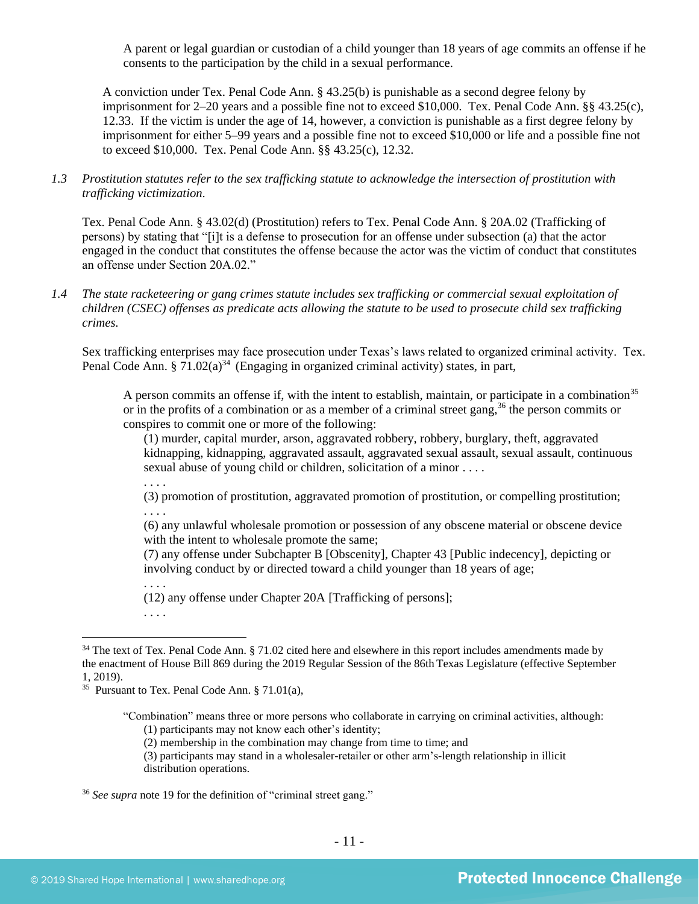A parent or legal guardian or custodian of a child younger than 18 years of age commits an offense if he consents to the participation by the child in a sexual performance.

A conviction under Tex. Penal Code Ann. § 43.25(b) is punishable as a second degree felony by imprisonment for 2–20 years and a possible fine not to exceed \$10,000. Tex. Penal Code Ann. §§ 43.25(c), 12.33. If the victim is under the age of 14, however, a conviction is punishable as a first degree felony by imprisonment for either 5–99 years and a possible fine not to exceed \$10,000 or life and a possible fine not to exceed \$10,000. Tex. Penal Code Ann. §§ 43.25(c), 12.32.

*1.3 Prostitution statutes refer to the sex trafficking statute to acknowledge the intersection of prostitution with trafficking victimization.* 

Tex. Penal Code Ann. § 43.02(d) (Prostitution) refers to Tex. Penal Code Ann. § 20A.02 (Trafficking of persons) by stating that "[i]t is a defense to prosecution for an offense under subsection (a) that the actor engaged in the conduct that constitutes the offense because the actor was the victim of conduct that constitutes an offense under Section 20A.02."

*1.4 The state racketeering or gang crimes statute includes sex trafficking or commercial sexual exploitation of children (CSEC) offenses as predicate acts allowing the statute to be used to prosecute child sex trafficking crimes.* 

Sex trafficking enterprises may face prosecution under Texas's laws related to organized criminal activity. Tex. Penal Code Ann. § 71.02(a)<sup>34</sup> (Engaging in organized criminal activity) states, in part,

<span id="page-10-0"></span>A person commits an offense if, with the intent to establish, maintain, or participate in a combination<sup>35</sup> or in the profits of a combination or as a member of a criminal street gang,  $36$  the person commits or conspires to commit one or more of the following:

<span id="page-10-1"></span>(1) murder, capital murder, arson, aggravated robbery, robbery, burglary, theft, aggravated kidnapping, kidnapping, aggravated assault, aggravated sexual assault, sexual assault, continuous sexual abuse of young child or children, solicitation of a minor . . . .

. . . .

(3) promotion of prostitution, aggravated promotion of prostitution, or compelling prostitution; . . . .

(6) any unlawful wholesale promotion or possession of any obscene material or obscene device with the intent to wholesale promote the same;

(7) any offense under Subchapter B [Obscenity], Chapter 43 [Public indecency], depicting or involving conduct by or directed toward a child younger than 18 years of age;

. . . .

(12) any offense under Chapter 20A [Trafficking of persons];

. . . .

"Combination" means three or more persons who collaborate in carrying on criminal activities, although: (1) participants may not know each other's identity;

(2) membership in the combination may change from time to time; and

(3) participants may stand in a wholesaler-retailer or other arm's-length relationship in illicit distribution operations.

 $34$  The text of Tex. Penal Code Ann. § 71.02 cited here and elsewhere in this report includes amendments made by the enactment of House Bill 869 during the 2019 Regular Session of the 86th Texas Legislature (effective September 1, 2019).

<sup>35</sup> Pursuant to Tex. Penal Code Ann. § 71.01(a),

<sup>36</sup> *See supra* note [19](#page-5-0) for the definition of "criminal street gang."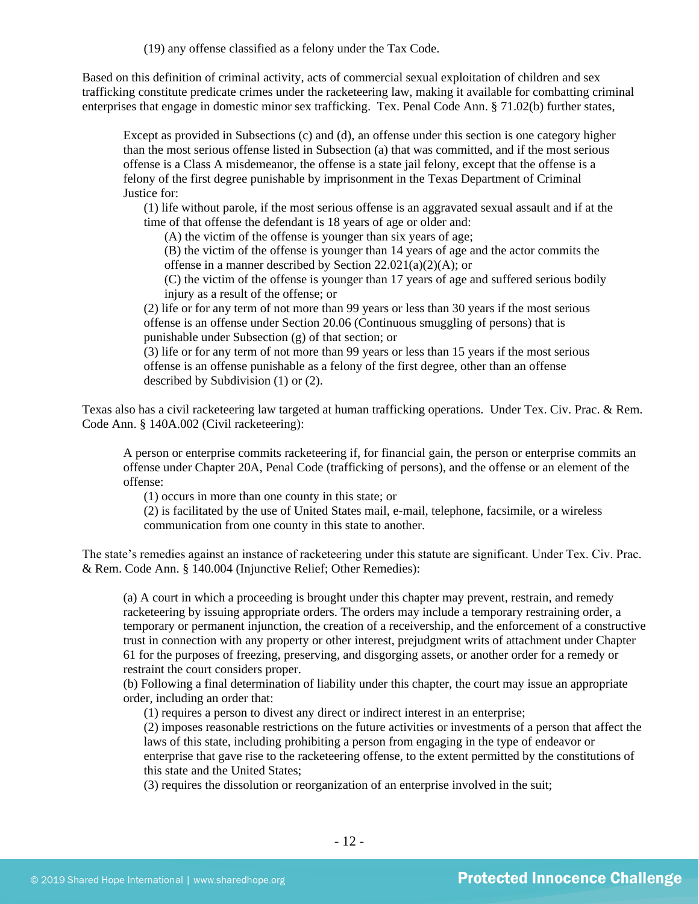(19) any offense classified as a felony under the Tax Code.

Based on this definition of criminal activity, acts of commercial sexual exploitation of children and sex trafficking constitute predicate crimes under the racketeering law, making it available for combatting criminal enterprises that engage in domestic minor sex trafficking. Tex. Penal Code Ann. § 71.02(b) further states,

Except as provided in Subsections (c) and (d), an offense under this section is one category higher than the most serious offense listed in Subsection (a) that was committed, and if the most serious offense is a Class A misdemeanor, the offense is a state jail felony, except that the offense is a felony of the first degree punishable by imprisonment in the Texas Department of Criminal Justice for:

(1) life without parole, if the most serious offense is an aggravated sexual assault and if at the time of that offense the defendant is 18 years of age or older and:

(A) the victim of the offense is younger than six years of age;

(B) the victim of the offense is younger than 14 years of age and the actor commits the offense in a manner described by Section  $22.021(a)(2)(A)$ ; or

(C) the victim of the offense is younger than 17 years of age and suffered serious bodily injury as a result of the offense; or

(2) life or for any term of not more than 99 years or less than 30 years if the most serious offense is an offense under Section 20.06 (Continuous smuggling of persons) that is punishable under Subsection (g) of that section; or

(3) life or for any term of not more than 99 years or less than 15 years if the most serious offense is an offense punishable as a felony of the first degree, other than an offense described by Subdivision (1) or (2).

Texas also has a civil racketeering law targeted at human trafficking operations. Under Tex. Civ. Prac. & Rem. Code Ann. § 140A.002 (Civil racketeering):

A person or enterprise commits racketeering if, for financial gain, the person or enterprise commits an offense under Chapter 20A, Penal Code (trafficking of persons), and the offense or an element of the offense:

(1) occurs in more than one county in this state; or

(2) is facilitated by the use of United States mail, e-mail, telephone, facsimile, or a wireless communication from one county in this state to another.

The state's remedies against an instance of racketeering under this statute are significant. Under Tex. Civ. Prac. & Rem. Code Ann. § 140.004 (Injunctive Relief; Other Remedies):

(a) A court in which a proceeding is brought under this chapter may prevent, restrain, and remedy racketeering by issuing appropriate orders. The orders may include a temporary restraining order, a temporary or permanent injunction, the creation of a receivership, and the enforcement of a constructive trust in connection with any property or other interest, prejudgment writs of attachment under Chapter 61 for the purposes of freezing, preserving, and disgorging assets, or another order for a remedy or restraint the court considers proper.

(b) Following a final determination of liability under this chapter, the court may issue an appropriate order, including an order that:

(1) requires a person to divest any direct or indirect interest in an enterprise;

(2) imposes reasonable restrictions on the future activities or investments of a person that affect the laws of this state, including prohibiting a person from engaging in the type of endeavor or enterprise that gave rise to the racketeering offense, to the extent permitted by the constitutions of this state and the United States;

(3) requires the dissolution or reorganization of an enterprise involved in the suit;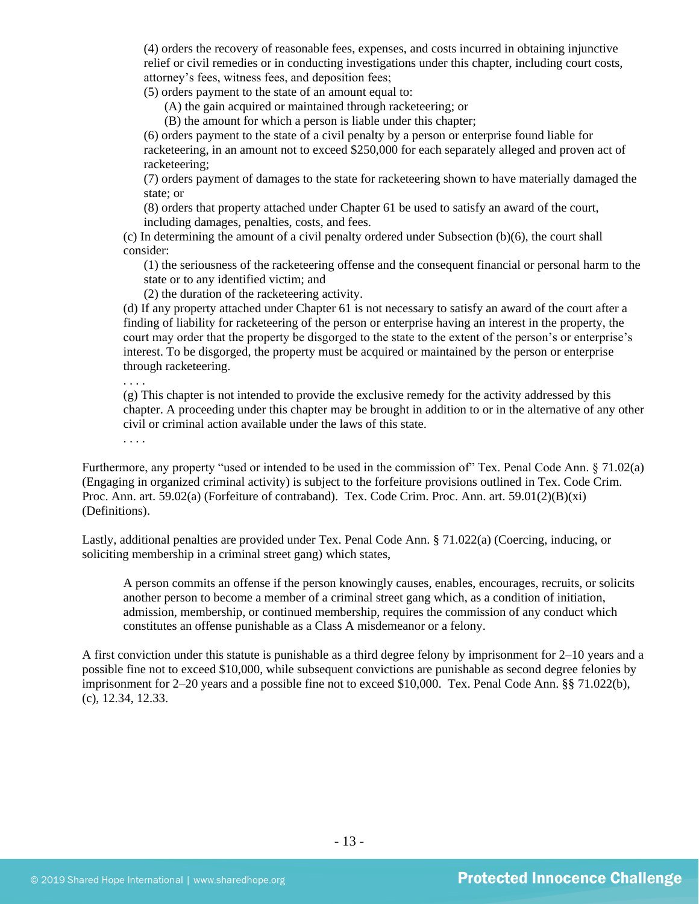(4) orders the recovery of reasonable fees, expenses, and costs incurred in obtaining injunctive relief or civil remedies or in conducting investigations under this chapter, including court costs, attorney's fees, witness fees, and deposition fees;

(5) orders payment to the state of an amount equal to:

(A) the gain acquired or maintained through racketeering; or

(B) the amount for which a person is liable under this chapter;

(6) orders payment to the state of a civil penalty by a person or enterprise found liable for racketeering, in an amount not to exceed \$250,000 for each separately alleged and proven act of racketeering;

(7) orders payment of damages to the state for racketeering shown to have materially damaged the state; or

(8) orders that property attached under Chapter 61 be used to satisfy an award of the court, including damages, penalties, costs, and fees.

(c) In determining the amount of a civil penalty ordered under Subsection (b)(6), the court shall consider:

(1) the seriousness of the racketeering offense and the consequent financial or personal harm to the state or to any identified victim; and

(2) the duration of the racketeering activity.

(d) If any property attached under Chapter 61 is not necessary to satisfy an award of the court after a finding of liability for racketeering of the person or enterprise having an interest in the property, the court may order that the property be disgorged to the state to the extent of the person's or enterprise's interest. To be disgorged, the property must be acquired or maintained by the person or enterprise through racketeering.

. . . .

(g) This chapter is not intended to provide the exclusive remedy for the activity addressed by this chapter. A proceeding under this chapter may be brought in addition to or in the alternative of any other civil or criminal action available under the laws of this state.

. . . .

Furthermore, any property "used or intended to be used in the commission of" Tex. Penal Code Ann. § 71.02(a) (Engaging in organized criminal activity) is subject to the forfeiture provisions outlined in Tex. Code Crim. Proc. Ann. art. 59.02(a) (Forfeiture of contraband). Tex. Code Crim. Proc. Ann. art. 59.01(2)(B)(xi) (Definitions).

Lastly, additional penalties are provided under Tex. Penal Code Ann. § 71.022(a) (Coercing, inducing, or soliciting membership in a criminal street gang) which states,

A person commits an offense if the person knowingly causes, enables, encourages, recruits, or solicits another person to become a member of a criminal street gang which, as a condition of initiation, admission, membership, or continued membership, requires the commission of any conduct which constitutes an offense punishable as a Class A misdemeanor or a felony.

A first conviction under this statute is punishable as a third degree felony by imprisonment for 2–10 years and a possible fine not to exceed \$10,000, while subsequent convictions are punishable as second degree felonies by imprisonment for 2–20 years and a possible fine not to exceed \$10,000. Tex. Penal Code Ann. §§ 71.022(b), (c), 12.34, 12.33.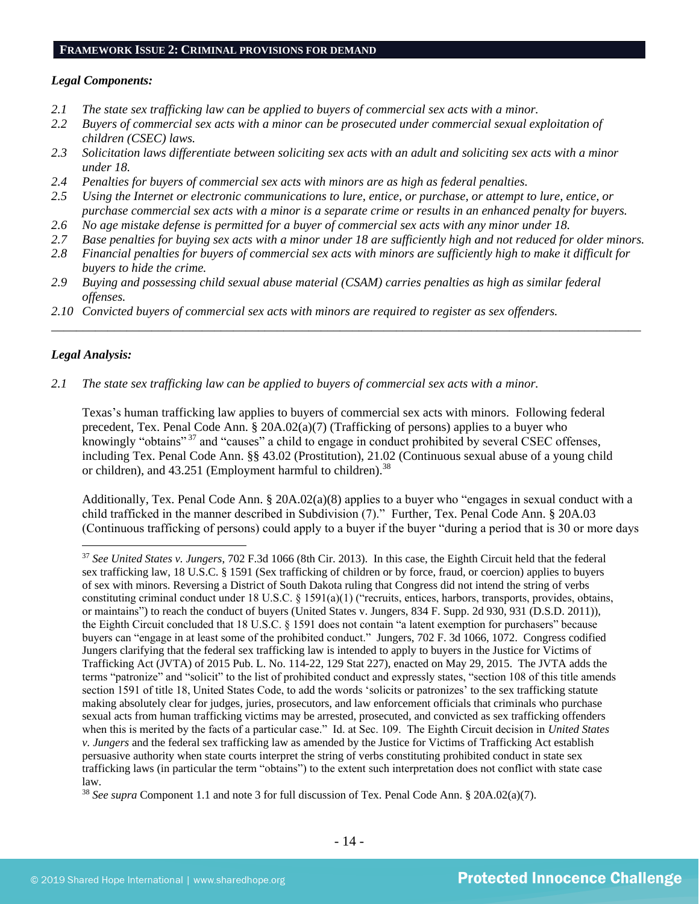#### **FRAMEWORK ISSUE 2: CRIMINAL PROVISIONS FOR DEMAND**

#### *Legal Components:*

- *2.1 The state sex trafficking law can be applied to buyers of commercial sex acts with a minor.*
- *2.2 Buyers of commercial sex acts with a minor can be prosecuted under commercial sexual exploitation of children (CSEC) laws.*
- *2.3 Solicitation laws differentiate between soliciting sex acts with an adult and soliciting sex acts with a minor under 18.*
- *2.4 Penalties for buyers of commercial sex acts with minors are as high as federal penalties.*
- *2.5 Using the Internet or electronic communications to lure, entice, or purchase, or attempt to lure, entice, or purchase commercial sex acts with a minor is a separate crime or results in an enhanced penalty for buyers.*
- *2.6 No age mistake defense is permitted for a buyer of commercial sex acts with any minor under 18.*
- *2.7 Base penalties for buying sex acts with a minor under 18 are sufficiently high and not reduced for older minors.*

\_\_\_\_\_\_\_\_\_\_\_\_\_\_\_\_\_\_\_\_\_\_\_\_\_\_\_\_\_\_\_\_\_\_\_\_\_\_\_\_\_\_\_\_\_\_\_\_\_\_\_\_\_\_\_\_\_\_\_\_\_\_\_\_\_\_\_\_\_\_\_\_\_\_\_\_\_\_\_\_\_\_\_\_\_\_\_\_\_\_\_\_\_\_

- *2.8 Financial penalties for buyers of commercial sex acts with minors are sufficiently high to make it difficult for buyers to hide the crime.*
- *2.9 Buying and possessing child sexual abuse material (CSAM) carries penalties as high as similar federal offenses.*
- *2.10 Convicted buyers of commercial sex acts with minors are required to register as sex offenders.*

#### *Legal Analysis:*

*2.1 The state sex trafficking law can be applied to buyers of commercial sex acts with a minor.*

Texas's human trafficking law applies to buyers of commercial sex acts with minors. Following federal precedent, Tex. Penal Code Ann. § 20A.02(a)(7) (Trafficking of persons) applies to a buyer who knowingly "obtains"<sup>37</sup> and "causes" a child to engage in conduct prohibited by several CSEC offenses, including Tex. Penal Code Ann. §§ 43.02 (Prostitution), 21.02 (Continuous sexual abuse of a young child or children), and 43.251 (Employment harmful to children).<sup>38</sup>

Additionally, Tex. Penal Code Ann. § 20A.02(a)(8) applies to a buyer who "engages in sexual conduct with a child trafficked in the manner described in Subdivision (7)." Further, Tex. Penal Code Ann. § 20A.03 (Continuous trafficking of persons) could apply to a buyer if the buyer "during a period that is 30 or more days

<sup>37</sup> *See United States v. Jungers*, 702 F.3d 1066 (8th Cir. 2013). In this case, the Eighth Circuit held that the federal sex trafficking law, 18 U.S.C. § 1591 (Sex trafficking of children or by force, fraud, or coercion) applies to buyers of sex with minors. Reversing a District of South Dakota ruling that Congress did not intend the string of verbs constituting criminal conduct under 18 U.S.C. § 1591(a)(1) ("recruits, entices, harbors, transports, provides, obtains, or maintains") to reach the conduct of buyers (United States v. Jungers, 834 F. Supp. 2d 930, 931 (D.S.D. 2011)), the Eighth Circuit concluded that 18 U.S.C. § 1591 does not contain "a latent exemption for purchasers" because buyers can "engage in at least some of the prohibited conduct." Jungers, 702 F. 3d 1066, 1072. Congress codified Jungers clarifying that the federal sex trafficking law is intended to apply to buyers in the Justice for Victims of Trafficking Act (JVTA) of 2015 Pub. L. No. 114-22, 129 Stat 227), enacted on May 29, 2015. The JVTA adds the terms "patronize" and "solicit" to the list of prohibited conduct and expressly states, "section 108 of this title amends section 1591 of title 18, United States Code, to add the words 'solicits or patronizes' to the sex trafficking statute making absolutely clear for judges, juries, prosecutors, and law enforcement officials that criminals who purchase sexual acts from human trafficking victims may be arrested, prosecuted, and convicted as sex trafficking offenders when this is merited by the facts of a particular case." Id. at Sec. 109. The Eighth Circuit decision in *United States v. Jungers* and the federal sex trafficking law as amended by the Justice for Victims of Trafficking Act establish persuasive authority when state courts interpret the string of verbs constituting prohibited conduct in state sex trafficking laws (in particular the term "obtains") to the extent such interpretation does not conflict with state case law.

<sup>38</sup> *See supra* Component 1.1 and not[e 3](#page-0-0) for full discussion of Tex. Penal Code Ann. § 20A.02(a)(7).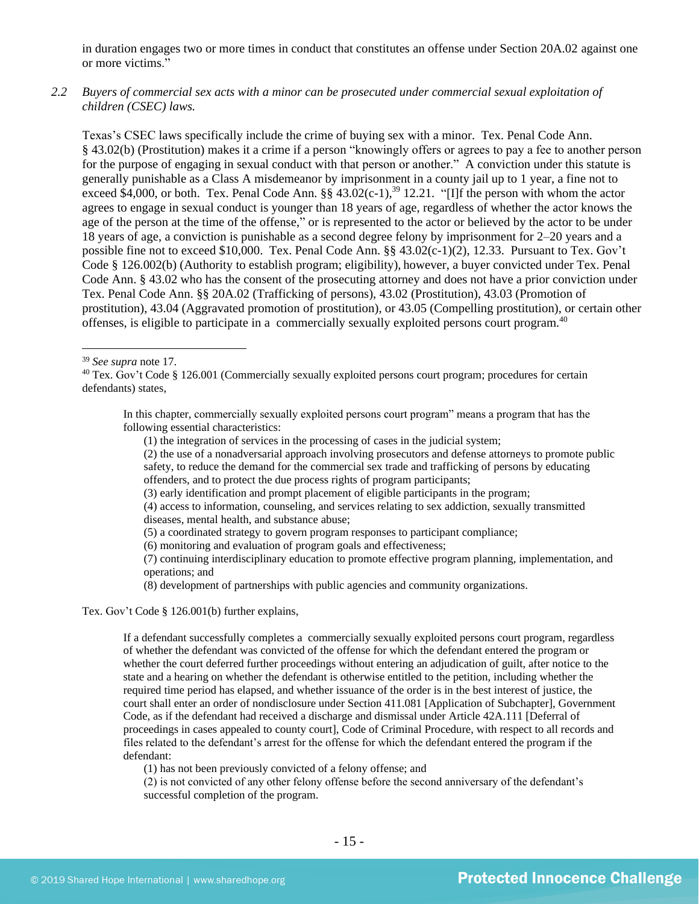in duration engages two or more times in conduct that constitutes an offense under Section 20A.02 against one or more victims."

*2.2 Buyers of commercial sex acts with a minor can be prosecuted under commercial sexual exploitation of children (CSEC) laws.*

Texas's CSEC laws specifically include the crime of buying sex with a minor. Tex. Penal Code Ann. § 43.02(b) (Prostitution) makes it a crime if a person "knowingly offers or agrees to pay a fee to another person for the purpose of engaging in sexual conduct with that person or another." A conviction under this statute is generally punishable as a Class A misdemeanor by imprisonment in a county jail up to 1 year, a fine not to exceed \$4,000, or both. Tex. Penal Code Ann.  $\S\ S$  43.02(c-1),<sup>39</sup> 12.21. "[I]f the person with whom the actor agrees to engage in sexual conduct is younger than 18 years of age, regardless of whether the actor knows the age of the person at the time of the offense," or is represented to the actor or believed by the actor to be under 18 years of age, a conviction is punishable as a second degree felony by imprisonment for 2–20 years and a possible fine not to exceed \$10,000. Tex. Penal Code Ann. §§ 43.02(c-1)(2), 12.33. Pursuant to Tex. Gov't Code § 126.002(b) (Authority to establish program; eligibility), however, a buyer convicted under Tex. Penal Code Ann. § 43.02 who has the consent of the prosecuting attorney and does not have a prior conviction under Tex. Penal Code Ann. §§ 20A.02 (Trafficking of persons), 43.02 (Prostitution), 43.03 (Promotion of prostitution), 43.04 (Aggravated promotion of prostitution), or 43.05 (Compelling prostitution), or certain other offenses, is eligible to participate in a commercially sexually exploited persons court program.<sup>40</sup>

In this chapter, commercially sexually exploited persons court program" means a program that has the following essential characteristics:

(1) the integration of services in the processing of cases in the judicial system;

- (2) the use of a nonadversarial approach involving prosecutors and defense attorneys to promote public safety, to reduce the demand for the commercial sex trade and trafficking of persons by educating offenders, and to protect the due process rights of program participants;
- (3) early identification and prompt placement of eligible participants in the program;

(4) access to information, counseling, and services relating to sex addiction, sexually transmitted diseases, mental health, and substance abuse;

(5) a coordinated strategy to govern program responses to participant compliance;

(6) monitoring and evaluation of program goals and effectiveness;

(7) continuing interdisciplinary education to promote effective program planning, implementation, and operations; and

(8) development of partnerships with public agencies and community organizations.

Tex. Gov't Code § 126.001(b) further explains,

If a defendant successfully completes a commercially sexually exploited persons court program, regardless of whether the defendant was convicted of the offense for which the defendant entered the program or whether the court deferred further proceedings without entering an adjudication of guilt, after notice to the state and a hearing on whether the defendant is otherwise entitled to the petition, including whether the required time period has elapsed, and whether issuance of the order is in the best interest of justice, the court shall enter an order of nondisclosure under Section 411.081 [Application of Subchapter], Government Code, as if the defendant had received a discharge and dismissal under Article 42A.111 [Deferral of proceedings in cases appealed to county court], Code of Criminal Procedure, with respect to all records and files related to the defendant's arrest for the offense for which the defendant entered the program if the defendant:

(1) has not been previously convicted of a felony offense; and

(2) is not convicted of any other felony offense before the second anniversary of the defendant's successful completion of the program.

<sup>39</sup> *See supra* note [17.](#page-4-0)

<sup>40</sup> Tex. Gov't Code § 126.001 (Commercially sexually exploited persons court program; procedures for certain defendants) states,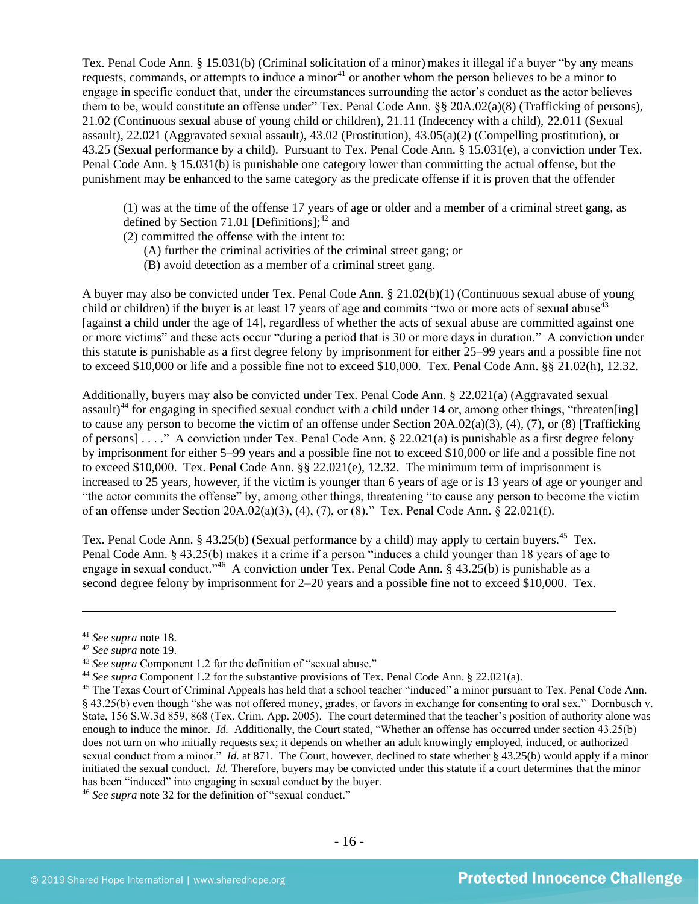Tex. Penal Code Ann. § 15.031(b) (Criminal solicitation of a minor) makes it illegal if a buyer "by any means requests, commands, or attempts to induce a minor<sup>41</sup> or another whom the person believes to be a minor to engage in specific conduct that, under the circumstances surrounding the actor's conduct as the actor believes them to be, would constitute an offense under" Tex. Penal Code Ann. §§ 20A.02(a)(8) (Trafficking of persons), 21.02 (Continuous sexual abuse of young child or children), 21.11 (Indecency with a child), 22.011 (Sexual assault), 22.021 (Aggravated sexual assault), 43.02 (Prostitution), 43.05(a)(2) (Compelling prostitution), or 43.25 (Sexual performance by a child). Pursuant to Tex. Penal Code Ann. § 15.031(e), a conviction under Tex. Penal Code Ann. § 15.031(b) is punishable one category lower than committing the actual offense, but the punishment may be enhanced to the same category as the predicate offense if it is proven that the offender

(1) was at the time of the offense 17 years of age or older and a member of a criminal street gang, as defined by Section 71.01 [Definitions]: $42$  and

- (2) committed the offense with the intent to:
	- (A) further the criminal activities of the criminal street gang; or
	- (B) avoid detection as a member of a criminal street gang.

A buyer may also be convicted under Tex. Penal Code Ann. § 21.02(b)(1) (Continuous sexual abuse of young child or children) if the buyer is at least 17 years of age and commits "two or more acts of sexual abuse<sup> $43$ </sup> [against a child under the age of 14], regardless of whether the acts of sexual abuse are committed against one or more victims" and these acts occur "during a period that is 30 or more days in duration." A conviction under this statute is punishable as a first degree felony by imprisonment for either 25–99 years and a possible fine not to exceed \$10,000 or life and a possible fine not to exceed \$10,000. Tex. Penal Code Ann. §§ 21.02(h), 12.32.

Additionally, buyers may also be convicted under Tex. Penal Code Ann. § 22.021(a) (Aggravated sexual assault)<sup>44</sup> for engaging in specified sexual conduct with a child under 14 or, among other things, "threaten[ing] to cause any person to become the victim of an offense under Section 20A.02(a)(3), (4), (7), or (8) [Trafficking of persons] . . . ." A conviction under Tex. Penal Code Ann.  $\S 22.021(a)$  is punishable as a first degree felony by imprisonment for either 5–99 years and a possible fine not to exceed \$10,000 or life and a possible fine not to exceed \$10,000. Tex. Penal Code Ann. §§ 22.021(e), 12.32. The minimum term of imprisonment is increased to 25 years, however, if the victim is younger than 6 years of age or is 13 years of age or younger and "the actor commits the offense" by, among other things, threatening "to cause any person to become the victim of an offense under Section 20A.02(a)(3), (4), (7), or (8)." Tex. Penal Code Ann. § 22.021(f).

Tex. Penal Code Ann. § 43.25(b) (Sexual performance by a child) may apply to certain buyers.<sup>45</sup> Tex. Penal Code Ann. § 43.25(b) makes it a crime if a person "induces a child younger than 18 years of age to engage in sexual conduct."<sup>46</sup> A conviction under Tex. Penal Code Ann. § 43.25(b) is punishable as a second degree felony by imprisonment for 2–20 years and a possible fine not to exceed \$10,000. Tex.

<sup>41</sup> *See supra* note [18.](#page-4-1) 

<sup>42</sup> *See supra* note [19.](#page-5-0) 

<sup>43</sup> *See supra* Component 1.2 for the definition of "sexual abuse."

<sup>44</sup> *See supra* Component 1.2 for the substantive provisions of Tex. Penal Code Ann. § 22.021(a).

<sup>45</sup> The Texas Court of Criminal Appeals has held that a school teacher "induced" a minor pursuant to Tex. Penal Code Ann. § 43.25(b) even though "she was not offered money, grades, or favors in exchange for consenting to oral sex." Dornbusch v. State, 156 S.W.3d 859, 868 (Tex. Crim. App. 2005). The court determined that the teacher's position of authority alone was enough to induce the minor. *Id.* Additionally, the Court stated, "Whether an offense has occurred under section 43.25(b) does not turn on who initially requests sex; it depends on whether an adult knowingly employed, induced, or authorized sexual conduct from a minor." *Id.* at 871. The Court, however, declined to state whether § 43.25(b) would apply if a minor initiated the sexual conduct. *Id.* Therefore, buyers may be convicted under this statute if a court determines that the minor has been "induced" into engaging in sexual conduct by the buyer.

<sup>46</sup> *See supra* note [32](#page-9-0) for the definition of "sexual conduct."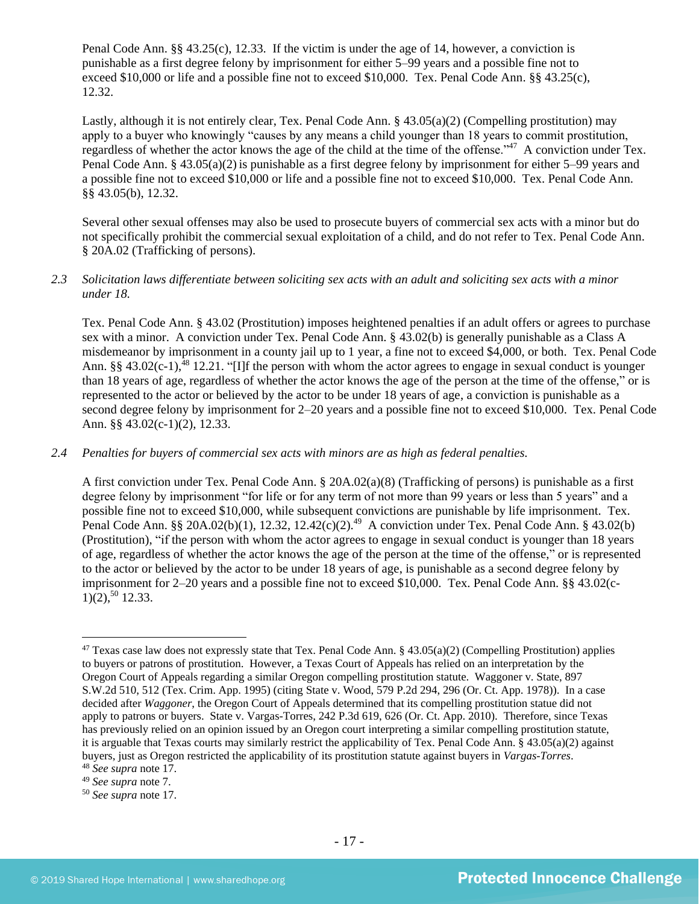Penal Code Ann. §§ 43.25(c), 12.33. If the victim is under the age of 14, however, a conviction is punishable as a first degree felony by imprisonment for either 5–99 years and a possible fine not to exceed \$10,000 or life and a possible fine not to exceed \$10,000. Tex. Penal Code Ann. §§ 43.25(c), 12.32.

Lastly, although it is not entirely clear, Tex. Penal Code Ann. § 43.05(a)(2) (Compelling prostitution) may apply to a buyer who knowingly "causes by any means a child younger than 18 years to commit prostitution, regardless of whether the actor knows the age of the child at the time of the offense."<sup>47</sup> A conviction under Tex. Penal Code Ann. § 43.05(a)(2)is punishable as a first degree felony by imprisonment for either 5–99 years and a possible fine not to exceed \$10,000 or life and a possible fine not to exceed \$10,000. Tex. Penal Code Ann. §§ 43.05(b), 12.32.

Several other sexual offenses may also be used to prosecute buyers of commercial sex acts with a minor but do not specifically prohibit the commercial sexual exploitation of a child, and do not refer to Tex. Penal Code Ann. § 20A.02 (Trafficking of persons).

## *2.3 Solicitation laws differentiate between soliciting sex acts with an adult and soliciting sex acts with a minor under 18.*

Tex. Penal Code Ann. § 43.02 (Prostitution) imposes heightened penalties if an adult offers or agrees to purchase sex with a minor. A conviction under Tex. Penal Code Ann. § 43.02(b) is generally punishable as a Class A misdemeanor by imprisonment in a county jail up to 1 year, a fine not to exceed \$4,000, or both. Tex. Penal Code Ann. §§ 43.02 $(c-1)$ ,<sup>48</sup> 12.21. "[I]f the person with whom the actor agrees to engage in sexual conduct is younger than 18 years of age, regardless of whether the actor knows the age of the person at the time of the offense," or is represented to the actor or believed by the actor to be under 18 years of age, a conviction is punishable as a second degree felony by imprisonment for 2–20 years and a possible fine not to exceed \$10,000. Tex. Penal Code Ann. §§ 43.02(c-1)(2), 12.33.

## *2.4 Penalties for buyers of commercial sex acts with minors are as high as federal penalties.*

A first conviction under Tex. Penal Code Ann. § 20A.02(a)(8) (Trafficking of persons) is punishable as a first degree felony by imprisonment "for life or for any term of not more than 99 years or less than 5 years" and a possible fine not to exceed \$10,000, while subsequent convictions are punishable by life imprisonment. Tex. Penal Code Ann.  $\S$  20A.02(b)(1), 12.32, 12.42(c)(2).<sup>49</sup> A conviction under Tex. Penal Code Ann.  $\S$  43.02(b) (Prostitution), "if the person with whom the actor agrees to engage in sexual conduct is younger than 18 years of age, regardless of whether the actor knows the age of the person at the time of the offense," or is represented to the actor or believed by the actor to be under 18 years of age, is punishable as a second degree felony by imprisonment for 2–20 years and a possible fine not to exceed \$10,000. Tex. Penal Code Ann. §§ 43.02(c- $1)(2)$ ,<sup>50</sup> 12.33.

<sup>&</sup>lt;sup>47</sup> Texas case law does not expressly state that Tex. Penal Code Ann. §  $43.05(a)(2)$  (Compelling Prostitution) applies to buyers or patrons of prostitution. However, a Texas Court of Appeals has relied on an interpretation by the Oregon Court of Appeals regarding a similar Oregon compelling prostitution statute. Waggoner v. State, 897 S.W.2d 510, 512 (Tex. Crim. App. 1995) (citing State v. Wood, 579 P.2d 294, 296 (Or. Ct. App. 1978)). In a case decided after *Waggoner*, the Oregon Court of Appeals determined that its compelling prostitution statue did not apply to patrons or buyers. State v. Vargas-Torres, 242 P.3d 619, 626 (Or. Ct. App. 2010). Therefore, since Texas has previously relied on an opinion issued by an Oregon court interpreting a similar compelling prostitution statute, it is arguable that Texas courts may similarly restrict the applicability of Tex. Penal Code Ann. § 43.05(a)(2) against buyers, just as Oregon restricted the applicability of its prostitution statute against buyers in *Vargas-Torres*. <sup>48</sup> *See supra* note [17.](#page-4-0)

<sup>49</sup> *See supra* note [7.](#page-2-0)

<sup>50</sup> *See supra* note [17.](#page-4-0)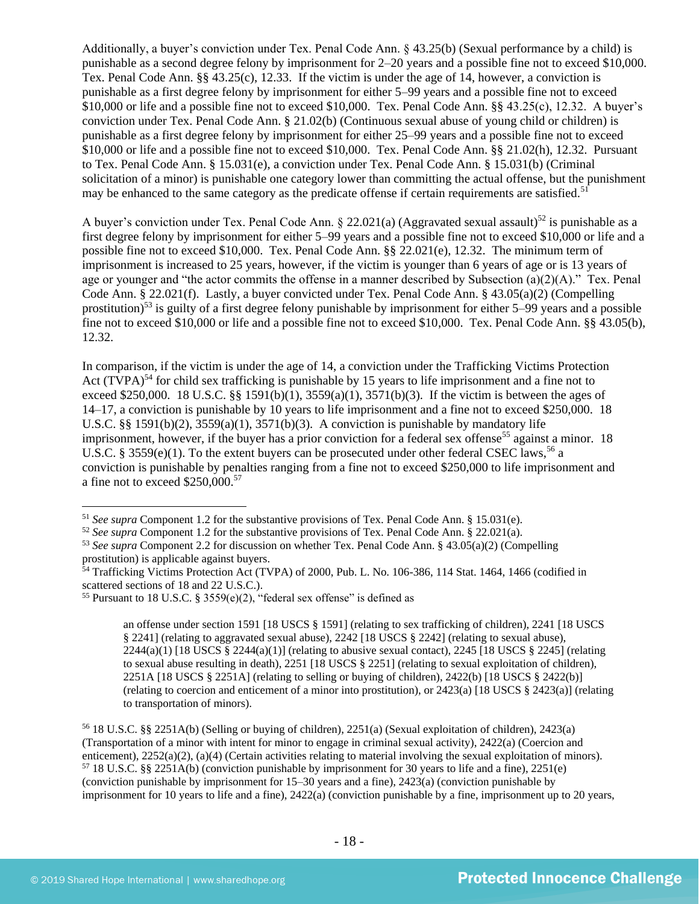Additionally, a buyer's conviction under Tex. Penal Code Ann. § 43.25(b) (Sexual performance by a child) is punishable as a second degree felony by imprisonment for 2–20 years and a possible fine not to exceed \$10,000. Tex. Penal Code Ann. §§ 43.25(c), 12.33. If the victim is under the age of 14, however, a conviction is punishable as a first degree felony by imprisonment for either 5–99 years and a possible fine not to exceed \$10,000 or life and a possible fine not to exceed \$10,000. Tex. Penal Code Ann. §§ 43.25(c), 12.32. A buyer's conviction under Tex. Penal Code Ann. § 21.02(b) (Continuous sexual abuse of young child or children) is punishable as a first degree felony by imprisonment for either 25–99 years and a possible fine not to exceed \$10,000 or life and a possible fine not to exceed \$10,000. Tex. Penal Code Ann. §§ 21.02(h), 12.32. Pursuant to Tex. Penal Code Ann. § 15.031(e), a conviction under Tex. Penal Code Ann. § 15.031(b) (Criminal solicitation of a minor) is punishable one category lower than committing the actual offense, but the punishment may be enhanced to the same category as the predicate offense if certain requirements are satisfied.<sup>51</sup>

A buyer's conviction under Tex. Penal Code Ann. § 22.021(a) (Aggravated sexual assault)<sup>52</sup> is punishable as a first degree felony by imprisonment for either 5–99 years and a possible fine not to exceed \$10,000 or life and a possible fine not to exceed \$10,000. Tex. Penal Code Ann. §§ 22.021(e), 12.32. The minimum term of imprisonment is increased to 25 years, however, if the victim is younger than 6 years of age or is 13 years of age or younger and "the actor commits the offense in a manner described by Subsection (a)(2)(A)." Tex. Penal Code Ann. § 22.021(f). Lastly, a buyer convicted under Tex. Penal Code Ann. § 43.05(a)(2) (Compelling prostitution)<sup>53</sup> is guilty of a first degree felony punishable by imprisonment for either  $5-99$  years and a possible fine not to exceed \$10,000 or life and a possible fine not to exceed \$10,000. Tex. Penal Code Ann. §§ 43.05(b), 12.32.

<span id="page-17-0"></span>In comparison, if the victim is under the age of 14, a conviction under the Trafficking Victims Protection Act  $(TVPA)^{54}$  for child sex trafficking is punishable by 15 years to life imprisonment and a fine not to exceed \$250,000. 18 U.S.C. §§ 1591(b)(1),  $3559(a)(1)$ ,  $3571(b)(3)$ . If the victim is between the ages of 14–17, a conviction is punishable by 10 years to life imprisonment and a fine not to exceed \$250,000. 18 U.S.C. §§ 1591(b)(2),  $3559(a)(1)$ ,  $3571(b)(3)$ . A conviction is punishable by mandatory life imprisonment, however, if the buyer has a prior conviction for a federal sex offense<sup>55</sup> against a minor. 18 U.S.C. § 3559(e)(1). To the extent buyers can be prosecuted under other federal CSEC laws,<sup>56</sup> a conviction is punishable by penalties ranging from a fine not to exceed \$250,000 to life imprisonment and a fine not to exceed  $$250,000.<sup>57</sup>$ 

<sup>55</sup> Pursuant to 18 U.S.C. § 3559(e)(2), "federal sex offense" is defined as

<span id="page-17-1"></span>an offense under section 1591 [18 USCS § 1591] (relating to sex trafficking of children), 2241 [18 USCS § 2241] (relating to aggravated sexual abuse), 2242 [18 USCS § 2242] (relating to sexual abuse),  $2244(a)(1)$  [18 USCS § 2244(a)(1)] (relating to abusive sexual contact), 2245 [18 USCS § 2245] (relating to sexual abuse resulting in death), 2251 [18 USCS § 2251] (relating to sexual exploitation of children), 2251A [18 USCS § 2251A] (relating to selling or buying of children), 2422(b) [18 USCS § 2422(b)] (relating to coercion and enticement of a minor into prostitution), or 2423(a) [18 USCS § 2423(a)] (relating to transportation of minors).

<sup>56</sup> 18 U.S.C. §§ 2251A(b) (Selling or buying of children), 2251(a) (Sexual exploitation of children), 2423(a) (Transportation of a minor with intent for minor to engage in criminal sexual activity), 2422(a) (Coercion and enticement), 2252(a)(2), (a)(4) (Certain activities relating to material involving the sexual exploitation of minors). <sup>57</sup> 18 U.S.C. §§ 2251A(b) (conviction punishable by imprisonment for 30 years to life and a fine), 2251(e) (conviction punishable by imprisonment for 15–30 years and a fine), 2423(a) (conviction punishable by imprisonment for 10 years to life and a fine), 2422(a) (conviction punishable by a fine, imprisonment up to 20 years,

<sup>51</sup> *See supra* Component 1.2 for the substantive provisions of Tex. Penal Code Ann. § 15.031(e).

<sup>52</sup> *See supra* Component 1.2 for the substantive provisions of Tex. Penal Code Ann. § 22.021(a).

<sup>53</sup> *See supra* Component 2.2 for discussion on whether Tex. Penal Code Ann. § 43.05(a)(2) (Compelling prostitution) is applicable against buyers.

<sup>&</sup>lt;sup>54</sup> Trafficking Victims Protection Act (TVPA) of 2000, Pub. L. No. 106-386, 114 Stat. 1464, 1466 (codified in scattered sections of 18 and 22 U.S.C.).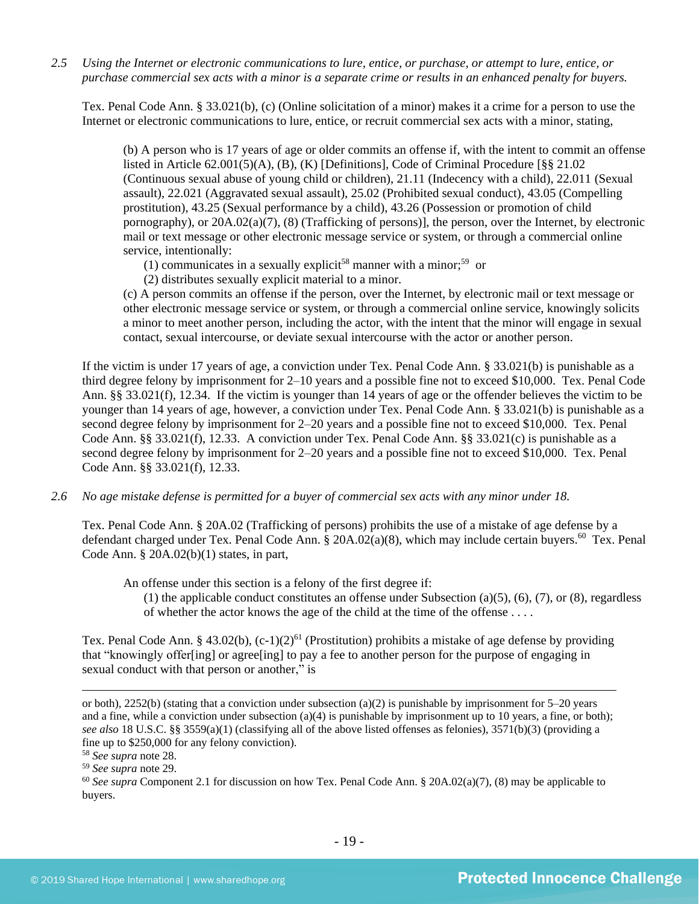*2.5 Using the Internet or electronic communications to lure, entice, or purchase, or attempt to lure, entice, or purchase commercial sex acts with a minor is a separate crime or results in an enhanced penalty for buyers.*

Tex. Penal Code Ann. § 33.021(b), (c) (Online solicitation of a minor) makes it a crime for a person to use the Internet or electronic communications to lure, entice, or recruit commercial sex acts with a minor, stating,

(b) A person who is 17 years of age or older commits an offense if, with the intent to commit an offense listed in Article 62.001(5)(A), (B), (K) [Definitions], Code of Criminal Procedure [§§ 21.02 (Continuous sexual abuse of young child or children), 21.11 (Indecency with a child), 22.011 (Sexual assault), 22.021 (Aggravated sexual assault), 25.02 (Prohibited sexual conduct), 43.05 (Compelling prostitution), 43.25 (Sexual performance by a child), 43.26 (Possession or promotion of child pornography), or 20A.02(a)(7), (8) (Trafficking of persons)], the person, over the Internet, by electronic mail or text message or other electronic message service or system, or through a commercial online service, intentionally:

(1) communicates in a sexually explicit<sup>58</sup> manner with a minor;<sup>59</sup> or

(2) distributes sexually explicit material to a minor.

(c) A person commits an offense if the person, over the Internet, by electronic mail or text message or other electronic message service or system, or through a commercial online service, knowingly solicits a minor to meet another person, including the actor, with the intent that the minor will engage in sexual contact, sexual intercourse, or deviate sexual intercourse with the actor or another person.

If the victim is under 17 years of age, a conviction under Tex. Penal Code Ann. § 33.021(b) is punishable as a third degree felony by imprisonment for 2–10 years and a possible fine not to exceed \$10,000. Tex. Penal Code Ann. §§ 33.021(f), 12.34. If the victim is younger than 14 years of age or the offender believes the victim to be younger than 14 years of age, however, a conviction under Tex. Penal Code Ann. § 33.021(b) is punishable as a second degree felony by imprisonment for 2–20 years and a possible fine not to exceed \$10,000. Tex. Penal Code Ann. §§ 33.021(f), 12.33. A conviction under Tex. Penal Code Ann. §§ 33.021(c) is punishable as a second degree felony by imprisonment for 2–20 years and a possible fine not to exceed \$10,000. Tex. Penal Code Ann. §§ 33.021(f), 12.33.

*2.6 No age mistake defense is permitted for a buyer of commercial sex acts with any minor under 18.*

Tex. Penal Code Ann. § 20A.02 (Trafficking of persons) prohibits the use of a mistake of age defense by a defendant charged under Tex. Penal Code Ann.  $\S$  20A.02(a)(8), which may include certain buyers.<sup>60</sup> Tex. Penal Code Ann. § 20A.02(b)(1) states, in part,

An offense under this section is a felony of the first degree if:

(1) the applicable conduct constitutes an offense under Subsection (a)(5), (6), (7), or (8), regardless of whether the actor knows the age of the child at the time of the offense . . . .

Tex. Penal Code Ann. § 43.02(b),  $(c-1)(2)^{61}$  (Prostitution) prohibits a mistake of age defense by providing that "knowingly offer[ing] or agree[ing] to pay a fee to another person for the purpose of engaging in sexual conduct with that person or another," is

or both), 2252(b) (stating that a conviction under subsection (a)(2) is punishable by imprisonment for 5–20 years and a fine, while a conviction under subsection (a)(4) is punishable by imprisonment up to 10 years, a fine, or both); *see also* 18 U.S.C. §§ 3559(a)(1) (classifying all of the above listed offenses as felonies), 3571(b)(3) (providing a fine up to \$250,000 for any felony conviction).

<sup>58</sup> *See supra* note [28.](#page-8-0) 

<sup>59</sup> *See supra* note [29.](#page-8-1) 

<sup>60</sup> *See supra* Component 2.1 for discussion on how Tex. Penal Code Ann. § 20A.02(a)(7), (8) may be applicable to buyers.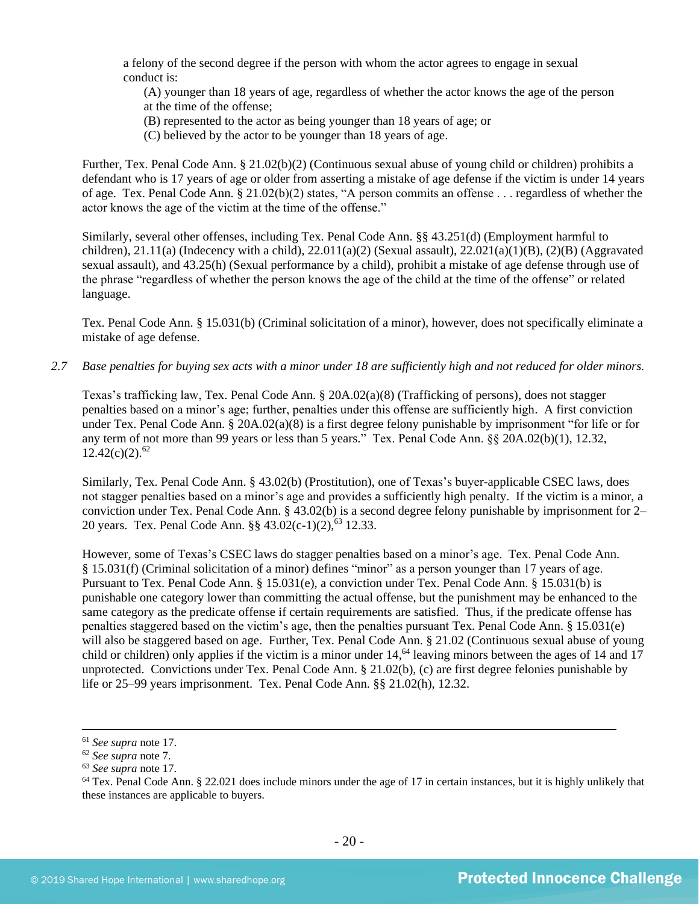a felony of the second degree if the person with whom the actor agrees to engage in sexual conduct is:

(A) younger than 18 years of age, regardless of whether the actor knows the age of the person at the time of the offense;

- (B) represented to the actor as being younger than 18 years of age; or
- (C) believed by the actor to be younger than 18 years of age.

Further, Tex. Penal Code Ann. § 21.02(b)(2) (Continuous sexual abuse of young child or children) prohibits a defendant who is 17 years of age or older from asserting a mistake of age defense if the victim is under 14 years of age. Tex. Penal Code Ann. § 21.02(b)(2) states, "A person commits an offense . . . regardless of whether the actor knows the age of the victim at the time of the offense."

Similarly, several other offenses, including Tex. Penal Code Ann. §§ 43.251(d) (Employment harmful to children), 21.11(a) (Indecency with a child), 22.011(a)(2) (Sexual assault), 22.021(a)(1)(B), (2)(B) (Aggravated sexual assault), and 43.25(h) (Sexual performance by a child), prohibit a mistake of age defense through use of the phrase "regardless of whether the person knows the age of the child at the time of the offense" or related language.

Tex. Penal Code Ann. § 15.031(b) (Criminal solicitation of a minor), however, does not specifically eliminate a mistake of age defense.

*2.7 Base penalties for buying sex acts with a minor under 18 are sufficiently high and not reduced for older minors.*

Texas's trafficking law, Tex. Penal Code Ann. § 20A.02(a)(8) (Trafficking of persons), does not stagger penalties based on a minor's age; further, penalties under this offense are sufficiently high. A first conviction under Tex. Penal Code Ann. § 20A.02(a)(8) is a first degree felony punishable by imprisonment "for life or for any term of not more than 99 years or less than 5 years." Tex. Penal Code Ann. §§ 20A.02(b)(1), 12.32,  $12.42(c)(2).<sup>62</sup>$ 

Similarly, Tex. Penal Code Ann. § 43.02(b) (Prostitution), one of Texas's buyer-applicable CSEC laws, does not stagger penalties based on a minor's age and provides a sufficiently high penalty. If the victim is a minor, a conviction under Tex. Penal Code Ann. § 43.02(b) is a second degree felony punishable by imprisonment for 2– 20 years. Tex. Penal Code Ann. §§ 43.02(c-1)(2),<sup>63</sup> 12.33.

However, some of Texas's CSEC laws do stagger penalties based on a minor's age. Tex. Penal Code Ann. § 15.031(f) (Criminal solicitation of a minor) defines "minor" as a person younger than 17 years of age. Pursuant to Tex. Penal Code Ann. § 15.031(e), a conviction under Tex. Penal Code Ann. § 15.031(b) is punishable one category lower than committing the actual offense, but the punishment may be enhanced to the same category as the predicate offense if certain requirements are satisfied. Thus, if the predicate offense has penalties staggered based on the victim's age, then the penalties pursuant Tex. Penal Code Ann. § 15.031(e) will also be staggered based on age. Further, Tex. Penal Code Ann. § 21.02 (Continuous sexual abuse of young child or children) only applies if the victim is a minor under 14,<sup>64</sup> leaving minors between the ages of 14 and 17 unprotected. Convictions under Tex. Penal Code Ann. § 21.02(b), (c) are first degree felonies punishable by life or 25–99 years imprisonment. Tex. Penal Code Ann. §§ 21.02(h), 12.32.

<sup>61</sup> *See supra* note [17.](#page-4-0)

<sup>62</sup> *See supra* note [7.](#page-2-0) 

<sup>63</sup> *See supra* note [17.](#page-4-0)

 $64$  Tex. Penal Code Ann. § 22.021 does include minors under the age of 17 in certain instances, but it is highly unlikely that these instances are applicable to buyers.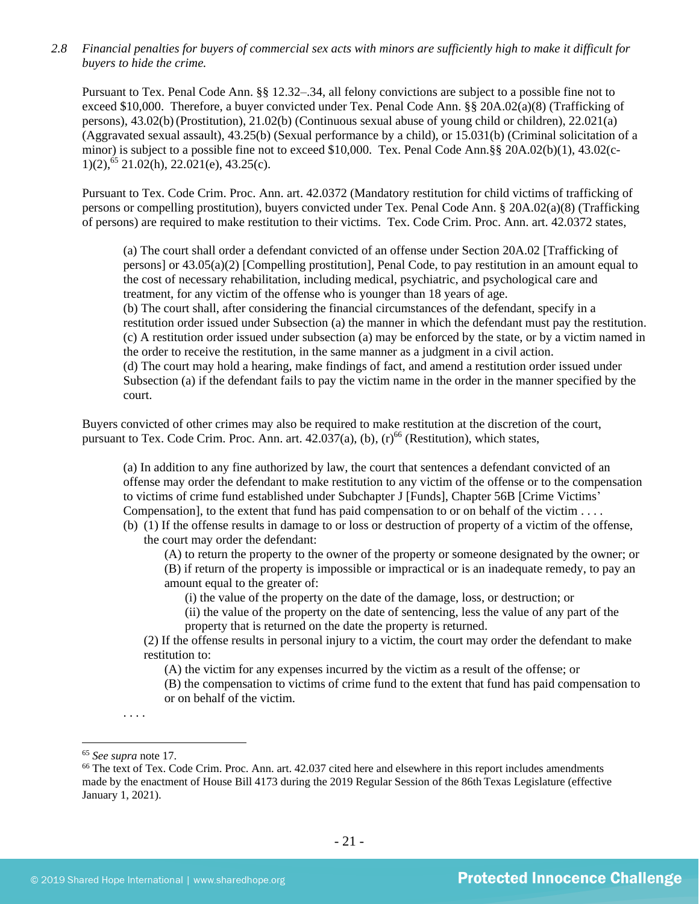*2.8 Financial penalties for buyers of commercial sex acts with minors are sufficiently high to make it difficult for buyers to hide the crime.* 

Pursuant to Tex. Penal Code Ann. §§ 12.32–.34, all felony convictions are subject to a possible fine not to exceed \$10,000. Therefore, a buyer convicted under Tex. Penal Code Ann. §§ 20A.02(a)(8) (Trafficking of persons), 43.02(b)(Prostitution), 21.02(b) (Continuous sexual abuse of young child or children), 22.021(a) (Aggravated sexual assault), 43.25(b) (Sexual performance by a child), or 15.031(b) (Criminal solicitation of a minor) is subject to a possible fine not to exceed \$10,000. Tex. Penal Code Ann.§§ 20A.02(b)(1), 43.02(c- $1)(2)$ ,  $65$   $21.02$ (h),  $22.021$ (e),  $43.25$ (c).

Pursuant to Tex. Code Crim. Proc. Ann. art. 42.0372 (Mandatory restitution for child victims of trafficking of persons or compelling prostitution), buyers convicted under Tex. Penal Code Ann. § 20A.02(a)(8) (Trafficking of persons) are required to make restitution to their victims. Tex. Code Crim. Proc. Ann. art. 42.0372 states,

(a) The court shall order a defendant convicted of an offense under Section 20A.02 [Trafficking of persons] or 43.05(a)(2) [Compelling prostitution], Penal Code, to pay restitution in an amount equal to the cost of necessary rehabilitation, including medical, psychiatric, and psychological care and treatment, for any victim of the offense who is younger than 18 years of age. (b) The court shall, after considering the financial circumstances of the defendant, specify in a

restitution order issued under Subsection (a) the manner in which the defendant must pay the restitution. (c) A restitution order issued under subsection (a) may be enforced by the state, or by a victim named in the order to receive the restitution, in the same manner as a judgment in a civil action.

(d) The court may hold a hearing, make findings of fact, and amend a restitution order issued under Subsection (a) if the defendant fails to pay the victim name in the order in the manner specified by the court.

Buyers convicted of other crimes may also be required to make restitution at the discretion of the court, pursuant to Tex. Code Crim. Proc. Ann. art.  $42.037(a)$ , (b), (r)<sup>66</sup> (Restitution), which states,

(a) In addition to any fine authorized by law, the court that sentences a defendant convicted of an offense may order the defendant to make restitution to any victim of the offense or to the compensation to victims of crime fund established under Subchapter J [Funds], Chapter 56B [Crime Victims' Compensation], to the extent that fund has paid compensation to or on behalf of the victim . . . .

(b) (1) If the offense results in damage to or loss or destruction of property of a victim of the offense, the court may order the defendant:

<span id="page-20-0"></span>(A) to return the property to the owner of the property or someone designated by the owner; or (B) if return of the property is impossible or impractical or is an inadequate remedy, to pay an amount equal to the greater of:

- (i) the value of the property on the date of the damage, loss, or destruction; or
- (ii) the value of the property on the date of sentencing, less the value of any part of the property that is returned on the date the property is returned.

(2) If the offense results in personal injury to a victim, the court may order the defendant to make restitution to:

(A) the victim for any expenses incurred by the victim as a result of the offense; or

(B) the compensation to victims of crime fund to the extent that fund has paid compensation to or on behalf of the victim.

<sup>65</sup> *See supra* note [17.](#page-4-0)

. . . .

<sup>66</sup> The text of Tex. Code Crim. Proc. Ann. art. 42.037 cited here and elsewhere in this report includes amendments made by the enactment of House Bill 4173 during the 2019 Regular Session of the 86th Texas Legislature (effective January 1, 2021).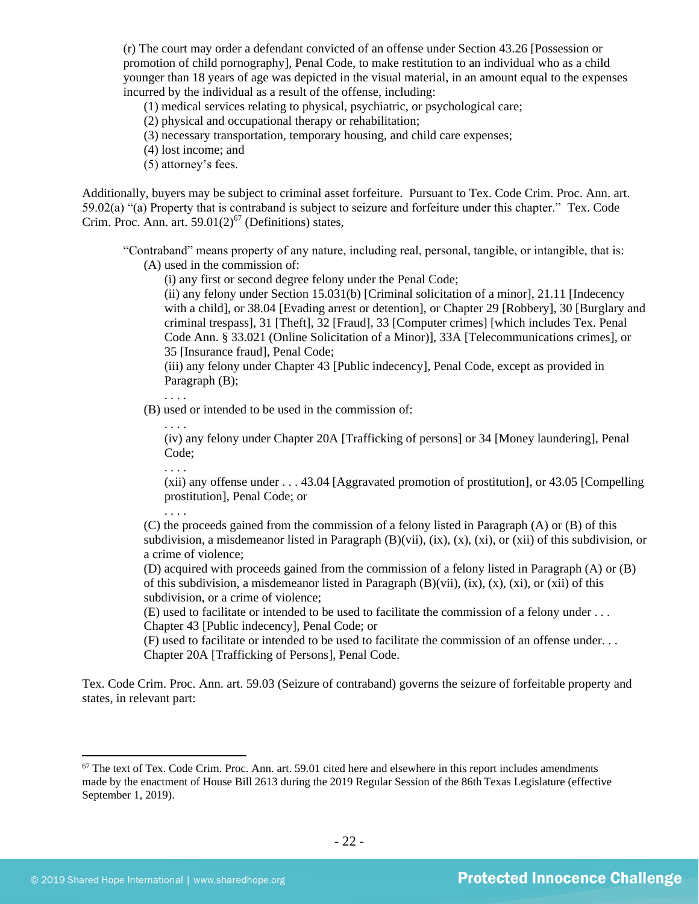(r) The court may order a defendant convicted of an offense under Section 43.26 [Possession or promotion of child pornography], Penal Code, to make restitution to an individual who as a child younger than 18 years of age was depicted in the visual material, in an amount equal to the expenses incurred by the individual as a result of the offense, including:

(1) medical services relating to physical, psychiatric, or psychological care;

(2) physical and occupational therapy or rehabilitation;

- (3) necessary transportation, temporary housing, and child care expenses;
- (4) lost income; and
- (5) attorney's fees.

Additionally, buyers may be subject to criminal asset forfeiture. Pursuant to Tex. Code Crim. Proc. Ann. art. 59.02(a) "(a) Property that is contraband is subject to seizure and forfeiture under this chapter." Tex. Code Crim. Proc. Ann. art.  $59.01(2)^{67}$  (Definitions) states,

"Contraband" means property of any nature, including real, personal, tangible, or intangible, that is: (A) used in the commission of:

<span id="page-21-0"></span>(i) any first or second degree felony under the Penal Code;

(ii) any felony under Section 15.031(b) [Criminal solicitation of a minor], 21.11 [Indecency with a child], or 38.04 [Evading arrest or detention], or Chapter 29 [Robbery], 30 [Burglary and criminal trespass], 31 [Theft], 32 [Fraud], 33 [Computer crimes] [which includes Tex. Penal Code Ann. § 33.021 (Online Solicitation of a Minor)], 33A [Telecommunications crimes], or 35 [Insurance fraud], Penal Code;

(iii) any felony under Chapter 43 [Public indecency], Penal Code, except as provided in Paragraph (B);

. . . .

(B) used or intended to be used in the commission of:

. . . .

(iv) any felony under Chapter 20A [Trafficking of persons] or 34 [Money laundering], Penal Code;

. . . .

(xii) any offense under . . . 43.04 [Aggravated promotion of prostitution], or 43.05 [Compelling prostitution], Penal Code; or

. . . .

(C) the proceeds gained from the commission of a felony listed in Paragraph (A) or (B) of this subdivision, a misdemeanor listed in Paragraph  $(B)(vi)$ ,  $(ix)$ ,  $(x)$ ,  $(xi)$ , or  $(xii)$  of this subdivision, or a crime of violence;

(D) acquired with proceeds gained from the commission of a felony listed in Paragraph (A) or (B) of this subdivision, a misdemeanor listed in Paragraph  $(B)(vii)$ ,  $(ix)$ ,  $(x)$ ,  $(xi)$ , or  $(xii)$  of this subdivision, or a crime of violence;

(E) used to facilitate or intended to be used to facilitate the commission of a felony under . . . Chapter 43 [Public indecency], Penal Code; or

(F) used to facilitate or intended to be used to facilitate the commission of an offense under. . . Chapter 20A [Trafficking of Persons], Penal Code.

Tex. Code Crim. Proc. Ann. art. 59.03 (Seizure of contraband) governs the seizure of forfeitable property and states, in relevant part:

 $67$  The text of Tex. Code Crim. Proc. Ann. art. 59.01 cited here and elsewhere in this report includes amendments made by the enactment of House Bill 2613 during the 2019 Regular Session of the 86th Texas Legislature (effective September 1, 2019).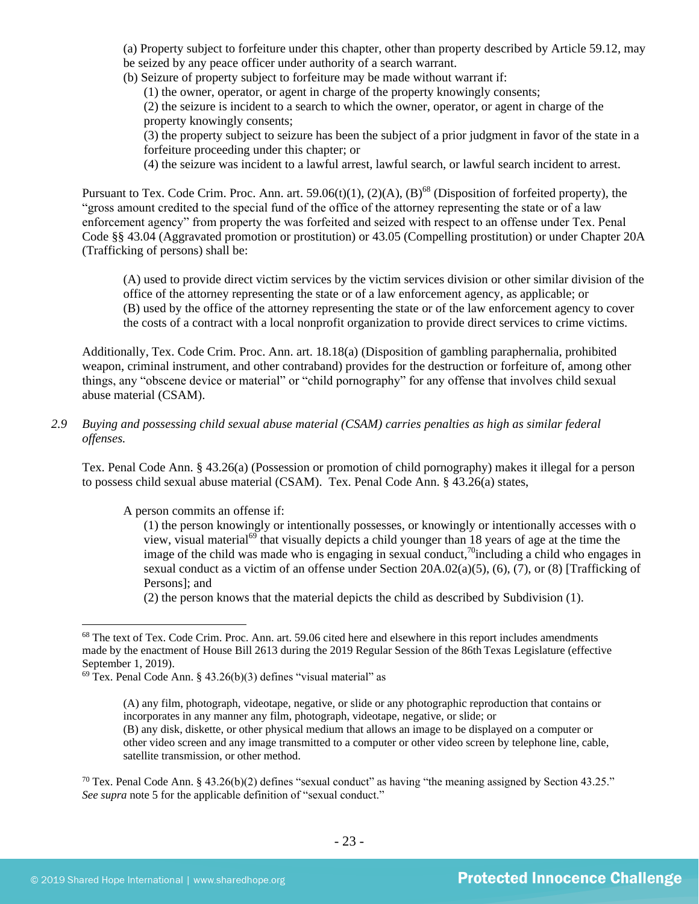(a) Property subject to forfeiture under this chapter, other than property described by Article 59.12, may be seized by any peace officer under authority of a search warrant.

(b) Seizure of property subject to forfeiture may be made without warrant if:

(1) the owner, operator, or agent in charge of the property knowingly consents;

(2) the seizure is incident to a search to which the owner, operator, or agent in charge of the property knowingly consents;

(3) the property subject to seizure has been the subject of a prior judgment in favor of the state in a forfeiture proceeding under this chapter; or

<span id="page-22-1"></span>(4) the seizure was incident to a lawful arrest, lawful search, or lawful search incident to arrest.

Pursuant to Tex. Code Crim. Proc. Ann. art.  $59.06(t)(1)$ ,  $(2)(A)$ ,  $(B)$ <sup>68</sup> (Disposition of forfeited property), the "gross amount credited to the special fund of the office of the attorney representing the state or of a law enforcement agency" from property the was forfeited and seized with respect to an offense under Tex. Penal Code §§ 43.04 (Aggravated promotion or prostitution) or 43.05 (Compelling prostitution) or under Chapter 20A (Trafficking of persons) shall be:

(A) used to provide direct victim services by the victim services division or other similar division of the office of the attorney representing the state or of a law enforcement agency, as applicable; or (B) used by the office of the attorney representing the state or of the law enforcement agency to cover the costs of a contract with a local nonprofit organization to provide direct services to crime victims.

Additionally, Tex. Code Crim. Proc. Ann. art. 18.18(a) (Disposition of gambling paraphernalia, prohibited weapon, criminal instrument, and other contraband) provides for the destruction or forfeiture of, among other things, any "obscene device or material" or "child pornography" for any offense that involves child sexual abuse material (CSAM).

## *2.9 Buying and possessing child sexual abuse material (CSAM) carries penalties as high as similar federal offenses.*

Tex. Penal Code Ann. § 43.26(a) (Possession or promotion of child pornography) makes it illegal for a person to possess child sexual abuse material (CSAM). Tex. Penal Code Ann. § 43.26(a) states,

A person commits an offense if:

<span id="page-22-0"></span>(1) the person knowingly or intentionally possesses, or knowingly or intentionally accesses with o view, visual material<sup> $69$ </sup> that visually depicts a child younger than 18 years of age at the time the image of the child was made who is engaging in sexual conduct,<sup>70</sup>including a child who engages in sexual conduct as a victim of an offense under Section 20A.02(a)(5), (6), (7), or (8) [Trafficking of Persons]; and

(2) the person knows that the material depicts the child as described by Subdivision (1).

<sup>&</sup>lt;sup>68</sup> The text of Tex. Code Crim. Proc. Ann. art. 59.06 cited here and elsewhere in this report includes amendments made by the enactment of House Bill 2613 during the 2019 Regular Session of the 86th Texas Legislature (effective September 1, 2019).

 $69$  Tex. Penal Code Ann. § 43.26(b)(3) defines "visual material" as

<sup>(</sup>A) any film, photograph, videotape, negative, or slide or any photographic reproduction that contains or incorporates in any manner any film, photograph, videotape, negative, or slide; or (B) any disk, diskette, or other physical medium that allows an image to be displayed on a computer or other video screen and any image transmitted to a computer or other video screen by telephone line, cable, satellite transmission, or other method.

<sup>&</sup>lt;sup>70</sup> Tex. Penal Code Ann. § 43.26(b)(2) defines "sexual conduct" as having "the meaning assigned by Section 43.25." *See supra* note [5](#page-1-1) for the applicable definition of "sexual conduct."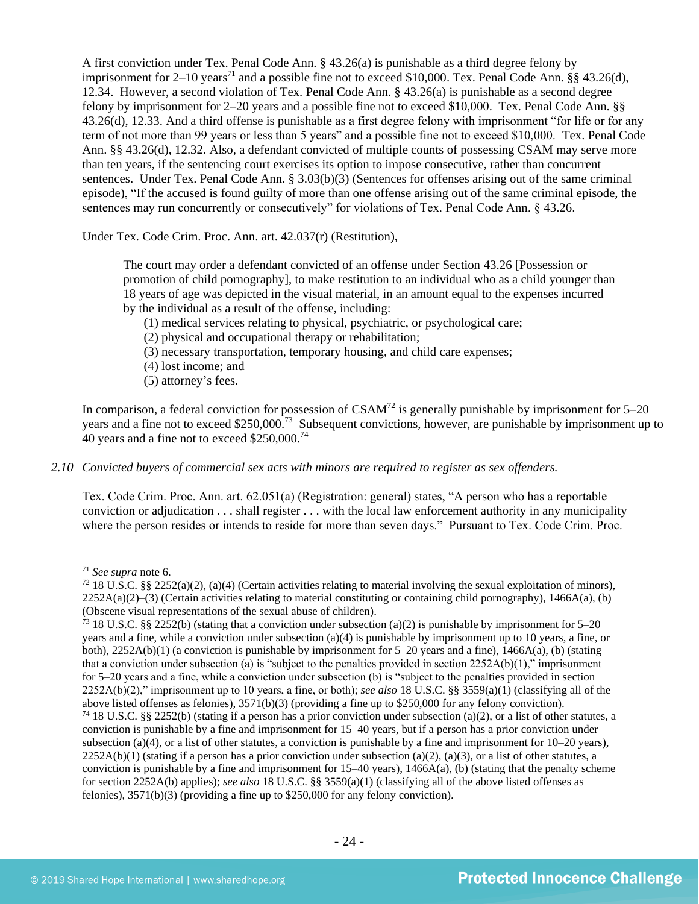A first conviction under Tex. Penal Code Ann. § 43.26(a) is punishable as a third degree felony by imprisonment for 2–10 years<sup>71</sup> and a possible fine not to exceed \$10,000. Tex. Penal Code Ann. §§ 43.26(d), 12.34. However, a second violation of Tex. Penal Code Ann. § 43.26(a) is punishable as a second degree felony by imprisonment for 2–20 years and a possible fine not to exceed \$10,000. Tex. Penal Code Ann. §§ 43.26(d), 12.33. And a third offense is punishable as a first degree felony with imprisonment "for life or for any term of not more than 99 years or less than 5 years" and a possible fine not to exceed \$10,000. Tex. Penal Code Ann. §§ 43.26(d), 12.32. Also, a defendant convicted of multiple counts of possessing CSAM may serve more than ten years, if the sentencing court exercises its option to impose consecutive, rather than concurrent sentences. Under Tex. Penal Code Ann. § 3.03(b)(3) (Sentences for offenses arising out of the same criminal episode), "If the accused is found guilty of more than one offense arising out of the same criminal episode, the sentences may run concurrently or consecutively" for violations of Tex. Penal Code Ann. § 43.26.

Under Tex. Code Crim. Proc. Ann. art. 42.037(r) (Restitution),

The court may order a defendant convicted of an offense under Section [43.26](http://www.statutes.legis.state.tx.us/GetStatute.aspx?Code=PE&Value=43.26&Date=6/1/2015) [Possession or promotion of child pornography], to make restitution to an individual who as a child younger than 18 years of age was depicted in the visual material, in an amount equal to the expenses incurred by the individual as a result of the offense, including:

- (1) medical services relating to physical, psychiatric, or psychological care;
- (2) physical and occupational therapy or rehabilitation;
- (3) necessary transportation, temporary housing, and child care expenses;
- (4) lost income; and
- (5) attorney's fees.

In comparison, a federal conviction for possession of  $CSAM<sup>72</sup>$  is generally punishable by imprisonment for  $5-20$ years and a fine not to exceed \$250,000.<sup>73</sup> Subsequent convictions, however, are punishable by imprisonment up to 40 years and a fine not to exceed  $$250,000.<sup>74</sup>$ 

#### *2.10 Convicted buyers of commercial sex acts with minors are required to register as sex offenders.*

Tex. Code Crim. Proc. Ann. art. 62.051(a) (Registration: general) states, "A person who has a reportable conviction or adjudication . . . shall register . . . with the local law enforcement authority in any municipality where the person resides or intends to reside for more than seven days." Pursuant to Tex. Code Crim. Proc.

<sup>71</sup> *See supra* note [6.](#page-1-0)

<sup>&</sup>lt;sup>72</sup> 18 U.S.C. §§ 2252(a)(2), (a)(4) (Certain activities relating to material involving the sexual exploitation of minors),  $2252A(a)(2)$ –(3) (Certain activities relating to material constituting or containing child pornography), 1466A(a), (b) (Obscene visual representations of the sexual abuse of children).

<sup>&</sup>lt;sup>73</sup> 18 U.S.C. §§ 2252(b) (stating that a conviction under subsection (a)(2) is punishable by imprisonment for 5–20 years and a fine, while a conviction under subsection (a)(4) is punishable by imprisonment up to 10 years, a fine, or both), 2252A(b)(1) (a conviction is punishable by imprisonment for 5–20 years and a fine), 1466A(a), (b) (stating that a conviction under subsection (a) is "subject to the penalties provided in section  $2252A(b)(1)$ ," imprisonment for 5–20 years and a fine, while a conviction under subsection (b) is "subject to the penalties provided in section 2252A(b)(2)," imprisonment up to 10 years, a fine, or both); *see also* 18 U.S.C. §§ 3559(a)(1) (classifying all of the above listed offenses as felonies), 3571(b)(3) (providing a fine up to \$250,000 for any felony conviction).

<sup>&</sup>lt;sup>74</sup> 18 U.S.C. §§ 2252(b) (stating if a person has a prior conviction under subsection (a)(2), or a list of other statutes, a conviction is punishable by a fine and imprisonment for 15–40 years, but if a person has a prior conviction under subsection (a)(4), or a list of other statutes, a conviction is punishable by a fine and imprisonment for  $10-20$  years),  $2252A(b)(1)$  (stating if a person has a prior conviction under subsection (a)(2), (a)(3), or a list of other statutes, a conviction is punishable by a fine and imprisonment for  $15-40$  years),  $1466A(a)$ , (b) (stating that the penalty scheme for section 2252A(b) applies); *see also* 18 U.S.C. §§ 3559(a)(1) (classifying all of the above listed offenses as felonies), 3571(b)(3) (providing a fine up to \$250,000 for any felony conviction).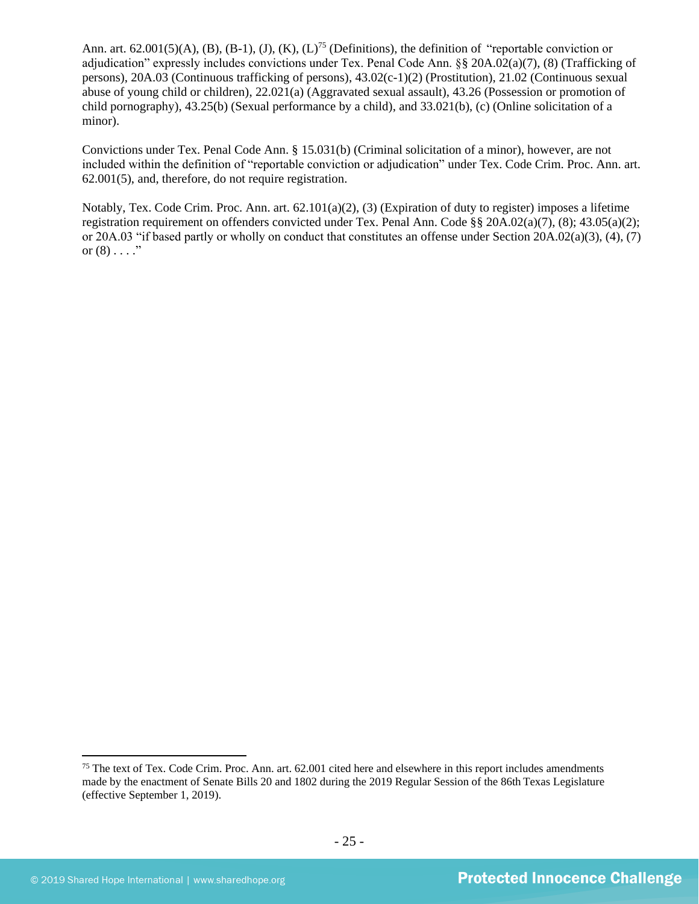<span id="page-24-0"></span>Ann. art. 62.001(5)(A), (B), (B-1), (J), (K), (L)<sup>75</sup> (Definitions), the definition of "reportable conviction or adjudication" expressly includes convictions under Tex. Penal Code Ann. §§ 20A.02(a)(7), (8) (Trafficking of persons), 20A.03 (Continuous trafficking of persons), 43.02(c-1)(2) (Prostitution), 21.02 (Continuous sexual abuse of young child or children), 22.021(a) (Aggravated sexual assault), 43.26 (Possession or promotion of child pornography), 43.25(b) (Sexual performance by a child), and 33.021(b), (c) (Online solicitation of a minor).

Convictions under Tex. Penal Code Ann. § 15.031(b) (Criminal solicitation of a minor), however, are not included within the definition of "reportable conviction or adjudication" under Tex. Code Crim. Proc. Ann. art. 62.001(5), and, therefore, do not require registration.

Notably, Tex. Code Crim. Proc. Ann. art. 62.101(a)(2), (3) (Expiration of duty to register) imposes a lifetime registration requirement on offenders convicted under Tex. Penal Ann. Code §§ 20A.02(a)(7), (8); 43.05(a)(2); or 20A.03 "if based partly or wholly on conduct that constitutes an offense under Section 20A.02(a)(3), (4), (7) or  $(8)$  . . . ."

 $75$  The text of Tex. Code Crim. Proc. Ann. art. 62.001 cited here and elsewhere in this report includes amendments made by the enactment of Senate Bills 20 and 1802 during the 2019 Regular Session of the 86th Texas Legislature (effective September 1, 2019).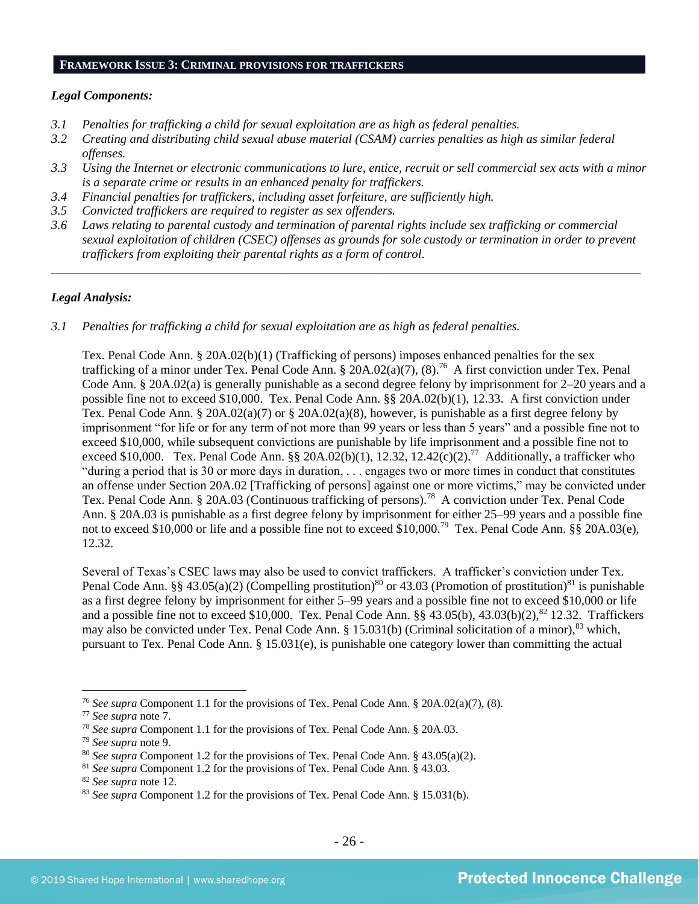#### **FRAMEWORK ISSUE 3: CRIMINAL PROVISIONS FOR TRAFFICKERS**

#### *Legal Components:*

- *3.1 Penalties for trafficking a child for sexual exploitation are as high as federal penalties.*
- *3.2 Creating and distributing child sexual abuse material (CSAM) carries penalties as high as similar federal offenses.*
- *3.3 Using the Internet or electronic communications to lure, entice, recruit or sell commercial sex acts with a minor is a separate crime or results in an enhanced penalty for traffickers.*
- *3.4 Financial penalties for traffickers, including asset forfeiture, are sufficiently high.*
- *3.5 Convicted traffickers are required to register as sex offenders.*
- *3.6 Laws relating to parental custody and termination of parental rights include sex trafficking or commercial sexual exploitation of children (CSEC) offenses as grounds for sole custody or termination in order to prevent traffickers from exploiting their parental rights as a form of control.*

\_\_\_\_\_\_\_\_\_\_\_\_\_\_\_\_\_\_\_\_\_\_\_\_\_\_\_\_\_\_\_\_\_\_\_\_\_\_\_\_\_\_\_\_\_\_\_\_\_\_\_\_\_\_\_\_\_\_\_\_\_\_\_\_\_\_\_\_\_\_\_\_\_\_\_\_\_\_\_\_\_\_\_\_\_\_\_\_\_\_\_\_\_\_

#### *Legal Analysis:*

*3.1 Penalties for trafficking a child for sexual exploitation are as high as federal penalties.* 

Tex. Penal Code Ann. § 20A.02(b)(1) (Trafficking of persons) imposes enhanced penalties for the sex trafficking of a minor under Tex. Penal Code Ann.  $\S$  20A.02(a)(7), (8).<sup>76</sup> A first conviction under Tex. Penal Code Ann. § 20A.02(a) is generally punishable as a second degree felony by imprisonment for 2–20 years and a possible fine not to exceed \$10,000. Tex. Penal Code Ann. §§ 20A.02(b)(1), 12.33. A first conviction under Tex. Penal Code Ann. §  $20A.02(a)(7)$  or §  $20A.02(a)(8)$ , however, is punishable as a first degree felony by imprisonment "for life or for any term of not more than 99 years or less than 5 years" and a possible fine not to exceed \$10,000, while subsequent convictions are punishable by life imprisonment and a possible fine not to exceed \$10,000. Tex. Penal Code Ann. §§ 20A.02(b)(1), 12.32, 12.42(c)(2).<sup>77</sup> Additionally, a trafficker who "during a period that is 30 or more days in duration, . . . engages two or more times in conduct that constitutes an offense under Section 20A.02 [Trafficking of persons] against one or more victims," may be convicted under Tex. Penal Code Ann. § 20A.03 (Continuous trafficking of persons).<sup>78</sup> A conviction under Tex. Penal Code Ann. § 20A.03 is punishable as a first degree felony by imprisonment for either 25–99 years and a possible fine not to exceed \$10,000 or life and a possible fine not to exceed \$10,000.<sup>79</sup> Tex. Penal Code Ann. §§ 20A.03(e), 12.32.

Several of Texas's CSEC laws may also be used to convict traffickers. A trafficker's conviction under Tex. Penal Code Ann. §§ 43.05(a)(2) (Compelling prostitution)<sup>80</sup> or 43.03 (Promotion of prostitution)<sup>81</sup> is punishable as a first degree felony by imprisonment for either 5–99 years and a possible fine not to exceed \$10,000 or life and a possible fine not to exceed \$10,000. Tex. Penal Code Ann. §§ 43.05(b), 43.03(b)(2),<sup>82</sup> 12.32. Traffickers may also be convicted under Tex. Penal Code Ann.  $\S$  15.031(b) (Criminal solicitation of a minor),  $83$  which, pursuant to Tex. Penal Code Ann. § 15.031(e), is punishable one category lower than committing the actual

<sup>76</sup> *See supra* Component 1.1 for the provisions of Tex. Penal Code Ann. § 20A.02(a)(7), (8).

<sup>77</sup> *See supra* note [7.](#page-2-0) 

<sup>78</sup> *See supra* Component 1.1 for the provisions of Tex. Penal Code Ann. § 20A.03.

<sup>79</sup> *See supra* note [9.](#page-3-0) 

<sup>80</sup> *See supra* Component 1.2 for the provisions of Tex. Penal Code Ann. § 43.05(a)(2).

<sup>81</sup> *See supra* Component 1.2 for the provisions of Tex. Penal Code Ann. § 43.03.

<sup>82</sup> *See supra* note [12.](#page-4-2)

<sup>83</sup> *See supra* Component 1.2 for the provisions of Tex. Penal Code Ann. § 15.031(b).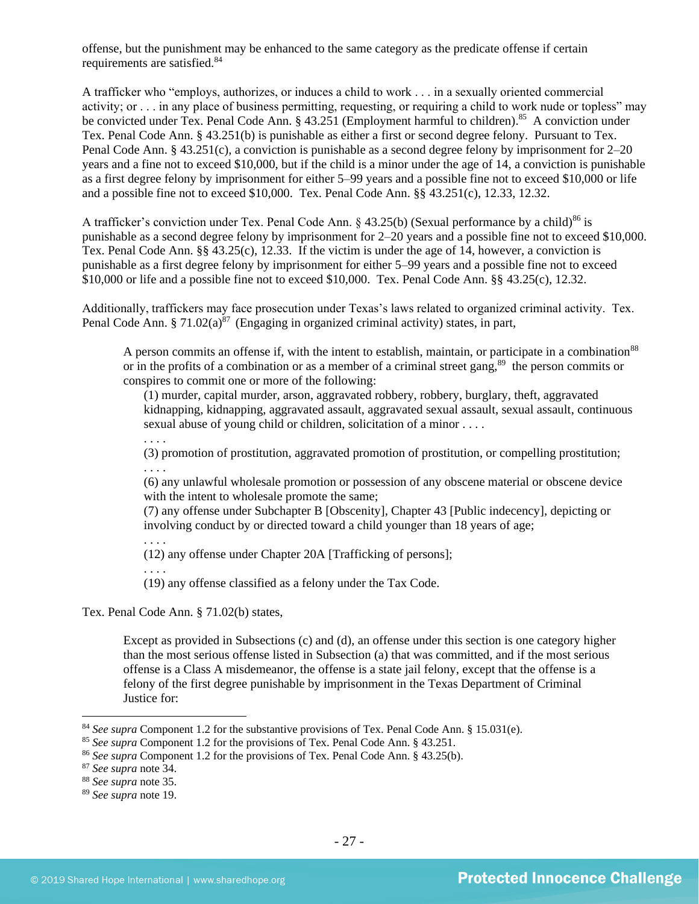offense, but the punishment may be enhanced to the same category as the predicate offense if certain requirements are satisfied.<sup>84</sup>

A trafficker who "employs, authorizes, or induces a child to work . . . in a sexually oriented commercial activity; or . . . in any place of business permitting, requesting, or requiring a child to work nude or topless" may be convicted under Tex. Penal Code Ann. § 43.251 (Employment harmful to children).<sup>85</sup> A conviction under Tex. Penal Code Ann. § 43.251(b) is punishable as either a first or second degree felony. Pursuant to Tex. Penal Code Ann. § 43.251(c), a conviction is punishable as a second degree felony by imprisonment for 2–20 years and a fine not to exceed \$10,000, but if the child is a minor under the age of 14, a conviction is punishable as a first degree felony by imprisonment for either 5–99 years and a possible fine not to exceed \$10,000 or life and a possible fine not to exceed \$10,000. Tex. Penal Code Ann. §§ 43.251(c), 12.33, 12.32.

A trafficker's conviction under Tex. Penal Code Ann. § 43.25(b) (Sexual performance by a child)<sup>86</sup> is punishable as a second degree felony by imprisonment for 2–20 years and a possible fine not to exceed \$10,000. Tex. Penal Code Ann. §§ 43.25(c), 12.33. If the victim is under the age of 14, however, a conviction is punishable as a first degree felony by imprisonment for either 5–99 years and a possible fine not to exceed \$10,000 or life and a possible fine not to exceed \$10,000. Tex. Penal Code Ann. §§ 43.25(c), 12.32.

Additionally, traffickers may face prosecution under Texas's laws related to organized criminal activity. Tex. Penal Code Ann.  $871.02(a)^{87}$  (Engaging in organized criminal activity) states, in part,

A person commits an offense if, with the intent to establish, maintain, or participate in a combination<sup>88</sup> or in the profits of a combination or as a member of a criminal street gang,  $89$  the person commits or conspires to commit one or more of the following:

(1) murder, capital murder, arson, aggravated robbery, robbery, burglary, theft, aggravated kidnapping, kidnapping, aggravated assault, aggravated sexual assault, sexual assault, continuous sexual abuse of young child or children, solicitation of a minor . . . .

(3) promotion of prostitution, aggravated promotion of prostitution, or compelling prostitution; . . . .

(6) any unlawful wholesale promotion or possession of any obscene material or obscene device with the intent to wholesale promote the same;

(7) any offense under Subchapter B [Obscenity], Chapter 43 [Public indecency], depicting or involving conduct by or directed toward a child younger than 18 years of age;

. . . . (12) any offense under Chapter 20A [Trafficking of persons];

. . . .

. . . .

(19) any offense classified as a felony under the Tax Code.

Tex. Penal Code Ann. § 71.02(b) states,

Except as provided in Subsections (c) and (d), an offense under this section is one category higher than the most serious offense listed in Subsection (a) that was committed, and if the most serious offense is a Class A misdemeanor, the offense is a state jail felony, except that the offense is a felony of the first degree punishable by imprisonment in the Texas Department of Criminal Justice for:

<sup>84</sup> *See supra* Component 1.2 for the substantive provisions of Tex. Penal Code Ann. § 15.031(e).

<sup>&</sup>lt;sup>85</sup> *See supra* Component 1.2 for the provisions of Tex. Penal Code Ann. § 43.251.

<sup>86</sup> *See supra* Component 1.2 for the provisions of Tex. Penal Code Ann. § 43.25(b).

<sup>87</sup> *See supra* note [34.](#page-10-0)

<sup>88</sup> *See supra* note [35.](#page-10-1)

<sup>89</sup> *See supra* note [19.](#page-5-0)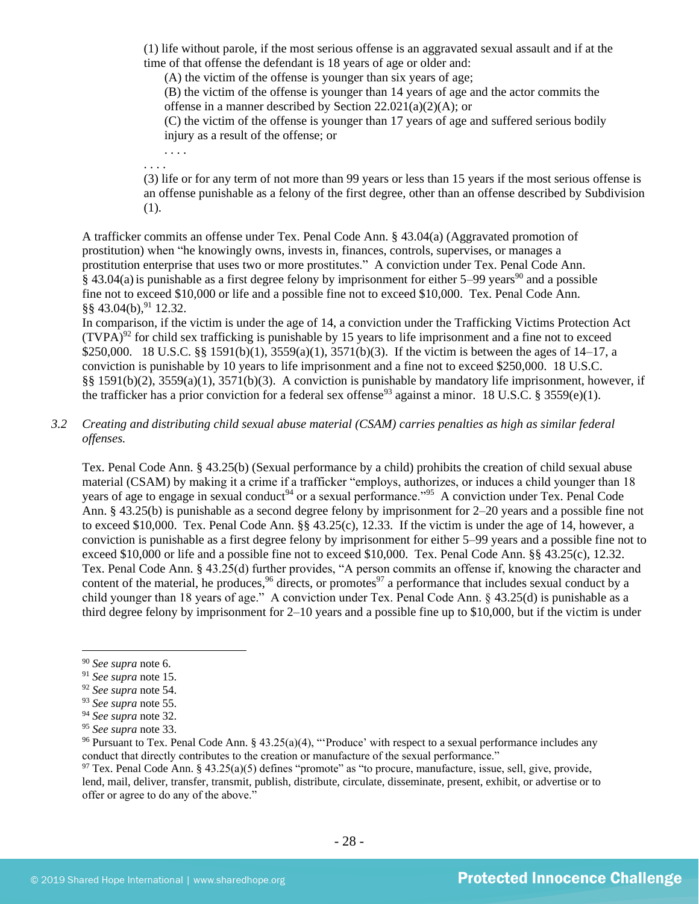(1) life without parole, if the most serious offense is an aggravated sexual assault and if at the time of that offense the defendant is 18 years of age or older and:

(A) the victim of the offense is younger than six years of age;

(B) the victim of the offense is younger than 14 years of age and the actor commits the offense in a manner described by Section 22.021(a)(2)(A); or

(C) the victim of the offense is younger than 17 years of age and suffered serious bodily injury as a result of the offense; or

. . . . (3) life or for any term of not more than 99 years or less than 15 years if the most serious offense is an offense punishable as a felony of the first degree, other than an offense described by Subdivision (1).

A trafficker commits an offense under Tex. Penal Code Ann. § 43.04(a) (Aggravated promotion of prostitution) when "he knowingly owns, invests in, finances, controls, supervises, or manages a prostitution enterprise that uses two or more prostitutes." A conviction under Tex. Penal Code Ann. § 43.04(a) is punishable as a first degree felony by imprisonment for either 5–99 years<sup>90</sup> and a possible fine not to exceed \$10,000 or life and a possible fine not to exceed \$10,000. Tex. Penal Code Ann.  $§$ § 43.04(b),<sup>91</sup> 12.32.

In comparison, if the victim is under the age of 14, a conviction under the Trafficking Victims Protection Act  $(TVPA)^{92}$  for child sex trafficking is punishable by 15 years to life imprisonment and a fine not to exceed \$250,000. 18 U.S.C. §§ 1591(b)(1), 3559(a)(1), 3571(b)(3). If the victim is between the ages of 14–17, a conviction is punishable by 10 years to life imprisonment and a fine not to exceed \$250,000. 18 U.S.C. §§ 1591(b)(2), 3559(a)(1), 3571(b)(3). A conviction is punishable by mandatory life imprisonment, however, if the trafficker has a prior conviction for a federal sex offense<sup>93</sup> against a minor. 18 U.S.C. § 3559(e)(1).

## *3.2 Creating and distributing child sexual abuse material (CSAM) carries penalties as high as similar federal offenses.*

Tex. Penal Code Ann. § 43.25(b) (Sexual performance by a child) prohibits the creation of child sexual abuse material (CSAM) by making it a crime if a trafficker "employs, authorizes, or induces a child younger than 18 years of age to engage in sexual conduct<sup>94</sup> or a sexual performance."<sup>95</sup> A conviction under Tex. Penal Code Ann. § 43.25(b) is punishable as a second degree felony by imprisonment for 2–20 years and a possible fine not to exceed \$10,000. Tex. Penal Code Ann. §§ 43.25(c), 12.33. If the victim is under the age of 14, however, a conviction is punishable as a first degree felony by imprisonment for either 5–99 years and a possible fine not to exceed \$10,000 or life and a possible fine not to exceed \$10,000. Tex. Penal Code Ann. §§ 43.25(c), 12.32. Tex. Penal Code Ann. § 43.25(d) further provides, "A person commits an offense if, knowing the character and content of the material, he produces, <sup>96</sup> directs, or promotes<sup>97</sup> a performance that includes sexual conduct by a child younger than 18 years of age." A conviction under Tex. Penal Code Ann. § 43.25(d) is punishable as a third degree felony by imprisonment for 2–10 years and a possible fine up to \$10,000, but if the victim is under

. . . .

 $97$  Tex. Penal Code Ann. § 43.25(a)(5) defines "promote" as "to procure, manufacture, issue, sell, give, provide, lend, mail, deliver, transfer, transmit, publish, distribute, circulate, disseminate, present, exhibit, or advertise or to offer or agree to do any of the above."

<span id="page-27-0"></span><sup>90</sup> *See supra* note [6.](#page-1-0)

<sup>91</sup> *See supra* note [15.](#page-4-3)

<sup>92</sup> *See supra* note [54.](#page-17-0)

<sup>93</sup> *See supra* note [55.](#page-17-1)

<sup>94</sup> *See supra* note [32.](#page-9-0) 

<sup>95</sup> *See supra* note [33.](#page-9-1) 

<sup>96</sup> Pursuant to Tex. Penal Code Ann. § 43.25(a)(4), "'Produce' with respect to a sexual performance includes any conduct that directly contributes to the creation or manufacture of the sexual performance."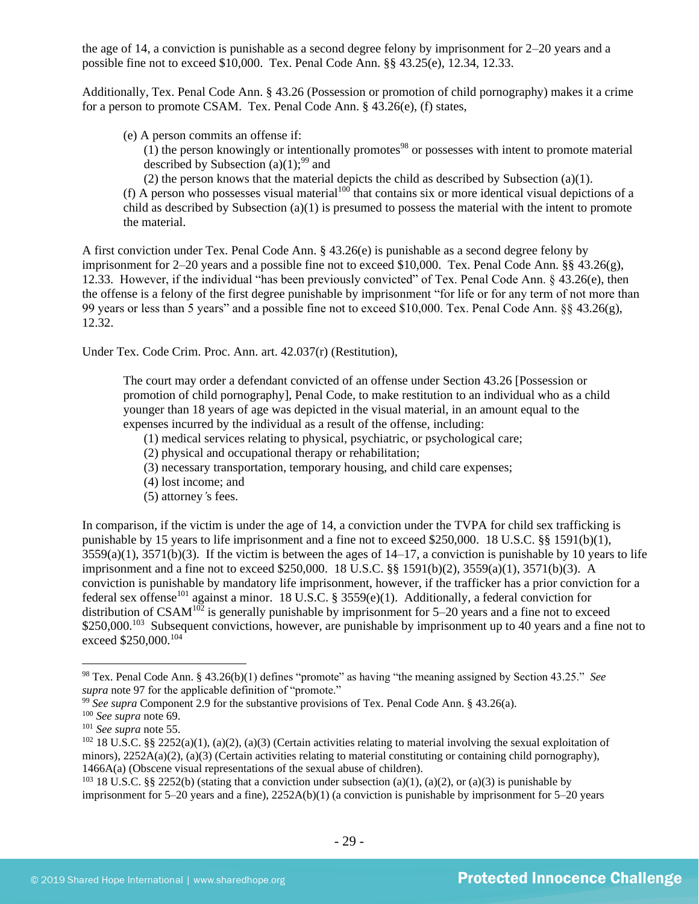the age of 14, a conviction is punishable as a second degree felony by imprisonment for 2–20 years and a possible fine not to exceed \$10,000. Tex. Penal Code Ann. §§ 43.25(e), 12.34, 12.33.

Additionally, Tex. Penal Code Ann. § 43.26 (Possession or promotion of child pornography) makes it a crime for a person to promote CSAM. Tex. Penal Code Ann. § 43.26(e), (f) states,

(e) A person commits an offense if:

 $(1)$  the person knowingly or intentionally promotes<sup>98</sup> or possesses with intent to promote material described by Subsection  $(a)(1);^{99}$  and

(2) the person knows that the material depicts the child as described by Subsection (a)(1).

(f) A person who possesses visual material<sup>100</sup> that contains six or more identical visual depictions of a child as described by Subsection (a)(1) is presumed to possess the material with the intent to promote the material.

A first conviction under Tex. Penal Code Ann. § 43.26(e) is punishable as a second degree felony by imprisonment for 2–20 years and a possible fine not to exceed \$10,000. Tex. Penal Code Ann. §§ 43.26(g), 12.33. However, if the individual "has been previously convicted" of Tex. Penal Code Ann. § 43.26(e), then the offense is a felony of the first degree punishable by imprisonment "for life or for any term of not more than 99 years or less than 5 years" and a possible fine not to exceed \$10,000. Tex. Penal Code Ann. §§ 43.26(g), 12.32.

Under Tex. Code Crim. Proc. Ann. art. 42.037(r) (Restitution),

The court may order a defendant convicted of an offense under Section 43.26 [Possession or promotion of child pornography], Penal Code, to make restitution to an individual who as a child younger than 18 years of age was depicted in the visual material, in an amount equal to the expenses incurred by the individual as a result of the offense, including:

- (1) medical services relating to physical, psychiatric, or psychological care;
- (2) physical and occupational therapy or rehabilitation;
- (3) necessary transportation, temporary housing, and child care expenses;
- (4) lost income; and
- (5) attorney*'*s fees.

In comparison, if the victim is under the age of 14, a conviction under the TVPA for child sex trafficking is punishable by 15 years to life imprisonment and a fine not to exceed \$250,000. 18 U.S.C. §§ 1591(b)(1),  $3559(a)(1)$ ,  $3571(b)(3)$ . If the victim is between the ages of  $14-17$ , a conviction is punishable by 10 years to life imprisonment and a fine not to exceed \$250,000. 18 U.S.C. §§ 1591(b)(2), 3559(a)(1), 3571(b)(3). A conviction is punishable by mandatory life imprisonment, however, if the trafficker has a prior conviction for a federal sex offense<sup>101</sup> against a minor. 18 U.S.C. § 3559(e)(1). Additionally, a federal conviction for distribution of  $CSAM^{102}$  is generally punishable by imprisonment for 5–20 years and a fine not to exceed \$250,000.<sup>103</sup> Subsequent convictions, however, are punishable by imprisonment up to 40 years and a fine not to exceed \$250,000.<sup>104</sup>

<sup>98</sup> Tex. Penal Code Ann. § 43.26(b)(1) defines "promote" as having "the meaning assigned by Section 43.25." *See supra* note [97](#page-27-0) for the applicable definition of "promote."

<sup>99</sup> *See supra* Component 2.9 for the substantive provisions of Tex. Penal Code Ann. § 43.26(a).

<sup>100</sup> *See supra* not[e 69.](#page-22-0)

<sup>101</sup> *See supra* not[e 55.](#page-17-1)

 $102$  18 U.S.C. §§ 2252(a)(1), (a)(2), (a)(3) (Certain activities relating to material involving the sexual exploitation of minors),  $2252A(a)(2)$ , (a)(3) (Certain activities relating to material constituting or containing child pornography), 1466A(a) (Obscene visual representations of the sexual abuse of children).

<sup>&</sup>lt;sup>103</sup> 18 U.S.C. §§ 2252(b) (stating that a conviction under subsection (a)(1), (a)(2), or (a)(3) is punishable by imprisonment for 5–20 years and a fine), 2252A(b)(1) (a conviction is punishable by imprisonment for 5–20 years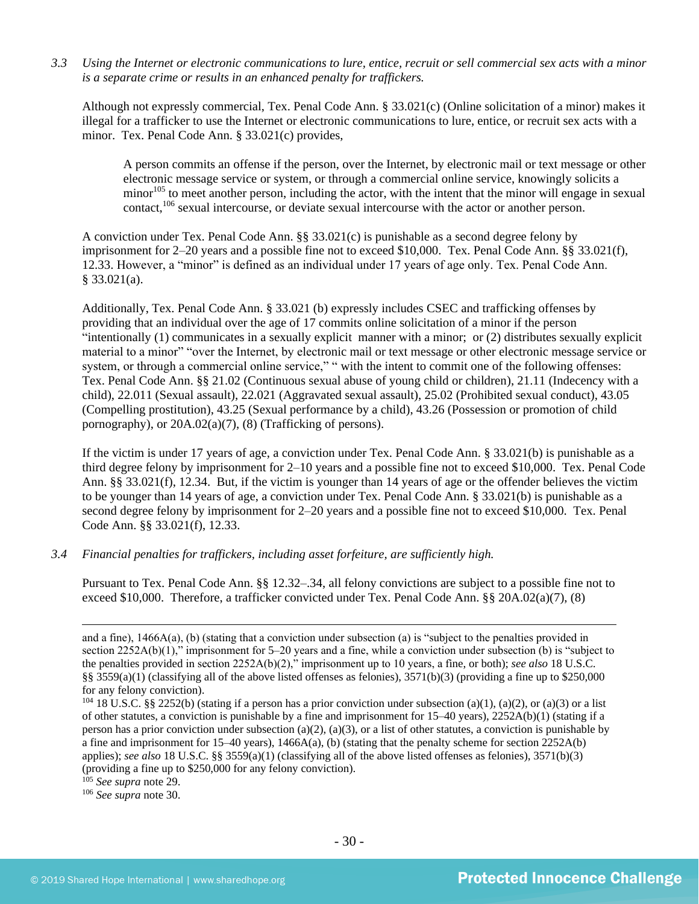*3.3 Using the Internet or electronic communications to lure, entice, recruit or sell commercial sex acts with a minor is a separate crime or results in an enhanced penalty for traffickers.*

Although not expressly commercial, Tex. Penal Code Ann. § 33.021(c) (Online solicitation of a minor) makes it illegal for a trafficker to use the Internet or electronic communications to lure, entice, or recruit sex acts with a minor. Tex. Penal Code Ann. § 33.021(c) provides,

A person commits an offense if the person, over the Internet, by electronic mail or text message or other electronic message service or system, or through a commercial online service, knowingly solicits a  $minor<sup>105</sup>$  to meet another person, including the actor, with the intent that the minor will engage in sexual contact,<sup>106</sup> sexual intercourse, or deviate sexual intercourse with the actor or another person.

A conviction under Tex. Penal Code Ann. §§ 33.021(c) is punishable as a second degree felony by imprisonment for 2–20 years and a possible fine not to exceed \$10,000. Tex. Penal Code Ann. §§ 33.021(f), 12.33. However, a "minor" is defined as an individual under 17 years of age only. Tex. Penal Code Ann. § 33.021(a).

Additionally, Tex. Penal Code Ann. § 33.021 (b) expressly includes CSEC and trafficking offenses by providing that an individual over the age of 17 commits online solicitation of a minor if the person "intentionally (1) communicates in a sexually explicit manner with a minor; or (2) distributes sexually explicit material to a minor" "over the Internet, by electronic mail or text message or other electronic message service or system, or through a commercial online service," " with the intent to commit one of the following offenses: Tex. Penal Code Ann. §§ 21.02 (Continuous sexual abuse of young child or children), 21.11 (Indecency with a child), 22.011 (Sexual assault), 22.021 (Aggravated sexual assault), 25.02 (Prohibited sexual conduct), 43.05 (Compelling prostitution), 43.25 (Sexual performance by a child), 43.26 (Possession or promotion of child pornography), or 20A.02(a)(7), (8) (Trafficking of persons).

If the victim is under 17 years of age, a conviction under Tex. Penal Code Ann. § 33.021(b) is punishable as a third degree felony by imprisonment for 2–10 years and a possible fine not to exceed \$10,000. Tex. Penal Code Ann. §§ 33.021(f), 12.34. But, if the victim is younger than 14 years of age or the offender believes the victim to be younger than 14 years of age, a conviction under Tex. Penal Code Ann. § 33.021(b) is punishable as a second degree felony by imprisonment for 2–20 years and a possible fine not to exceed \$10,000. Tex. Penal Code Ann. §§ 33.021(f), 12.33.

*3.4 Financial penalties for traffickers, including asset forfeiture, are sufficiently high.*

Pursuant to Tex. Penal Code Ann. §§ 12.32–.34, all felony convictions are subject to a possible fine not to exceed \$10,000. Therefore, a trafficker convicted under Tex. Penal Code Ann. §§ 20A.02(a)(7), (8)

<sup>106</sup> *See supra* not[e 30.](#page-8-2)

and a fine), 1466A(a), (b) (stating that a conviction under subsection (a) is "subject to the penalties provided in section 2252A(b)(1)," imprisonment for 5–20 years and a fine, while a conviction under subsection (b) is "subject to the penalties provided in section 2252A(b)(2)," imprisonment up to 10 years, a fine, or both); *see also* 18 U.S.C. §§ 3559(a)(1) (classifying all of the above listed offenses as felonies),  $3571(b)(3)$  (providing a fine up to \$250,000 for any felony conviction).

 $104$  18 U.S.C. §§ 2252(b) (stating if a person has a prior conviction under subsection (a)(1), (a)(2), or (a)(3) or a list of other statutes, a conviction is punishable by a fine and imprisonment for 15–40 years), 2252A(b)(1) (stating if a person has a prior conviction under subsection (a)(2), (a)(3), or a list of other statutes, a conviction is punishable by a fine and imprisonment for  $15-40$  years),  $1466A(a)$ , (b) (stating that the penalty scheme for section  $2252A(b)$ applies); *see also* 18 U.S.C. §§ 3559(a)(1) (classifying all of the above listed offenses as felonies), 3571(b)(3) (providing a fine up to \$250,000 for any felony conviction).

<sup>105</sup> *See supra* not[e 29.](#page-8-1)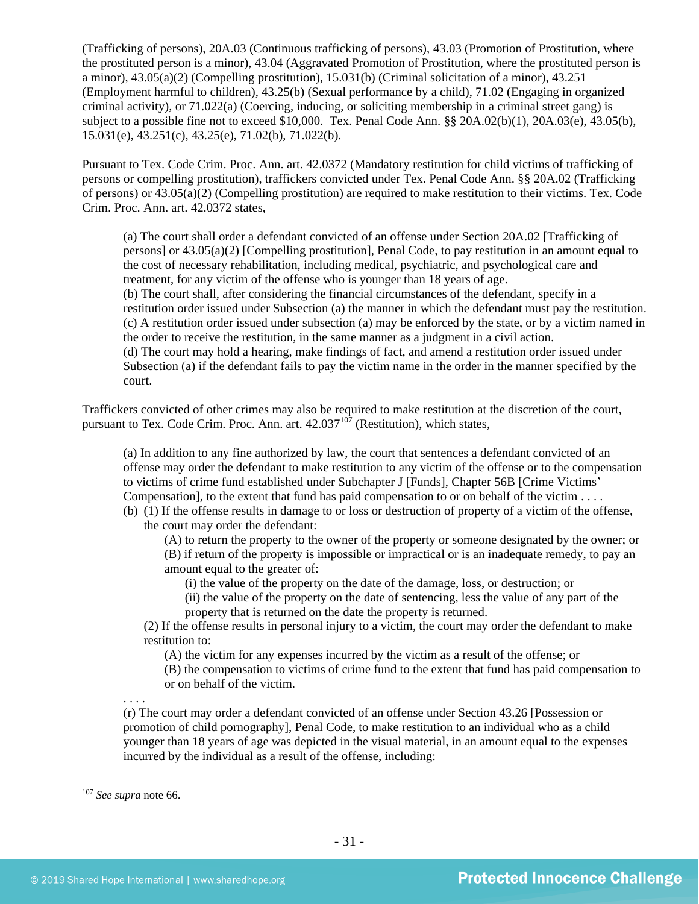(Trafficking of persons), 20A.03 (Continuous trafficking of persons), 43.03 (Promotion of Prostitution, where the prostituted person is a minor), 43.04 (Aggravated Promotion of Prostitution, where the prostituted person is a minor), 43.05(a)(2) (Compelling prostitution), 15.031(b) (Criminal solicitation of a minor), 43.251 (Employment harmful to children), 43.25(b) (Sexual performance by a child), 71.02 (Engaging in organized criminal activity), or 71.022(a) (Coercing, inducing, or soliciting membership in a criminal street gang) is subject to a possible fine not to exceed \$10,000. Tex. Penal Code Ann. §§ 20A.02(b)(1), 20A.03(e), 43.05(b), 15.031(e), 43.251(c), 43.25(e), 71.02(b), 71.022(b).

Pursuant to Tex. Code Crim. Proc. Ann. art. 42.0372 (Mandatory restitution for child victims of trafficking of persons or compelling prostitution), traffickers convicted under Tex. Penal Code Ann. §§ 20A.02 (Trafficking of persons) or 43.05(a)(2) (Compelling prostitution) are required to make restitution to their victims. Tex. Code Crim. Proc. Ann. art. 42.0372 states,

(a) The court shall order a defendant convicted of an offense under Section 20A.02 [Trafficking of persons] or 43.05(a)(2) [Compelling prostitution], Penal Code, to pay restitution in an amount equal to the cost of necessary rehabilitation, including medical, psychiatric, and psychological care and treatment, for any victim of the offense who is younger than 18 years of age. (b) The court shall, after considering the financial circumstances of the defendant, specify in a restitution order issued under Subsection (a) the manner in which the defendant must pay the restitution. (c) A restitution order issued under subsection (a) may be enforced by the state, or by a victim named in the order to receive the restitution, in the same manner as a judgment in a civil action. (d) The court may hold a hearing, make findings of fact, and amend a restitution order issued under Subsection (a) if the defendant fails to pay the victim name in the order in the manner specified by the court.

Traffickers convicted of other crimes may also be required to make restitution at the discretion of the court, pursuant to Tex. Code Crim. Proc. Ann. art.  $42.037^{107}$  (Restitution), which states,

(a) In addition to any fine authorized by law, the court that sentences a defendant convicted of an offense may order the defendant to make restitution to any victim of the offense or to the compensation to victims of crime fund established under Subchapter J [Funds], Chapter 56B [Crime Victims' Compensation], to the extent that fund has paid compensation to or on behalf of the victim . . . .

(b) (1) If the offense results in damage to or loss or destruction of property of a victim of the offense, the court may order the defendant:

(A) to return the property to the owner of the property or someone designated by the owner; or (B) if return of the property is impossible or impractical or is an inadequate remedy, to pay an amount equal to the greater of:

(i) the value of the property on the date of the damage, loss, or destruction; or

(ii) the value of the property on the date of sentencing, less the value of any part of the property that is returned on the date the property is returned.

(2) If the offense results in personal injury to a victim, the court may order the defendant to make restitution to:

(A) the victim for any expenses incurred by the victim as a result of the offense; or

(B) the compensation to victims of crime fund to the extent that fund has paid compensation to or on behalf of the victim.

. . . . (r) The court may order a defendant convicted of an offense under Section 43.26 [Possession or promotion of child pornography], Penal Code, to make restitution to an individual who as a child younger than 18 years of age was depicted in the visual material, in an amount equal to the expenses incurred by the individual as a result of the offense, including:

<sup>107</sup> *See supra* not[e 66.](#page-20-0)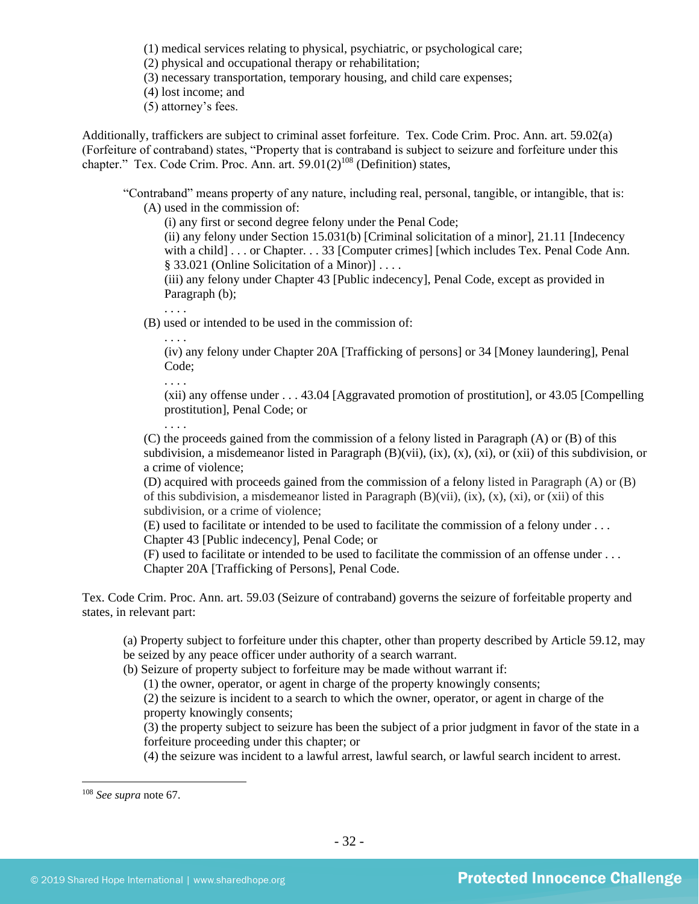(1) medical services relating to physical, psychiatric, or psychological care;

- (2) physical and occupational therapy or rehabilitation;
- (3) necessary transportation, temporary housing, and child care expenses;
- (4) lost income; and
- (5) attorney's fees.

Additionally, traffickers are subject to criminal asset forfeiture. Tex. Code Crim. Proc. Ann. art. 59.02(a) (Forfeiture of contraband) states, "Property that is contraband is subject to seizure and forfeiture under this chapter." Tex. Code Crim. Proc. Ann. art.  $59.01(2)^{108}$  (Definition) states,

"Contraband" means property of any nature, including real, personal, tangible, or intangible, that is: (A) used in the commission of:

(i) any first or second degree felony under the Penal Code;

(ii) any felony under Section 15.031(b) [Criminal solicitation of a minor], 21.11 [Indecency with a child] . . . or Chapter. . . 33 [Computer crimes] [which includes Tex. Penal Code Ann. § 33.021 (Online Solicitation of a Minor)] . . . .

(iii) any felony under Chapter 43 [Public indecency], Penal Code, except as provided in Paragraph (b);

. . . .

(B) used or intended to be used in the commission of:

. . . .

(iv) any felony under Chapter 20A [Trafficking of persons] or 34 [Money laundering], Penal Code;

. . . .

. . . .

(xii) any offense under . . . 43.04 [Aggravated promotion of prostitution], or 43.05 [Compelling prostitution], Penal Code; or

(C) the proceeds gained from the commission of a felony listed in Paragraph (A) or (B) of this subdivision, a misdemeanor listed in Paragraph  $(B)(vii)$ ,  $(ix)$ ,  $(x)$ ,  $(xi)$ , or  $(xii)$  of this subdivision, or a crime of violence;

(D) acquired with proceeds gained from the commission of a felony listed in Paragraph (A) or (B) of this subdivision, a misdemeanor listed in Paragraph  $(B)(vii)$ ,  $(ix)$ ,  $(x)$ ,  $(xi)$ , or  $(xii)$  of this subdivision, or a crime of violence;

(E) used to facilitate or intended to be used to facilitate the commission of a felony under . . . Chapter 43 [Public indecency], Penal Code; or

(F) used to facilitate or intended to be used to facilitate the commission of an offense under . . . Chapter 20A [Trafficking of Persons], Penal Code.

Tex. Code Crim. Proc. Ann. art. 59.03 (Seizure of contraband) governs the seizure of forfeitable property and states, in relevant part:

(a) Property subject to forfeiture under this chapter, other than property described by Article 59.12, may be seized by any peace officer under authority of a search warrant.

(b) Seizure of property subject to forfeiture may be made without warrant if:

(1) the owner, operator, or agent in charge of the property knowingly consents;

(2) the seizure is incident to a search to which the owner, operator, or agent in charge of the property knowingly consents;

(3) the property subject to seizure has been the subject of a prior judgment in favor of the state in a forfeiture proceeding under this chapter; or

(4) the seizure was incident to a lawful arrest, lawful search, or lawful search incident to arrest.

<sup>108</sup> *See supra* not[e 67.](#page-21-0)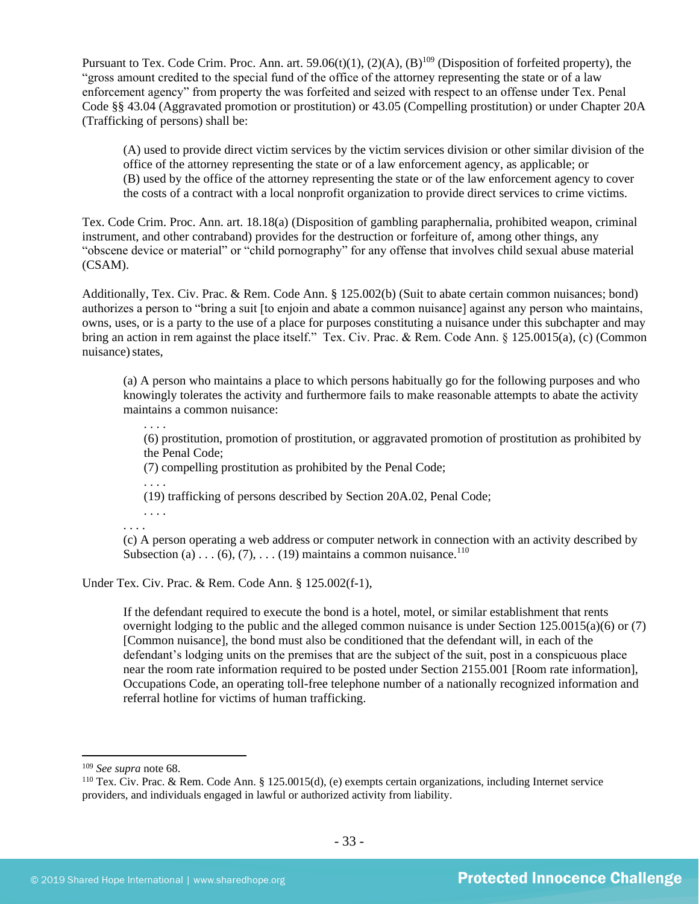Pursuant to Tex. Code Crim. Proc. Ann. art. 59.06(t)(1), (2)(A), (B)<sup>109</sup> (Disposition of forfeited property), the "gross amount credited to the special fund of the office of the attorney representing the state or of a law enforcement agency" from property the was forfeited and seized with respect to an offense under Tex. Penal Code §§ 43.04 (Aggravated promotion or prostitution) or 43.05 (Compelling prostitution) or under Chapter 20A (Trafficking of persons) shall be:

(A) used to provide direct victim services by the victim services division or other similar division of the office of the attorney representing the state or of a law enforcement agency, as applicable; or (B) used by the office of the attorney representing the state or of the law enforcement agency to cover the costs of a contract with a local nonprofit organization to provide direct services to crime victims.

Tex. Code Crim. Proc. Ann. art. 18.18(a) (Disposition of gambling paraphernalia, prohibited weapon, criminal instrument, and other contraband) provides for the destruction or forfeiture of, among other things, any "obscene device or material" or "child pornography" for any offense that involves child sexual abuse material (CSAM).

Additionally, Tex. Civ. Prac. & Rem. Code Ann. § 125.002(b) (Suit to abate certain common nuisances; bond) authorizes a person to "bring a suit [to enjoin and abate a common nuisance] against any person who maintains, owns, uses, or is a party to the use of a place for purposes constituting a nuisance under this subchapter and may bring an action in rem against the place itself." Tex. Civ. Prac. & Rem. Code Ann. § 125.0015(a), (c) (Common nuisance) states,

(a) A person who maintains a place to which persons habitually go for the following purposes and who knowingly tolerates the activity and furthermore fails to make reasonable attempts to abate the activity maintains a common nuisance:

(6) prostitution, promotion of prostitution, or aggravated promotion of prostitution as prohibited by the Penal Code;

(7) compelling prostitution as prohibited by the Penal Code;

. . . .

. . . .

(19) trafficking of persons described by Section 20A.02, Penal Code;

. . . .

. . . .

(c) A person operating a web address or computer network in connection with an activity described by Subsection (a) . . . (6), (7), . . . (19) maintains a common nuisance.<sup>110</sup>

Under Tex. Civ. Prac. & Rem. Code Ann. § 125.002(f-1),

If the defendant required to execute the bond is a hotel, motel, or similar establishment that rents overnight lodging to the public and the alleged common nuisance is under Section 125.0015(a)(6) or (7) [Common nuisance], the bond must also be conditioned that the defendant will, in each of the defendant's lodging units on the premises that are the subject of the suit, post in a conspicuous place near the room rate information required to be posted under Section 2155.001 [Room rate information], Occupations Code, an operating toll-free telephone number of a nationally recognized information and referral hotline for victims of human trafficking.

<sup>109</sup> *See supra* not[e 68.](#page-22-1)

 $110$  Tex. Civ. Prac. & Rem. Code Ann. § 125.0015(d), (e) exempts certain organizations, including Internet service providers, and individuals engaged in lawful or authorized activity from liability.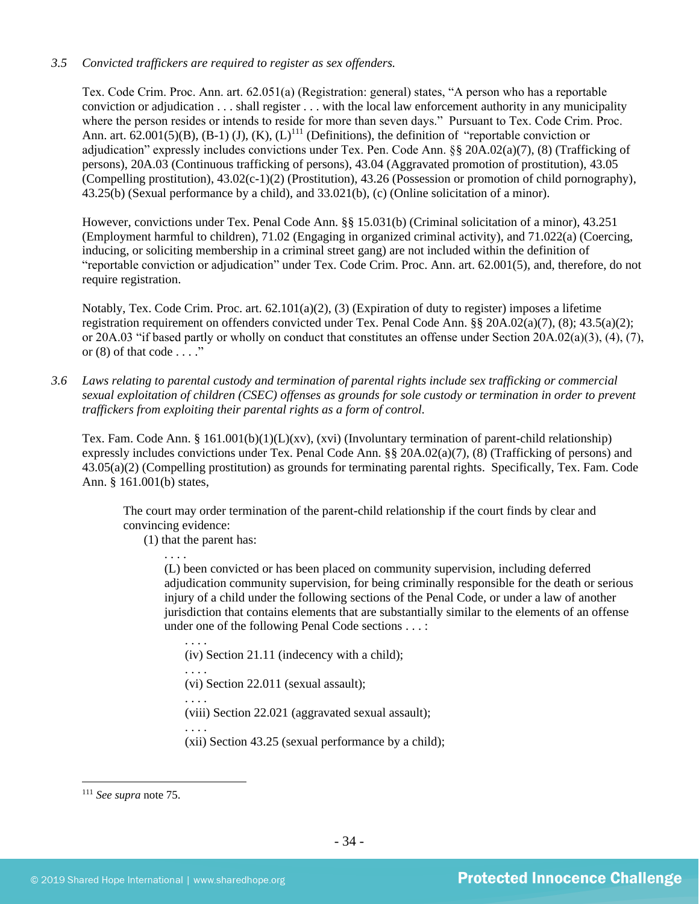## *3.5 Convicted traffickers are required to register as sex offenders.*

Tex. Code Crim. Proc. Ann. art. 62.051(a) (Registration: general) states, "A person who has a reportable conviction or adjudication . . . shall register . . . with the local law enforcement authority in any municipality where the person resides or intends to reside for more than seven days." Pursuant to Tex. Code Crim. Proc. Ann. art.  $62.001(5)(B)$ , (B-1) (J), (K), (L)<sup>111</sup> (Definitions), the definition of "reportable conviction or adjudication" expressly includes convictions under Tex. Pen. Code Ann. §§ 20A.02(a)(7), (8) (Trafficking of persons), 20A.03 (Continuous trafficking of persons), 43.04 (Aggravated promotion of prostitution), 43.05 (Compelling prostitution), 43.02(c-1)(2) (Prostitution), 43.26 (Possession or promotion of child pornography), 43.25(b) (Sexual performance by a child), and 33.021(b), (c) (Online solicitation of a minor).

However, convictions under Tex. Penal Code Ann. §§ 15.031(b) (Criminal solicitation of a minor), 43.251 (Employment harmful to children), 71.02 (Engaging in organized criminal activity), and 71.022(a) (Coercing, inducing, or soliciting membership in a criminal street gang) are not included within the definition of "reportable conviction or adjudication" under Tex. Code Crim. Proc. Ann. art. 62.001(5), and, therefore, do not require registration.

Notably, Tex. Code Crim. Proc. art.  $62.101(a)(2)$ ,  $(3)$  (Expiration of duty to register) imposes a lifetime registration requirement on offenders convicted under Tex. Penal Code Ann. §§ 20A.02(a)(7), (8); 43.5(a)(2); or 20A.03 "if based partly or wholly on conduct that constitutes an offense under Section 20A.02(a)(3), (4), (7), or  $(8)$  of that code  $\dots$ ."

*3.6 Laws relating to parental custody and termination of parental rights include sex trafficking or commercial sexual exploitation of children (CSEC) offenses as grounds for sole custody or termination in order to prevent traffickers from exploiting their parental rights as a form of control.* 

Tex. Fam. Code Ann. § 161.001(b)(1)(L)(xv), (xvi) (Involuntary termination of parent-child relationship) expressly includes convictions under Tex. Penal Code Ann. §§ 20A.02(a)(7), (8) (Trafficking of persons) and 43.05(a)(2) (Compelling prostitution) as grounds for terminating parental rights. Specifically, Tex. Fam. Code Ann. § 161.001(b) states,

The court may order termination of the parent-child relationship if the court finds by clear and convincing evidence:

(1) that the parent has:

. . . . (L) been convicted or has been placed on community supervision, including deferred adjudication community supervision, for being criminally responsible for the death or serious injury of a child under the following sections of the Penal Code, or under a law of another jurisdiction that contains elements that are substantially similar to the elements of an offense under one of the following Penal Code sections . . . :

. . . . (iv) Section 21.11 (indecency with a child); . . . . (vi) Section 22.011 (sexual assault); . . . .

(viii) Section 22.021 (aggravated sexual assault); . . . .

(xii) Section 43.25 (sexual performance by a child);

<sup>111</sup> *See supra* not[e 75.](#page-24-0)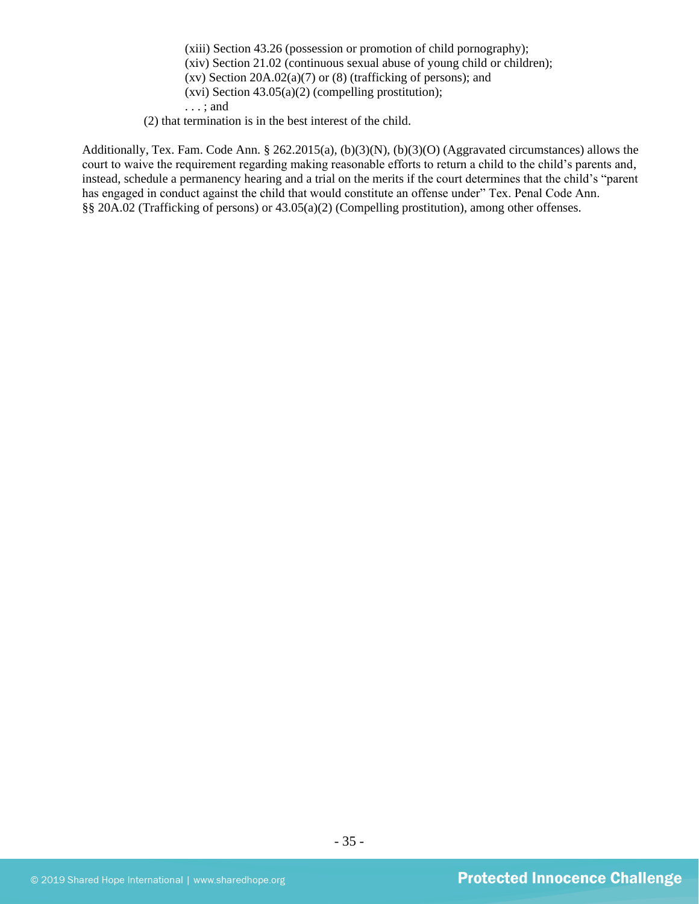(xiii) Section 43.26 (possession or promotion of child pornography); (xiv) Section 21.02 (continuous sexual abuse of young child or children); (xv) Section  $20A.02(a)(7)$  or  $(8)$  (trafficking of persons); and (xvi) Section 43.05(a)(2) (compelling prostitution); . . . ; and

(2) that termination is in the best interest of the child.

Additionally, Tex. Fam. Code Ann. § 262.2015(a), (b)(3)(N), (b)(3)(O) (Aggravated circumstances) allows the court to waive the requirement regarding making reasonable efforts to return a child to the child's parents and, instead, schedule a permanency hearing and a trial on the merits if the court determines that the child's "parent has engaged in conduct against the child that would constitute an offense under" Tex. Penal Code Ann. §§ 20A.02 (Trafficking of persons) or 43.05(a)(2) (Compelling prostitution), among other offenses.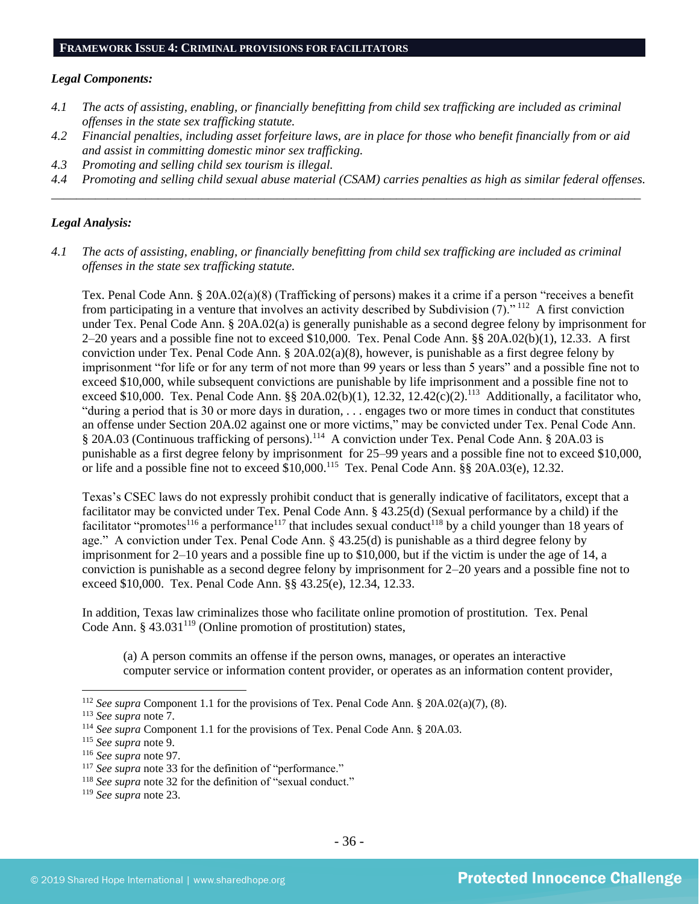#### **FRAMEWORK ISSUE 4: CRIMINAL PROVISIONS FOR FACILITATORS**

#### *Legal Components:*

- *4.1 The acts of assisting, enabling, or financially benefitting from child sex trafficking are included as criminal offenses in the state sex trafficking statute.*
- *4.2 Financial penalties, including asset forfeiture laws, are in place for those who benefit financially from or aid and assist in committing domestic minor sex trafficking.*
- *4.3 Promoting and selling child sex tourism is illegal.*
- *4.4 Promoting and selling child sexual abuse material (CSAM) carries penalties as high as similar federal offenses.* \_\_\_\_\_\_\_\_\_\_\_\_\_\_\_\_\_\_\_\_\_\_\_\_\_\_\_\_\_\_\_\_\_\_\_\_\_\_\_\_\_\_\_\_\_\_\_\_\_\_\_\_\_\_\_\_\_\_\_\_\_\_\_\_\_\_\_\_\_\_\_\_\_\_\_\_\_\_\_\_\_\_\_\_\_\_\_\_\_\_\_\_\_\_

## *Legal Analysis:*

*4.1 The acts of assisting, enabling, or financially benefitting from child sex trafficking are included as criminal offenses in the state sex trafficking statute.*

Tex. Penal Code Ann. § 20A.02(a)(8) (Trafficking of persons) makes it a crime if a person "receives a benefit from participating in a venture that involves an activity described by Subdivision  $(7)$ ."<sup>112</sup> A first conviction under Tex. Penal Code Ann. § 20A.02(a) is generally punishable as a second degree felony by imprisonment for 2–20 years and a possible fine not to exceed \$10,000. Tex. Penal Code Ann. §§ 20A.02(b)(1), 12.33. A first conviction under Tex. Penal Code Ann. §  $20A.02(a)(8)$ , however, is punishable as a first degree felony by imprisonment "for life or for any term of not more than 99 years or less than 5 years" and a possible fine not to exceed \$10,000, while subsequent convictions are punishable by life imprisonment and a possible fine not to exceed \$10,000. Tex. Penal Code Ann.  $\S § 20A.02(b)(1)$ , 12.32, 12.42(c)(2).<sup>113</sup> Additionally, a facilitator who, "during a period that is 30 or more days in duration, . . . engages two or more times in conduct that constitutes an offense under Section 20A.02 against one or more victims," may be convicted under Tex. Penal Code Ann. § 20A.03 (Continuous trafficking of persons).<sup>114</sup> A conviction under Tex. Penal Code Ann. § 20A.03 is punishable as a first degree felony by imprisonment for 25–99 years and a possible fine not to exceed \$10,000, or life and a possible fine not to exceed \$10,000.<sup>115</sup> Tex. Penal Code Ann. §§ 20A.03(e), 12.32.

Texas's CSEC laws do not expressly prohibit conduct that is generally indicative of facilitators, except that a facilitator may be convicted under Tex. Penal Code Ann. § 43.25(d) (Sexual performance by a child) if the facilitator "promotes<sup>116</sup> a performance<sup>117</sup> that includes sexual conduct<sup>118</sup> by a child younger than 18 years of age." A conviction under Tex. Penal Code Ann. § 43.25(d) is punishable as a third degree felony by imprisonment for 2–10 years and a possible fine up to \$10,000, but if the victim is under the age of 14, a conviction is punishable as a second degree felony by imprisonment for 2–20 years and a possible fine not to exceed \$10,000. Tex. Penal Code Ann. §§ 43.25(e), 12.34, 12.33.

In addition, Texas law criminalizes those who facilitate online promotion of prostitution. Tex. Penal Code Ann.  $\S 43.031^{119}$  (Online promotion of prostitution) states,

(a) A person commits an offense if the person owns, manages, or operates an interactive computer service or information content provider, or operates as an information content provider,

<sup>116</sup> *See supra* not[e 97.](#page-27-0)

<sup>&</sup>lt;sup>112</sup> *See supra* Component 1.1 for the provisions of Tex. Penal Code Ann. § 20A.02(a)(7), (8).

<sup>113</sup> *See supra* not[e 7.](#page-2-0)

<sup>&</sup>lt;sup>114</sup> *See supra* Component 1.1 for the provisions of Tex. Penal Code Ann. § 20A.03.

<sup>115</sup> *See supra* not[e 9.](#page-3-0)

<sup>&</sup>lt;sup>117</sup> *See supra* not[e 33](#page-9-1) for the definition of "performance."

<sup>118</sup> *See supra* not[e 32](#page-9-0) for the definition of "sexual conduct."

<sup>119</sup> *See supra* not[e 23.](#page-6-0)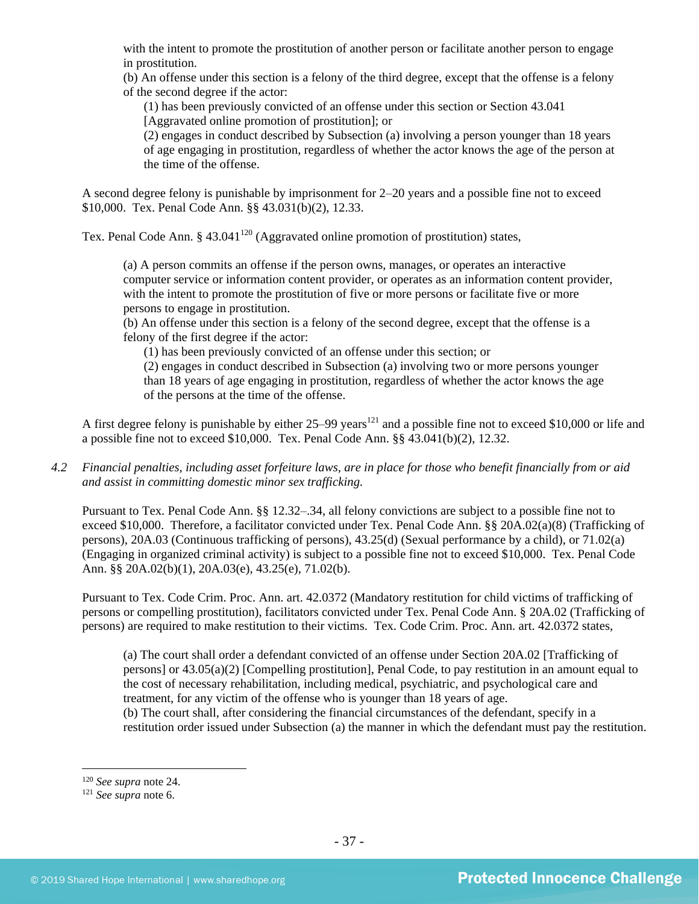with the intent to promote the prostitution of another person or facilitate another person to engage in prostitution.

(b) An offense under this section is a felony of the third degree, except that the offense is a felony of the second degree if the actor:

(1) has been previously convicted of an offense under this section or Section 43.041 [Aggravated online promotion of prostitution]; or

(2) engages in conduct described by Subsection (a) involving a person younger than 18 years of age engaging in prostitution, regardless of whether the actor knows the age of the person at the time of the offense.

A second degree felony is punishable by imprisonment for 2–20 years and a possible fine not to exceed \$10,000. Tex. Penal Code Ann. §§ 43.031(b)(2), 12.33.

Tex. Penal Code Ann.  $\S 43.041^{120}$  (Aggravated online promotion of prostitution) states,

(a) A person commits an offense if the person owns, manages, or operates an interactive computer service or information content provider, or operates as an information content provider, with the intent to promote the prostitution of five or more persons or facilitate five or more persons to engage in prostitution.

(b) An offense under this section is a felony of the second degree, except that the offense is a felony of the first degree if the actor:

(1) has been previously convicted of an offense under this section; or

(2) engages in conduct described in Subsection (a) involving two or more persons younger than 18 years of age engaging in prostitution, regardless of whether the actor knows the age of the persons at the time of the offense.

A first degree felony is punishable by either  $25-99$  years<sup>121</sup> and a possible fine not to exceed \$10,000 or life and a possible fine not to exceed \$10,000. Tex. Penal Code Ann. §§ 43.041(b)(2), 12.32.

*4.2 Financial penalties, including asset forfeiture laws, are in place for those who benefit financially from or aid and assist in committing domestic minor sex trafficking.*

Pursuant to Tex. Penal Code Ann. §§ 12.32–.34, all felony convictions are subject to a possible fine not to exceed \$10,000. Therefore, a facilitator convicted under Tex. Penal Code Ann. §§ 20A.02(a)(8) (Trafficking of persons), 20A.03 (Continuous trafficking of persons), 43.25(d) (Sexual performance by a child), or 71.02(a) (Engaging in organized criminal activity) is subject to a possible fine not to exceed \$10,000. Tex. Penal Code Ann. §§ 20A.02(b)(1), 20A.03(e), 43.25(e), 71.02(b).

Pursuant to Tex. Code Crim. Proc. Ann. art. 42.0372 (Mandatory restitution for child victims of trafficking of persons or compelling prostitution), facilitators convicted under Tex. Penal Code Ann. § 20A.02 (Trafficking of persons) are required to make restitution to their victims. Tex. Code Crim. Proc. Ann. art. 42.0372 states,

(a) The court shall order a defendant convicted of an offense under Section 20A.02 [Trafficking of persons] or 43.05(a)(2) [Compelling prostitution], Penal Code, to pay restitution in an amount equal to the cost of necessary rehabilitation, including medical, psychiatric, and psychological care and treatment, for any victim of the offense who is younger than 18 years of age. (b) The court shall, after considering the financial circumstances of the defendant, specify in a restitution order issued under Subsection (a) the manner in which the defendant must pay the restitution.

<sup>120</sup> *See supra* not[e 24.](#page-6-0)

<sup>121</sup> *See supra* not[e 6.](#page-1-0)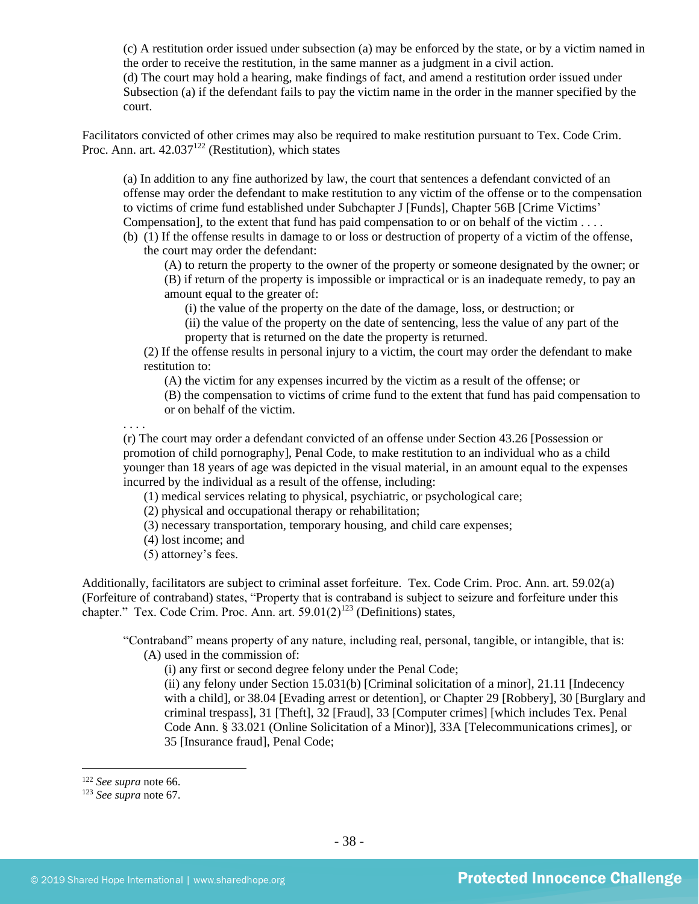(c) A restitution order issued under subsection (a) may be enforced by the state, or by a victim named in the order to receive the restitution, in the same manner as a judgment in a civil action. (d) The court may hold a hearing, make findings of fact, and amend a restitution order issued under Subsection (a) if the defendant fails to pay the victim name in the order in the manner specified by the court.

Facilitators convicted of other crimes may also be required to make restitution pursuant to Tex. Code Crim. Proc. Ann. art.  $42.037^{122}$  (Restitution), which states

(a) In addition to any fine authorized by law, the court that sentences a defendant convicted of an offense may order the defendant to make restitution to any victim of the offense or to the compensation to victims of crime fund established under Subchapter J [Funds], Chapter 56B [Crime Victims' Compensation], to the extent that fund has paid compensation to or on behalf of the victim  $\dots$ .

(b) (1) If the offense results in damage to or loss or destruction of property of a victim of the offense, the court may order the defendant:

(A) to return the property to the owner of the property or someone designated by the owner; or (B) if return of the property is impossible or impractical or is an inadequate remedy, to pay an amount equal to the greater of:

(i) the value of the property on the date of the damage, loss, or destruction; or

(ii) the value of the property on the date of sentencing, less the value of any part of the property that is returned on the date the property is returned.

(2) If the offense results in personal injury to a victim, the court may order the defendant to make restitution to:

(A) the victim for any expenses incurred by the victim as a result of the offense; or

(B) the compensation to victims of crime fund to the extent that fund has paid compensation to or on behalf of the victim.

. . . .

(r) The court may order a defendant convicted of an offense under Section 43.26 [Possession or promotion of child pornography], Penal Code, to make restitution to an individual who as a child younger than 18 years of age was depicted in the visual material, in an amount equal to the expenses incurred by the individual as a result of the offense, including:

(1) medical services relating to physical, psychiatric, or psychological care;

(2) physical and occupational therapy or rehabilitation;

(3) necessary transportation, temporary housing, and child care expenses;

(4) lost income; and

(5) attorney's fees.

Additionally, facilitators are subject to criminal asset forfeiture. Tex. Code Crim. Proc. Ann. art. 59.02(a) (Forfeiture of contraband) states, "Property that is contraband is subject to seizure and forfeiture under this chapter." Tex. Code Crim. Proc. Ann. art.  $59.01(2)^{123}$  (Definitions) states,

"Contraband" means property of any nature, including real, personal, tangible, or intangible, that is: (A) used in the commission of:

(i) any first or second degree felony under the Penal Code;

(ii) any felony under Section 15.031(b) [Criminal solicitation of a minor], 21.11 [Indecency with a child], or 38.04 [Evading arrest or detention], or Chapter 29 [Robbery], 30 [Burglary and criminal trespass], 31 [Theft], 32 [Fraud], 33 [Computer crimes] [which includes Tex. Penal Code Ann. § 33.021 (Online Solicitation of a Minor)], 33A [Telecommunications crimes], or 35 [Insurance fraud], Penal Code;

<sup>122</sup> *See supra* not[e 66.](#page-20-0)

<sup>123</sup> *See supra* not[e 67.](#page-21-0)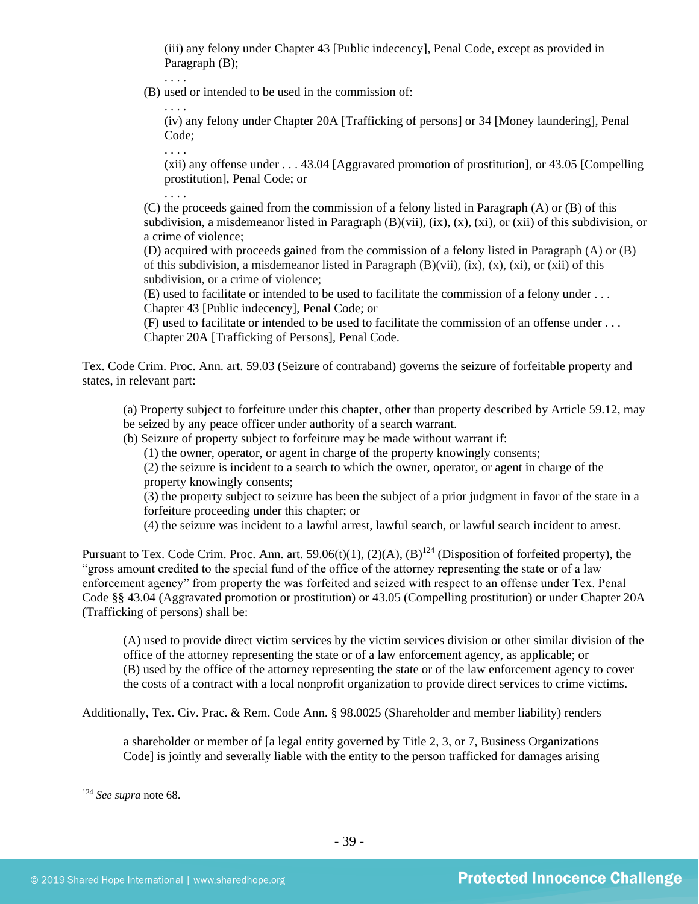(iii) any felony under Chapter 43 [Public indecency], Penal Code, except as provided in Paragraph (B);

(B) used or intended to be used in the commission of:

. . . . (iv) any felony under Chapter 20A [Trafficking of persons] or 34 [Money laundering], Penal Code;

. . . .

. . . .

. . . .

(xii) any offense under . . . 43.04 [Aggravated promotion of prostitution], or 43.05 [Compelling prostitution], Penal Code; or

(C) the proceeds gained from the commission of a felony listed in Paragraph (A) or (B) of this subdivision, a misdemeanor listed in Paragraph  $(B)(vi)$ ,  $(ix)$ ,  $(x)$ ,  $(xi)$ , or  $(xii)$  of this subdivision, or a crime of violence;

(D) acquired with proceeds gained from the commission of a felony listed in Paragraph (A) or (B) of this subdivision, a misdemeanor listed in Paragraph  $(B)(vii)$ ,  $(ix)$ ,  $(x)$ ,  $(xi)$ , or  $(xii)$  of this subdivision, or a crime of violence;

(E) used to facilitate or intended to be used to facilitate the commission of a felony under . . . Chapter 43 [Public indecency], Penal Code; or

(F) used to facilitate or intended to be used to facilitate the commission of an offense under . . . Chapter 20A [Trafficking of Persons], Penal Code.

Tex. Code Crim. Proc. Ann. art. 59.03 (Seizure of contraband) governs the seizure of forfeitable property and states, in relevant part:

(a) Property subject to forfeiture under this chapter, other than property described by Article 59.12, may be seized by any peace officer under authority of a search warrant.

(b) Seizure of property subject to forfeiture may be made without warrant if:

(1) the owner, operator, or agent in charge of the property knowingly consents;

(2) the seizure is incident to a search to which the owner, operator, or agent in charge of the property knowingly consents;

(3) the property subject to seizure has been the subject of a prior judgment in favor of the state in a forfeiture proceeding under this chapter; or

(4) the seizure was incident to a lawful arrest, lawful search, or lawful search incident to arrest.

Pursuant to Tex. Code Crim. Proc. Ann. art. 59.06(t)(1), (2)(A), (B)<sup>124</sup> (Disposition of forfeited property), the "gross amount credited to the special fund of the office of the attorney representing the state or of a law enforcement agency" from property the was forfeited and seized with respect to an offense under Tex. Penal Code §§ 43.04 (Aggravated promotion or prostitution) or 43.05 (Compelling prostitution) or under Chapter 20A (Trafficking of persons) shall be:

(A) used to provide direct victim services by the victim services division or other similar division of the office of the attorney representing the state or of a law enforcement agency, as applicable; or (B) used by the office of the attorney representing the state or of the law enforcement agency to cover the costs of a contract with a local nonprofit organization to provide direct services to crime victims.

Additionally, Tex. Civ. Prac. & Rem. Code Ann. § 98.0025 (Shareholder and member liability) renders

a shareholder or member of [a legal entity governed by Title 2, 3, or 7, Business Organizations Code] is jointly and severally liable with the entity to the person trafficked for damages arising

<sup>124</sup> *See supra* not[e 68.](#page-22-0)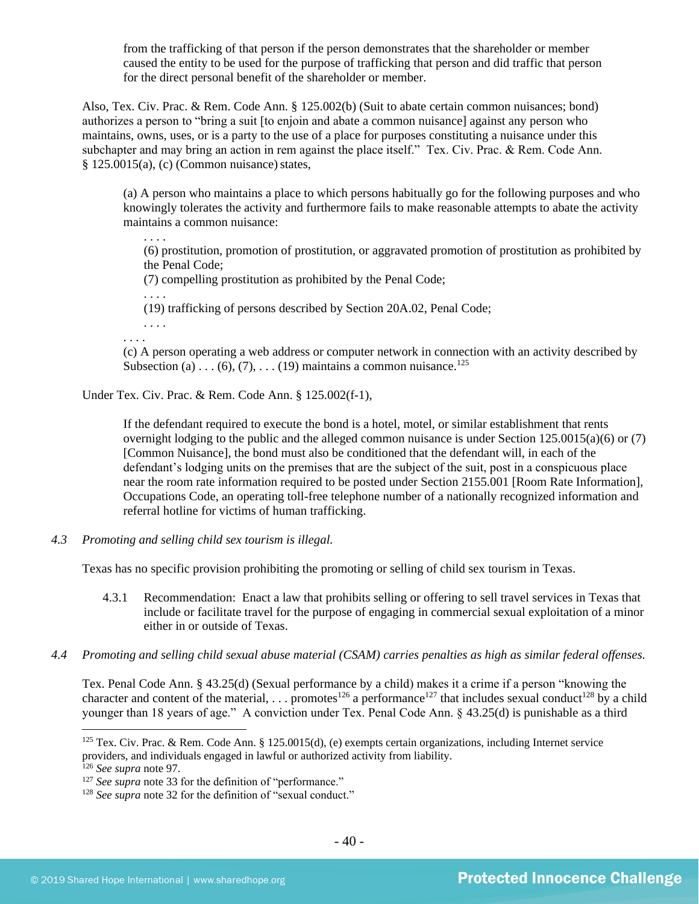from the trafficking of that person if the person demonstrates that the shareholder or member caused the entity to be used for the purpose of trafficking that person and did traffic that person for the direct personal benefit of the shareholder or member.

Also, Tex. Civ. Prac. & Rem. Code Ann. § 125.002(b) (Suit to abate certain common nuisances; bond) authorizes a person to "bring a suit [to enjoin and abate a common nuisance] against any person who maintains, owns, uses, or is a party to the use of a place for purposes constituting a nuisance under this subchapter and may bring an action in rem against the place itself." Tex. Civ. Prac. & Rem. Code Ann.  $§ 125.0015(a)$ , (c) (Common nuisance) states,

(a) A person who maintains a place to which persons habitually go for the following purposes and who knowingly tolerates the activity and furthermore fails to make reasonable attempts to abate the activity maintains a common nuisance:

. . . . (6) prostitution, promotion of prostitution, or aggravated promotion of prostitution as prohibited by the Penal Code;

(7) compelling prostitution as prohibited by the Penal Code;

. . . .

(19) trafficking of persons described by Section 20A.02, Penal Code;

. . . . . . . .

(c) A person operating a web address or computer network in connection with an activity described by Subsection (a)  $\dots$  (6), (7),  $\dots$  (19) maintains a common nuisance.<sup>125</sup>

Under Tex. Civ. Prac. & Rem. Code Ann. § 125.002(f-1),

If the defendant required to execute the bond is a hotel, motel, or similar establishment that rents overnight lodging to the public and the alleged common nuisance is under Section 125.0015(a)(6) or (7) [Common Nuisance], the bond must also be conditioned that the defendant will, in each of the defendant's lodging units on the premises that are the subject of the suit, post in a conspicuous place near the room rate information required to be posted under Section 2155.001 [Room Rate Information], Occupations Code, an operating toll-free telephone number of a nationally recognized information and referral hotline for victims of human trafficking.

*4.3 Promoting and selling child sex tourism is illegal.*

Texas has no specific provision prohibiting the promoting or selling of child sex tourism in Texas.

- 4.3.1 Recommendation: Enact a law that prohibits selling or offering to sell travel services in Texas that include or facilitate travel for the purpose of engaging in commercial sexual exploitation of a minor either in or outside of Texas.
- *4.4 Promoting and selling child sexual abuse material (CSAM) carries penalties as high as similar federal offenses.*

Tex. Penal Code Ann. § 43.25(d) (Sexual performance by a child) makes it a crime if a person "knowing the character and content of the material, ... promotes<sup>126</sup> a performance<sup>127</sup> that includes sexual conduct<sup>128</sup> by a child younger than 18 years of age." A conviction under Tex. Penal Code Ann. § 43.25(d) is punishable as a third

<sup>&</sup>lt;sup>125</sup> Tex. Civ. Prac. & Rem. Code Ann. § 125.0015(d), (e) exempts certain organizations, including Internet service providers, and individuals engaged in lawful or authorized activity from liability.

<sup>126</sup> *See supra* not[e 97.](#page-27-0)

<sup>&</sup>lt;sup>127</sup> *See supra* not[e 33](#page-9-0) for the definition of "performance."

<sup>128</sup> *See supra* not[e 32](#page-9-1) for the definition of "sexual conduct."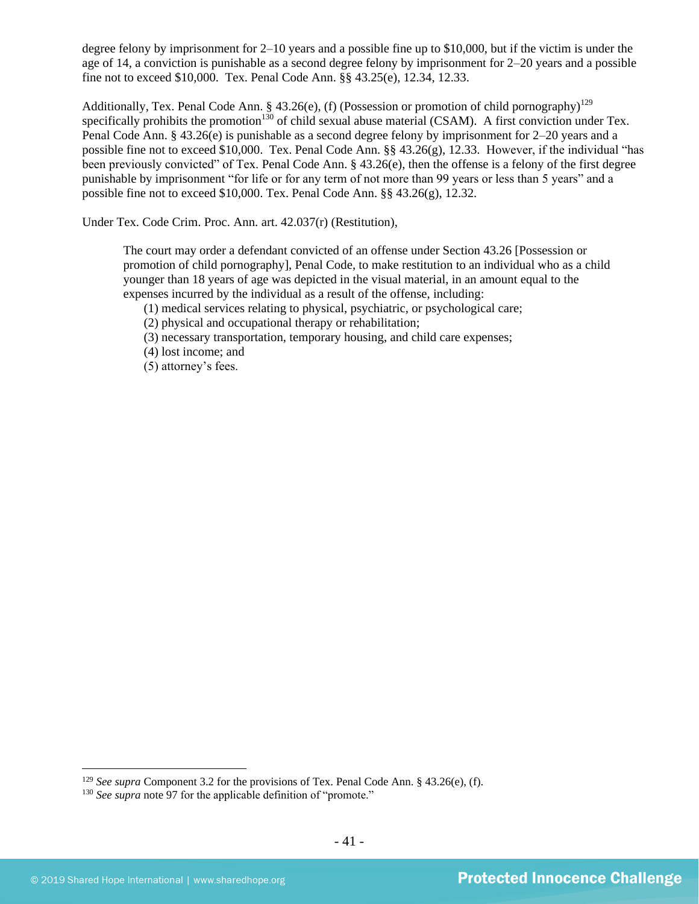degree felony by imprisonment for 2–10 years and a possible fine up to \$10,000, but if the victim is under the age of 14, a conviction is punishable as a second degree felony by imprisonment for 2–20 years and a possible fine not to exceed \$10,000. Tex. Penal Code Ann. §§ 43.25(e), 12.34, 12.33.

Additionally, Tex. Penal Code Ann. § 43.26(e), (f) (Possession or promotion of child pornography)<sup>129</sup> specifically prohibits the promotion<sup>130</sup> of child sexual abuse material (CSAM). A first conviction under Tex. Penal Code Ann. § 43.26(e) is punishable as a second degree felony by imprisonment for 2–20 years and a possible fine not to exceed \$10,000. Tex. Penal Code Ann. §§ 43.26(g), 12.33. However, if the individual "has been previously convicted" of Tex. Penal Code Ann. § 43.26(e), then the offense is a felony of the first degree punishable by imprisonment "for life or for any term of not more than 99 years or less than 5 years" and a possible fine not to exceed \$10,000. Tex. Penal Code Ann. §§ 43.26(g), 12.32.

Under Tex. Code Crim. Proc. Ann. art. 42.037(r) (Restitution),

The court may order a defendant convicted of an offense under Section 43.26 [Possession or promotion of child pornography], Penal Code, to make restitution to an individual who as a child younger than 18 years of age was depicted in the visual material, in an amount equal to the expenses incurred by the individual as a result of the offense, including:

(1) medical services relating to physical, psychiatric, or psychological care;

(2) physical and occupational therapy or rehabilitation;

(3) necessary transportation, temporary housing, and child care expenses;

(4) lost income; and

(5) attorney's fees.

<sup>129</sup> *See supra* Component 3.2 for the provisions of Tex. Penal Code Ann. § 43.26(e), (f).

<sup>&</sup>lt;sup>130</sup> *See supra* not[e 97](#page-27-0) for the applicable definition of "promote."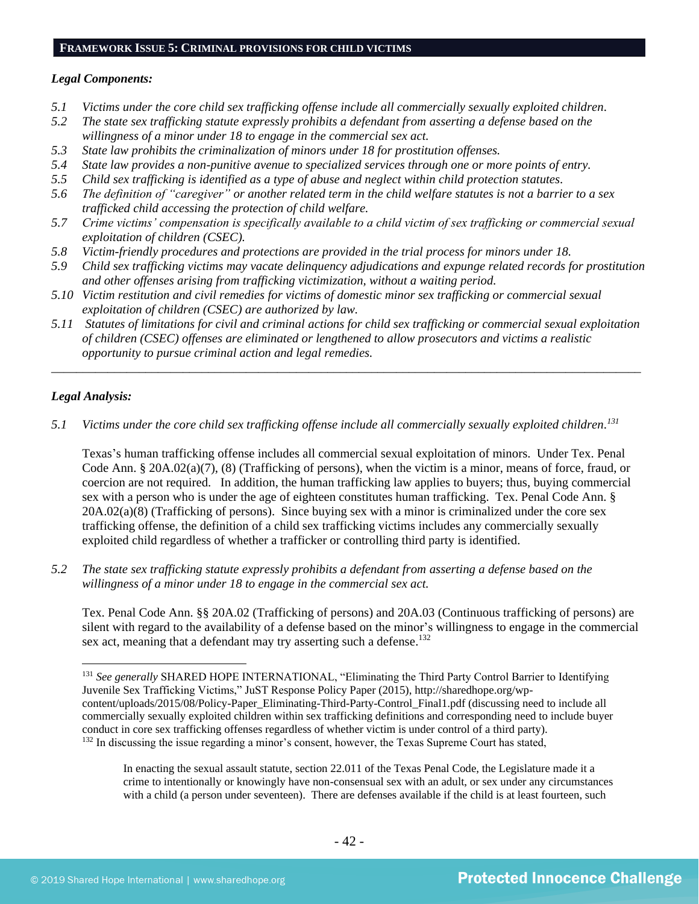### **FRAMEWORK ISSUE 5: CRIMINAL PROVISIONS FOR CHILD VICTIMS**

# *Legal Components:*

- *5.1 Victims under the core child sex trafficking offense include all commercially sexually exploited children.*
- *5.2 The state sex trafficking statute expressly prohibits a defendant from asserting a defense based on the willingness of a minor under 18 to engage in the commercial sex act.*
- *5.3 State law prohibits the criminalization of minors under 18 for prostitution offenses.*
- *5.4 State law provides a non-punitive avenue to specialized services through one or more points of entry.*
- *5.5 Child sex trafficking is identified as a type of abuse and neglect within child protection statutes.*
- *5.6 The definition of "caregiver" or another related term in the child welfare statutes is not a barrier to a sex trafficked child accessing the protection of child welfare.*
- *5.7 Crime victims' compensation is specifically available to a child victim of sex trafficking or commercial sexual exploitation of children (CSEC).*
- *5.8 Victim-friendly procedures and protections are provided in the trial process for minors under 18.*
- *5.9 Child sex trafficking victims may vacate delinquency adjudications and expunge related records for prostitution and other offenses arising from trafficking victimization, without a waiting period.*
- *5.10 Victim restitution and civil remedies for victims of domestic minor sex trafficking or commercial sexual exploitation of children (CSEC) are authorized by law.*
- *5.11 Statutes of limitations for civil and criminal actions for child sex trafficking or commercial sexual exploitation of children (CSEC) offenses are eliminated or lengthened to allow prosecutors and victims a realistic opportunity to pursue criminal action and legal remedies.*

\_\_\_\_\_\_\_\_\_\_\_\_\_\_\_\_\_\_\_\_\_\_\_\_\_\_\_\_\_\_\_\_\_\_\_\_\_\_\_\_\_\_\_\_\_\_\_\_\_\_\_\_\_\_\_\_\_\_\_\_\_\_\_\_\_\_\_\_\_\_\_\_\_\_\_\_\_\_\_\_\_\_\_\_\_\_\_\_\_\_\_\_\_\_

# *Legal Analysis:*

*5.1 Victims under the core child sex trafficking offense include all commercially sexually exploited children. 131*

Texas's human trafficking offense includes all commercial sexual exploitation of minors. Under Tex. Penal Code Ann. § 20A.02(a)(7), (8) (Trafficking of persons), when the victim is a minor, means of force, fraud, or coercion are not required. In addition, the human trafficking law applies to buyers; thus, buying commercial sex with a person who is under the age of eighteen constitutes human trafficking. Tex. Penal Code Ann. §  $20A.02(a)(8)$  (Trafficking of persons). Since buying sex with a minor is criminalized under the core sex trafficking offense, the definition of a child sex trafficking victims includes any commercially sexually exploited child regardless of whether a trafficker or controlling third party is identified.

*5.2 The state sex trafficking statute expressly prohibits a defendant from asserting a defense based on the willingness of a minor under 18 to engage in the commercial sex act.*

Tex. Penal Code Ann. §§ 20A.02 (Trafficking of persons) and 20A.03 (Continuous trafficking of persons) are silent with regard to the availability of a defense based on the minor's willingness to engage in the commercial sex act, meaning that a defendant may try asserting such a defense.<sup>132</sup>

<sup>&</sup>lt;sup>131</sup> See generally SHARED HOPE INTERNATIONAL, "Eliminating the Third Party Control Barrier to Identifying Juvenile Sex Trafficking Victims," JuST Response Policy Paper (2015), http://sharedhope.org/wpcontent/uploads/2015/08/Policy-Paper\_Eliminating-Third-Party-Control\_Final1.pdf (discussing need to include all commercially sexually exploited children within sex trafficking definitions and corresponding need to include buyer conduct in core sex trafficking offenses regardless of whether victim is under control of a third party). <sup>132</sup> In discussing the issue regarding a minor's consent, however, the Texas Supreme Court has stated,

In enacting the sexual assault statute, section 22.011 of the Texas Penal Code, the Legislature made it a crime to intentionally or knowingly have non-consensual sex with an adult, or sex under any circumstances with a child (a person under seventeen). There are defenses available if the child is at least fourteen, such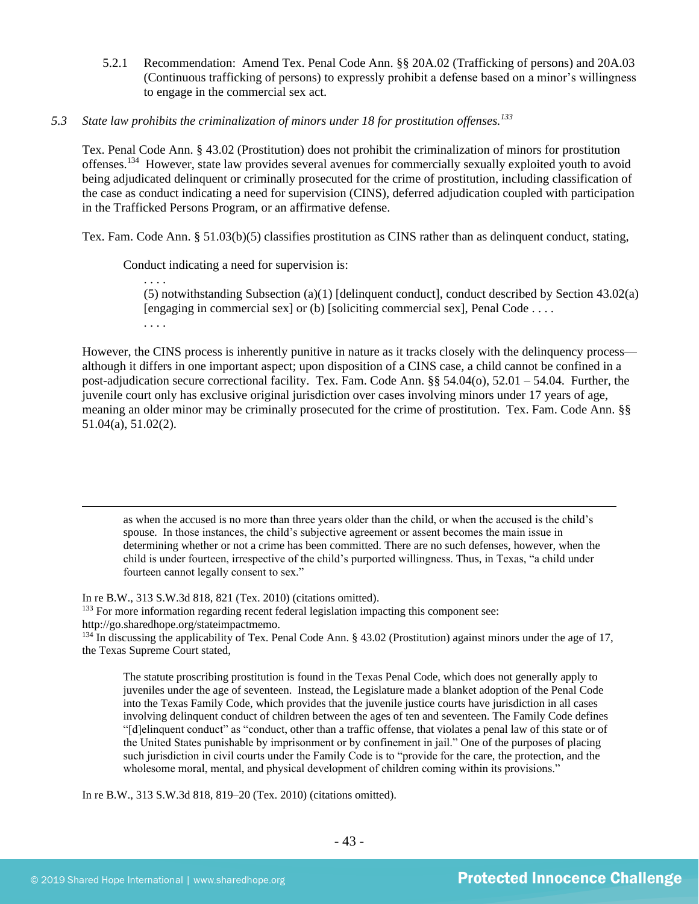- 5.2.1 Recommendation: Amend Tex. Penal Code Ann. §§ 20A.02 (Trafficking of persons) and 20A.03 (Continuous trafficking of persons) to expressly prohibit a defense based on a minor's willingness to engage in the commercial sex act.
- *5.3 State law prohibits the criminalization of minors under 18 for prostitution offenses.<sup>133</sup>*

Tex. Penal Code Ann. § 43.02 (Prostitution) does not prohibit the criminalization of minors for prostitution offenses.<sup>134</sup> However, state law provides several avenues for commercially sexually exploited youth to avoid being adjudicated delinquent or criminally prosecuted for the crime of prostitution, including classification of the case as conduct indicating a need for supervision (CINS), deferred adjudication coupled with participation in the Trafficked Persons Program, or an affirmative defense.

Tex. Fam. Code Ann. § 51.03(b)(5) classifies prostitution as CINS rather than as delinquent conduct, stating,

Conduct indicating a need for supervision is:

. . . . (5) notwithstanding Subsection (a)(1) [delinquent conduct], conduct described by Section 43.02(a) [engaging in commercial sex] or (b) [soliciting commercial sex], Penal Code  $\dots$ . . . .

However, the CINS process is inherently punitive in nature as it tracks closely with the delinquency process although it differs in one important aspect; upon disposition of a CINS case, a child cannot be confined in a post-adjudication secure correctional facility. Tex. Fam. Code Ann. §§ 54.04(o), 52.01 – 54.04. Further, the juvenile court only has exclusive original jurisdiction over cases involving minors under 17 years of age, meaning an older minor may be criminally prosecuted for the crime of prostitution. Tex. Fam. Code Ann. §§ 51.04(a), 51.02(2).

as when the accused is no more than three years older than the child, or when the accused is the child's spouse. In those instances, the child's subjective agreement or assent becomes the main issue in determining whether or not a crime has been committed. There are no such defenses, however, when the child is under fourteen, irrespective of the child's purported willingness. Thus, in Texas, "a child under fourteen cannot legally consent to sex."

In re B.W., 313 S.W.3d 818, 821 (Tex. 2010) (citations omitted).

<sup>133</sup> For more information regarding recent federal legislation impacting this component see:

http://go.sharedhope.org/stateimpactmemo.

<sup>134</sup> In discussing the applicability of Tex. Penal Code Ann. § 43.02 (Prostitution) against minors under the age of 17, the Texas Supreme Court stated,

The statute proscribing prostitution is found in the Texas Penal Code, which does not generally apply to juveniles under the age of seventeen. Instead, the Legislature made a blanket adoption of the Penal Code into the Texas Family Code, which provides that the juvenile justice courts have jurisdiction in all cases involving delinquent conduct of children between the ages of ten and seventeen. The Family Code defines "[d]elinquent conduct" as "conduct, other than a traffic offense, that violates a penal law of this state or of the United States punishable by imprisonment or by confinement in jail." One of the purposes of placing such jurisdiction in civil courts under the Family Code is to "provide for the care, the protection, and the wholesome moral, mental, and physical development of children coming within its provisions."

In re B.W., 313 S.W.3d 818, 819–20 (Tex. 2010) (citations omitted).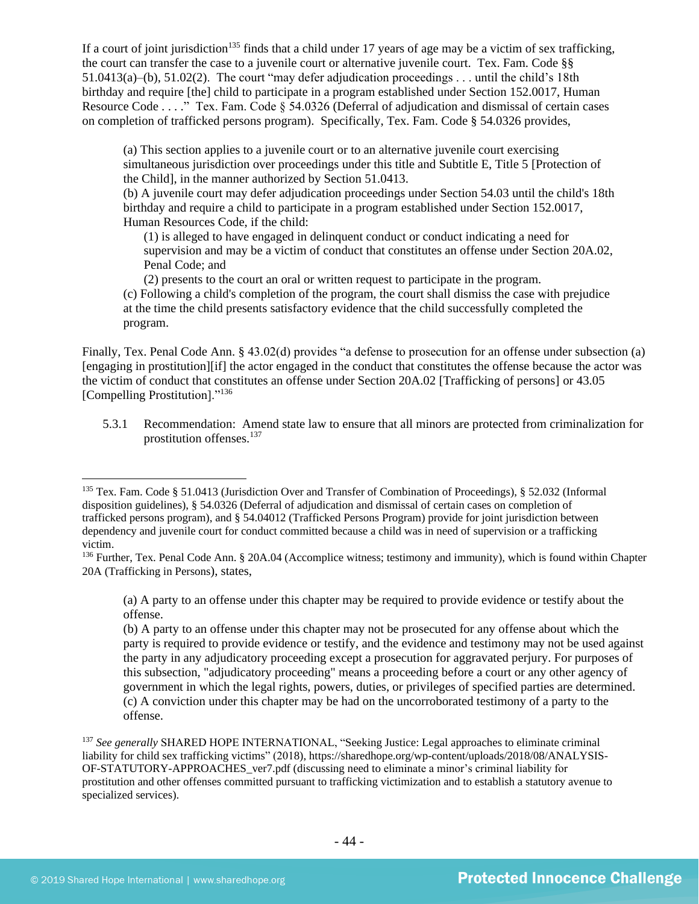If a court of joint jurisdiction<sup>135</sup> finds that a child under 17 years of age may be a victim of sex trafficking, the court can transfer the case to a juvenile court or alternative juvenile court. Tex. Fam. Code §§ 51.0413(a)–(b), 51.02(2). The court "may defer adjudication proceedings . . . until the child's 18th birthday and require [the] child to participate in a program established under Section 152.0017, Human Resource Code . . . ." Tex. Fam. Code § 54.0326 (Deferral of adjudication and dismissal of certain cases on completion of trafficked persons program). Specifically, Tex. Fam. Code § 54.0326 provides,

(a) This section applies to a juvenile court or to an alternative juvenile court exercising simultaneous jurisdiction over proceedings under this title and Subtitle E, Title 5 [Protection of the Child], in the manner authorized by Section 51.0413.

(b) A juvenile court may defer adjudication proceedings under Section 54.03 until the child's 18th birthday and require a child to participate in a program established under Section 152.0017, Human Resources Code, if the child:

(1) is alleged to have engaged in delinquent conduct or conduct indicating a need for supervision and may be a victim of conduct that constitutes an offense under Section 20A.02, Penal Code; and

(2) presents to the court an oral or written request to participate in the program. (c) Following a child's completion of the program, the court shall dismiss the case with prejudice at the time the child presents satisfactory evidence that the child successfully completed the program.

Finally, Tex. Penal Code Ann. § 43.02(d) provides "a defense to prosecution for an offense under subsection (a) [engaging in prostitution][if] the actor engaged in the conduct that constitutes the offense because the actor was the victim of conduct that constitutes an offense under Section 20A.02 [Trafficking of persons] or 43.05 [Compelling Prostitution]."<sup>136</sup>

5.3.1 Recommendation: Amend state law to ensure that all minors are protected from criminalization for prostitution offenses.<sup>137</sup>

<sup>135</sup> Tex. Fam. Code § 51.0413 (Jurisdiction Over and Transfer of Combination of Proceedings), § 52.032 (Informal disposition guidelines), § 54.0326 (Deferral of adjudication and dismissal of certain cases on completion of trafficked persons program), and § 54.04012 (Trafficked Persons Program) provide for joint jurisdiction between dependency and juvenile court for conduct committed because a child was in need of supervision or a trafficking victim.

<sup>&</sup>lt;sup>136</sup> Further, Tex. Penal Code Ann. § 20A.04 (Accomplice witness; testimony and immunity), which is found within Chapter 20A (Trafficking in Persons), states,

<sup>(</sup>a) A party to an offense under this chapter may be required to provide evidence or testify about the offense.

<sup>(</sup>b) A party to an offense under this chapter may not be prosecuted for any offense about which the party is required to provide evidence or testify, and the evidence and testimony may not be used against the party in any adjudicatory proceeding except a prosecution for aggravated perjury. For purposes of this subsection, "adjudicatory proceeding" means a proceeding before a court or any other agency of government in which the legal rights, powers, duties, or privileges of specified parties are determined. (c) A conviction under this chapter may be had on the uncorroborated testimony of a party to the offense.

<sup>137</sup> *See generally* SHARED HOPE INTERNATIONAL, "Seeking Justice: Legal approaches to eliminate criminal liability for child sex trafficking victims" (2018), https://sharedhope.org/wp-content/uploads/2018/08/ANALYSIS-OF-STATUTORY-APPROACHES\_ver7.pdf (discussing need to eliminate a minor's criminal liability for prostitution and other offenses committed pursuant to trafficking victimization and to establish a statutory avenue to specialized services).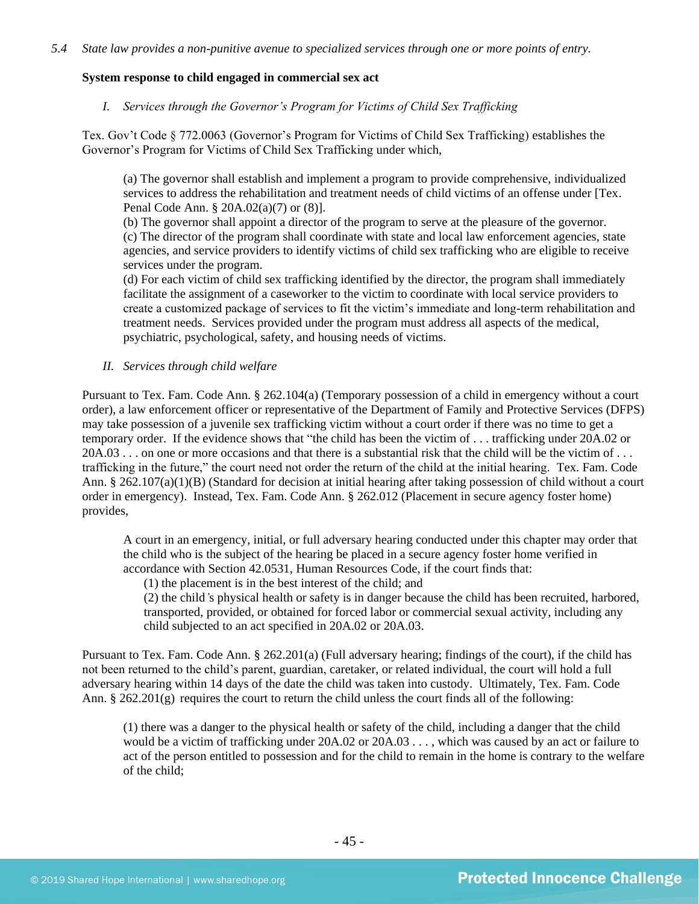# **System response to child engaged in commercial sex act**

# *I. Services through the Governor's Program for Victims of Child Sex Trafficking*

Tex. Gov't Code § 772.0063 (Governor's Program for Victims of Child Sex Trafficking) establishes the Governor's Program for Victims of Child Sex Trafficking under which,

(a) The governor shall establish and implement a program to provide comprehensive, individualized services to address the rehabilitation and treatment needs of child victims of an offense under [Tex. Penal Code Ann. § 20A.02(a)(7) or (8)].

(b) The governor shall appoint a director of the program to serve at the pleasure of the governor. (c) The director of the program shall coordinate with state and local law enforcement agencies, state agencies, and service providers to identify victims of child sex trafficking who are eligible to receive services under the program.

(d) For each victim of child sex trafficking identified by the director, the program shall immediately facilitate the assignment of a caseworker to the victim to coordinate with local service providers to create a customized package of services to fit the victim's immediate and long-term rehabilitation and treatment needs. Services provided under the program must address all aspects of the medical, psychiatric, psychological, safety, and housing needs of victims.

### *II. Services through child welfare*

Pursuant to Tex. Fam. Code Ann. § 262.104(a) (Temporary possession of a child in emergency without a court order), a law enforcement officer or representative of the Department of Family and Protective Services (DFPS) may take possession of a juvenile sex trafficking victim without a court order if there was no time to get a temporary order. If the evidence shows that "the child has been the victim of . . . trafficking under 20A.02 or  $20A.03...$  on one or more occasions and that there is a substantial risk that the child will be the victim of ... trafficking in the future," the court need not order the return of the child at the initial hearing. Tex. Fam. Code Ann. § 262.107(a)(1)(B) (Standard for decision at initial hearing after taking possession of child without a court order in emergency). Instead, Tex. Fam. Code Ann. § 262.012 (Placement in secure agency foster home) provides,

A court in an emergency, initial, or full adversary hearing conducted under this chapter may order that the child who is the subject of the hearing be placed in a secure agency foster home verified in accordance with Section 42.0531, Human Resources Code, if the court finds that:

(1) the placement is in the best interest of the child; and

(2) the child*'*s physical health or safety is in danger because the child has been recruited, harbored, transported, provided, or obtained for forced labor or commercial sexual activity, including any child subjected to an act specified in [20A.02](http://www.statutes.legis.state.tx.us/GetStatute.aspx?Code=PE&Value=20A.02&Date=5/24/2015) or 20A.03.

Pursuant to Tex. Fam. Code Ann. § 262.201(a) (Full adversary hearing; findings of the court), if the child has not been returned to the child's parent, guardian, caretaker, or related individual, the court will hold a full adversary hearing within 14 days of the date the child was taken into custody. Ultimately, Tex. Fam. Code Ann. § 262.201(g) requires the court to return the child unless the court finds all of the following:

(1) there was a danger to the physical health or safety of the child, including a danger that the child would be a victim of trafficking under 20A.02 or 20A.03 . . . , which was caused by an act or failure to act of the person entitled to possession and for the child to remain in the home is contrary to the welfare of the child;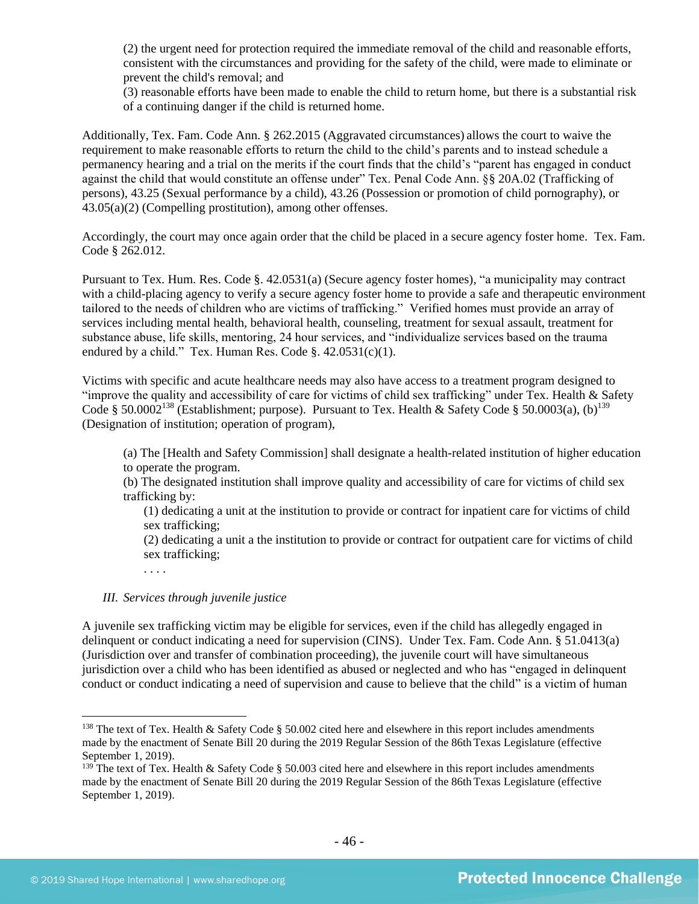(2) the urgent need for protection required the immediate removal of the child and reasonable efforts, consistent with the circumstances and providing for the safety of the child, were made to eliminate or prevent the child's removal; and

(3) reasonable efforts have been made to enable the child to return home, but there is a substantial risk of a continuing danger if the child is returned home.

Additionally, Tex. Fam. Code Ann. § 262.2015 (Aggravated circumstances) allows the court to waive the requirement to make reasonable efforts to return the child to the child's parents and to instead schedule a permanency hearing and a trial on the merits if the court finds that the child's "parent has engaged in conduct against the child that would constitute an offense under" Tex. Penal Code Ann. §§ 20A.02 (Trafficking of persons), 43.25 (Sexual performance by a child), 43.26 (Possession or promotion of child pornography), or  $43.05(a)(2)$  (Compelling prostitution), among other offenses.

Accordingly, the court may once again order that the child be placed in a secure agency foster home. Tex. Fam. Code § 262.012.

Pursuant to Tex. Hum. Res. Code §. 42.0531(a) (Secure agency foster homes), "a municipality may contract with a child-placing agency to verify a secure agency foster home to provide a safe and therapeutic environment tailored to the needs of children who are victims of trafficking." Verified homes must provide an array of services including mental health, behavioral health, counseling, treatment for sexual assault, treatment for substance abuse, life skills, mentoring, 24 hour services, and "individualize services based on the trauma endured by a child." Tex. Human Res. Code §. 42.0531(c)(1).

Victims with specific and acute healthcare needs may also have access to a treatment program designed to "improve the quality and accessibility of care for victims of child sex trafficking" under Tex. Health & Safety Code § 50.0002<sup>138</sup> (Establishment; purpose). Pursuant to Tex. Health & Safety Code § 50.0003(a), (b)<sup>139</sup> (Designation of institution; operation of program),

(a) The [Health and Safety Commission] shall designate a health-related institution of higher education to operate the program.

(b) The designated institution shall improve quality and accessibility of care for victims of child sex trafficking by:

(1) dedicating a unit at the institution to provide or contract for inpatient care for victims of child sex trafficking;

(2) dedicating a unit a the institution to provide or contract for outpatient care for victims of child sex trafficking;

. . . .

### *III. Services through juvenile justice*

A juvenile sex trafficking victim may be eligible for services, even if the child has allegedly engaged in delinquent or conduct indicating a need for supervision (CINS). Under Tex. Fam. Code Ann. § 51.0413(a) (Jurisdiction over and transfer of combination proceeding), the juvenile court will have simultaneous jurisdiction over a child who has been identified as abused or neglected and who has "engaged in delinquent conduct or conduct indicating a need of supervision and cause to believe that the child" is a victim of human

<sup>&</sup>lt;sup>138</sup> The text of Tex. Health & Safety Code § 50.002 cited here and elsewhere in this report includes amendments made by the enactment of Senate Bill 20 during the 2019 Regular Session of the 86th Texas Legislature (effective September 1, 2019).

 $139$  The text of Tex. Health & Safety Code § 50.003 cited here and elsewhere in this report includes amendments made by the enactment of Senate Bill 20 during the 2019 Regular Session of the 86th Texas Legislature (effective September 1, 2019).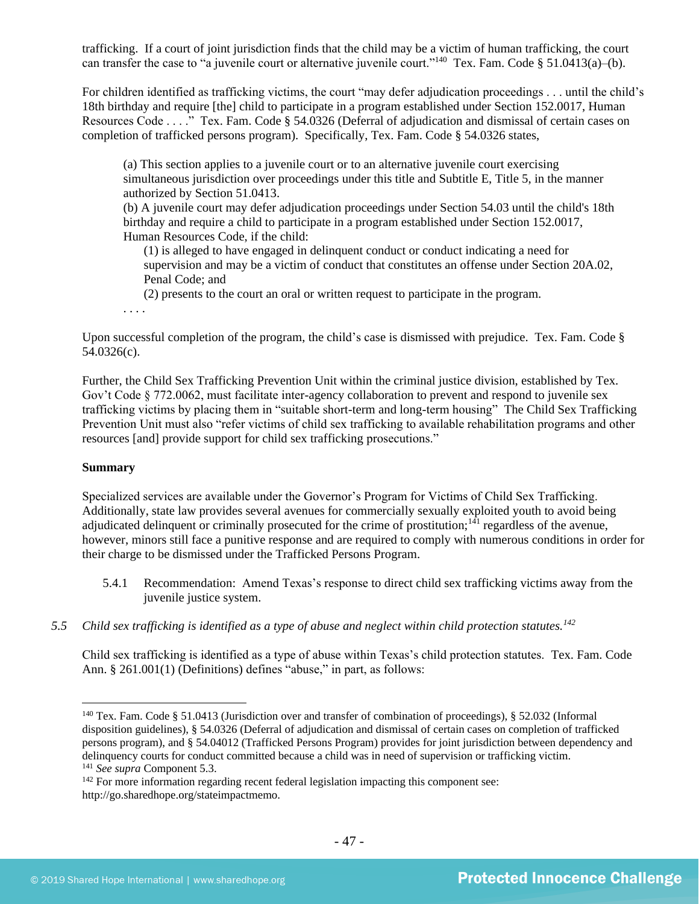trafficking. If a court of joint jurisdiction finds that the child may be a victim of human trafficking, the court can transfer the case to "a juvenile court or alternative juvenile court."<sup>140</sup> Tex. Fam. Code § 51.0413(a)–(b).

For children identified as trafficking victims, the court "may defer adjudication proceedings . . . until the child's 18th birthday and require [the] child to participate in a program established under Section 152.0017, Human Resources Code . . . ." Tex. Fam. Code § 54.0326 (Deferral of adjudication and dismissal of certain cases on completion of trafficked persons program). Specifically, Tex. Fam. Code § 54.0326 states,

(a) This section applies to a juvenile court or to an alternative juvenile court exercising simultaneous jurisdiction over proceedings under this title and Subtitle E, Title 5, in the manner authorized by Section 51.0413.

(b) A juvenile court may defer adjudication proceedings under Section 54.03 until the child's 18th birthday and require a child to participate in a program established under Section 152.0017, Human Resources Code, if the child:

(1) is alleged to have engaged in delinquent conduct or conduct indicating a need for supervision and may be a victim of conduct that constitutes an offense under Section 20A.02, Penal Code; and

(2) presents to the court an oral or written request to participate in the program.

. . . .

Upon successful completion of the program, the child's case is dismissed with prejudice. Tex. Fam. Code § 54.0326(c).

Further, the Child Sex Trafficking Prevention Unit within the criminal justice division, established by Tex. Gov't Code § 772.0062, must facilitate inter-agency collaboration to prevent and respond to juvenile sex trafficking victims by placing them in "suitable short-term and long-term housing" The Child Sex Trafficking Prevention Unit must also "refer victims of child sex trafficking to available rehabilitation programs and other resources [and] provide support for child sex trafficking prosecutions."

### **Summary**

Specialized services are available under the Governor's Program for Victims of Child Sex Trafficking. Additionally, state law provides several avenues for commercially sexually exploited youth to avoid being adjudicated delinquent or criminally prosecuted for the crime of prostitution;<sup>141</sup> regardless of the avenue, however, minors still face a punitive response and are required to comply with numerous conditions in order for their charge to be dismissed under the Trafficked Persons Program.

- 5.4.1 Recommendation: Amend Texas's response to direct child sex trafficking victims away from the juvenile justice system.
- *5.5 Child sex trafficking is identified as a type of abuse and neglect within child protection statutes.<sup>142</sup>*

Child sex trafficking is identified as a type of abuse within Texas's child protection statutes. Tex. Fam. Code Ann. § 261.001(1) (Definitions) defines "abuse," in part, as follows:

<sup>140</sup> Tex. Fam. Code § 51.0413 (Jurisdiction over and transfer of combination of proceedings), § 52.032 (Informal disposition guidelines), § 54.0326 (Deferral of adjudication and dismissal of certain cases on completion of trafficked persons program), and § 54.04012 (Trafficked Persons Program) provides for joint jurisdiction between dependency and delinquency courts for conduct committed because a child was in need of supervision or trafficking victim. <sup>141</sup> *See supra* Component 5.3.

 $142$  For more information regarding recent federal legislation impacting this component see: http://go.sharedhope.org/stateimpactmemo.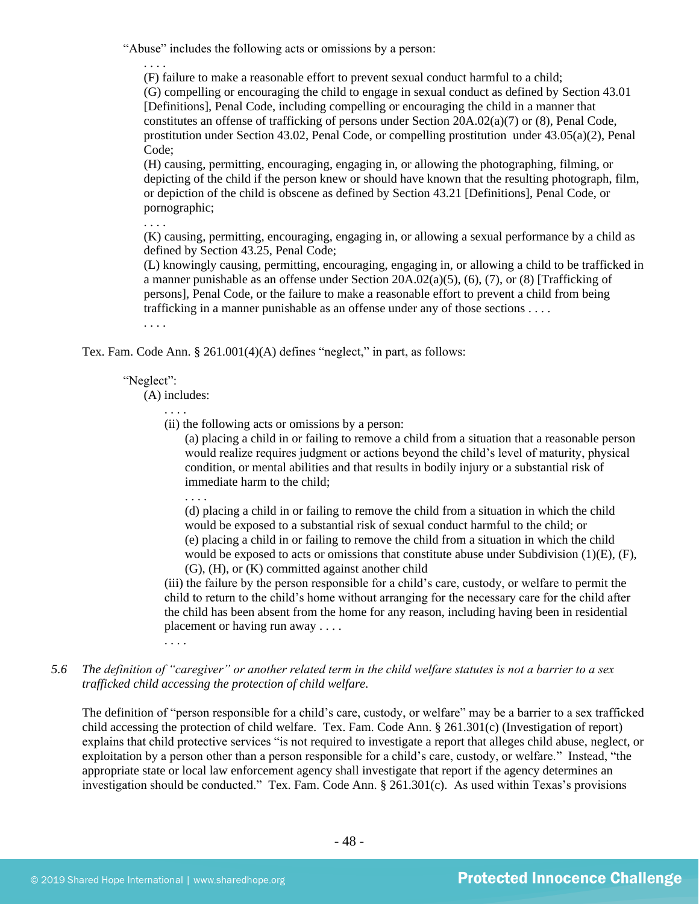"Abuse" includes the following acts or omissions by a person:

(F) failure to make a reasonable effort to prevent sexual conduct harmful to a child; (G) compelling or encouraging the child to engage in sexual conduct as defined by [Section 43.01](https://www.lexis.com/research/buttonTFLink?_m=83b2ce932a1e7eac9e414c9f32828c7c&_xfercite=%3ccite%20cc%3d%22USA%22%3e%3c%21%5bCDATA%5bTex.%20Fam.%20Code%20%a7%20261.001%5d%5d%3e%3c%2fcite%3e&_butType=4&_butStat=0&_butNum=6&_butInline=1&_butinfo=TX%20PEN%2043.01&_fmtstr=FULL&docnum=1&_startdoc=1&wchp=dGLzVlz-zSkAA&_md5=778cc6ae4cf2b3ddb079250489f65ae2)  [\[Definitions\], Penal Code,](https://www.lexis.com/research/buttonTFLink?_m=83b2ce932a1e7eac9e414c9f32828c7c&_xfercite=%3ccite%20cc%3d%22USA%22%3e%3c%21%5bCDATA%5bTex.%20Fam.%20Code%20%a7%20261.001%5d%5d%3e%3c%2fcite%3e&_butType=4&_butStat=0&_butNum=6&_butInline=1&_butinfo=TX%20PEN%2043.01&_fmtstr=FULL&docnum=1&_startdoc=1&wchp=dGLzVlz-zSkAA&_md5=778cc6ae4cf2b3ddb079250489f65ae2) including compelling or encouraging the child in a manner that constitutes an offense of trafficking of persons under Section 20A.02(a)(7) or (8), Penal Code, prostitution under Section 43.02, Penal Code, or compelling prostitution under 43.05(a)(2), Penal Code;

(H) causing, permitting, encouraging, engaging in, or allowing the photographing, filming, or depicting of the child if the person knew or should have known that the resulting photograph, film, or depiction of the child is obscene as defined by Section 43.21 [Definitions], Penal Code, or pornographic;

(K) causing, permitting, encouraging, engaging in, or allowing a sexual performance by a child as defined by Section 43.25, Penal Code;

(L) knowingly causing, permitting, encouraging, engaging in, or allowing a child to be trafficked in a manner punishable as an offense under Section 20A.02(a)(5), (6), (7), or (8) [Trafficking of persons], Penal Code, or the failure to make a reasonable effort to prevent a child from being trafficking in a manner punishable as an offense under any of those sections . . . .

. . . .

. . . .

. . . .

Tex. Fam. Code Ann. § 261.001(4)(A) defines "neglect," in part, as follows:

#### "Neglect":

(A) includes: . . . .

. . . .

(ii) the following acts or omissions by a person:

(a) placing a child in or failing to remove a child from a situation that a reasonable person would realize requires judgment or actions beyond the child's level of maturity, physical condition, or mental abilities and that results in bodily injury or a substantial risk of immediate harm to the child;

(d) placing a child in or failing to remove the child from a situation in which the child would be exposed to a substantial risk of sexual conduct harmful to the child; or (e) placing a child in or failing to remove the child from a situation in which the child would be exposed to acts or omissions that constitute abuse under Subdivision  $(1)(E)$ ,  $(F)$ , (G), (H), or (K) committed against another child

(iii) the failure by the person responsible for a child's care, custody, or welfare to permit the child to return to the child's home without arranging for the necessary care for the child after the child has been absent from the home for any reason, including having been in residential placement or having run away . . . .

. . . .

*5.6 The definition of "caregiver" or another related term in the child welfare statutes is not a barrier to a sex trafficked child accessing the protection of child welfare.*

The definition of "person responsible for a child's care, custody, or welfare" may be a barrier to a sex trafficked child accessing the protection of child welfare. Tex. Fam. Code Ann. § 261.301(c) (Investigation of report) explains that child protective services "is not required to investigate a report that alleges child abuse, neglect, or exploitation by a person other than a person responsible for a child's care, custody, or welfare." Instead, "the appropriate state or local law enforcement agency shall investigate that report if the agency determines an investigation should be conducted." Tex. Fam. Code Ann. § 261.301(c). As used within Texas's provisions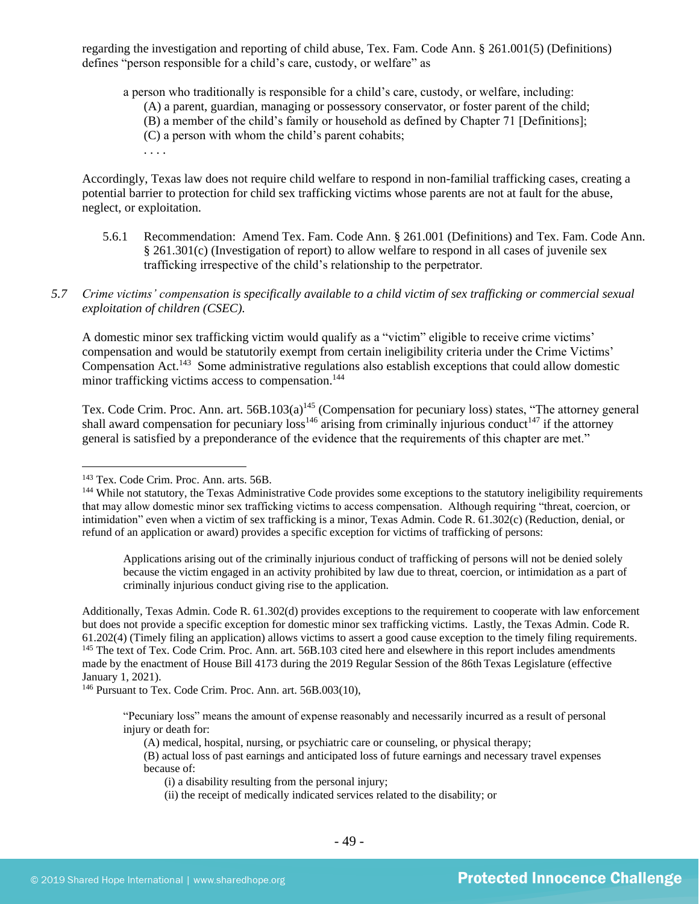regarding the investigation and reporting of child abuse, Tex. Fam. Code Ann. § 261.001(5) (Definitions) defines "person responsible for a child's care, custody, or welfare" as

a person who traditionally is responsible for a child's care, custody, or welfare, including:

- (A) a parent, guardian, managing or possessory conservator, or foster parent of the child;
- (B) a member of the child's family or household as defined by Chapter 71 [Definitions];
- (C) a person with whom the child's parent cohabits;
- . . . .

Accordingly, Texas law does not require child welfare to respond in non-familial trafficking cases, creating a potential barrier to protection for child sex trafficking victims whose parents are not at fault for the abuse, neglect, or exploitation.

- 5.6.1 Recommendation: Amend Tex. Fam. Code Ann. § 261.001 (Definitions) and Tex. Fam. Code Ann. § 261.301(c) (Investigation of report) to allow welfare to respond in all cases of juvenile sex trafficking irrespective of the child's relationship to the perpetrator.
- *5.7 Crime victims' compensation is specifically available to a child victim of sex trafficking or commercial sexual exploitation of children (CSEC).*

A domestic minor sex trafficking victim would qualify as a "victim" eligible to receive crime victims' compensation and would be statutorily exempt from certain ineligibility criteria under the Crime Victims' Compensation Act.<sup>143</sup> Some administrative regulations also establish exceptions that could allow domestic minor trafficking victims access to compensation. 144

Tex. Code Crim. Proc. Ann. art. 56B.103(a)<sup>145</sup> (Compensation for pecuniary loss) states, "The attorney general shall award compensation for pecuniary  $loss^{146}$  arising from criminally injurious conduct<sup>147</sup> if the attorney general is satisfied by a preponderance of the evidence that the requirements of this chapter are met."

Applications arising out of the criminally injurious conduct of trafficking of persons will not be denied solely because the victim engaged in an activity prohibited by law due to threat, coercion, or intimidation as a part of criminally injurious conduct giving rise to the application.

Additionally, Texas Admin. Code R. 61.302(d) provides exceptions to the requirement to cooperate with law enforcement but does not provide a specific exception for domestic minor sex trafficking victims. Lastly, the Texas Admin. Code R. 61.202(4) (Timely filing an application) allows victims to assert a good cause exception to the timely filing requirements. <sup>145</sup> The text of Tex. Code Crim. Proc. Ann. art. 56B.103 cited here and elsewhere in this report includes amendments made by the enactment of House Bill 4173 during the 2019 Regular Session of the 86th Texas Legislature (effective January 1, 2021).

<sup>146</sup> Pursuant to Tex. Code Crim. Proc. Ann. art. 56B.003(10),

"Pecuniary loss" means the amount of expense reasonably and necessarily incurred as a result of personal injury or death for:

(A) medical, hospital, nursing, or psychiatric care or counseling, or physical therapy;

(B) actual loss of past earnings and anticipated loss of future earnings and necessary travel expenses because of:

(i) a disability resulting from the personal injury;

(ii) the receipt of medically indicated services related to the disability; or

<sup>143</sup> Tex. Code Crim. Proc. Ann. arts. 56B.

<sup>&</sup>lt;sup>144</sup> While not statutory, the Texas Administrative Code provides some exceptions to the statutory ineligibility requirements that may allow domestic minor sex trafficking victims to access compensation. Although requiring "threat, coercion, or intimidation" even when a victim of sex trafficking is a minor, Texas Admin. Code R. 61.302(c) (Reduction, denial, or refund of an application or award) provides a specific exception for victims of trafficking of persons: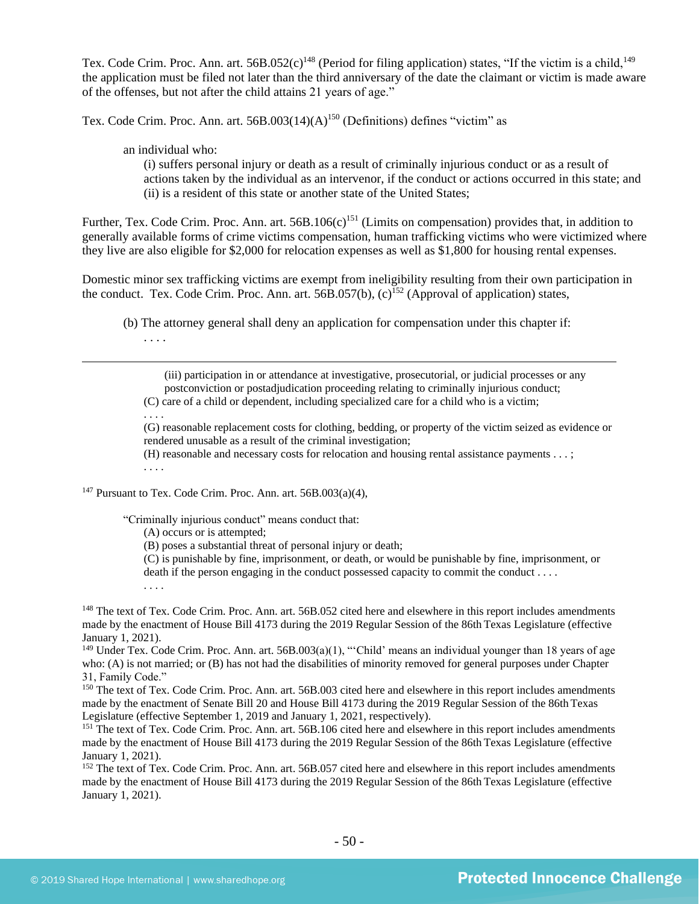Tex. Code Crim. Proc. Ann. art. 56B.052(c)<sup>148</sup> (Period for filing application) states, "If the victim is a child,<sup>149</sup> the application must be filed not later than the third anniversary of the date the claimant or victim is made aware of the offenses, but not after the child attains 21 years of age."

Tex. Code Crim. Proc. Ann. art.  $56B.003(14)(A)^{150}$  (Definitions) defines "victim" as

an individual who:

(i) suffers personal injury or death as a result of criminally injurious conduct or as a result of actions taken by the individual as an intervenor, if the conduct or actions occurred in this state; and (ii) is a resident of this state or another state of the United States;

Further, Tex. Code Crim. Proc. Ann. art. 56B.106(c)<sup>151</sup> (Limits on compensation) provides that, in addition to generally available forms of crime victims compensation, human trafficking victims who were victimized where they live are also eligible for \$2,000 for relocation expenses as well as \$1,800 for housing rental expenses.

Domestic minor sex trafficking victims are exempt from ineligibility resulting from their own participation in the conduct. Tex. Code Crim. Proc. Ann. art. 56B.057(b),  $(c)^{152}$  (Approval of application) states,

(b) The attorney general shall deny an application for compensation under this chapter if:

. . . .

(iii) participation in or attendance at investigative, prosecutorial, or judicial processes or any postconviction or postadjudication proceeding relating to criminally injurious conduct; (C) care of a child or dependent, including specialized care for a child who is a victim;

. . . .

. . . .

(G) reasonable replacement costs for clothing, bedding, or property of the victim seized as evidence or rendered unusable as a result of the criminal investigation;

(H) reasonable and necessary costs for relocation and housing rental assistance payments . . . ;

<sup>147</sup> Pursuant to Tex. Code Crim. Proc. Ann. art.  $56B.003(a)(4)$ ,

"Criminally injurious conduct" means conduct that:

(A) occurs or is attempted;

(B) poses a substantial threat of personal injury or death;

(C) is punishable by fine, imprisonment, or death, or would be punishable by fine, imprisonment, or death if the person engaging in the conduct possessed capacity to commit the conduct . . . .

. . . .

<sup>148</sup> The text of Tex. Code Crim. Proc. Ann. art. 56B.052 cited here and elsewhere in this report includes amendments made by the enactment of House Bill 4173 during the 2019 Regular Session of the 86th Texas Legislature (effective January 1, 2021).

<sup>149</sup> Under Tex. Code Crim. Proc. Ann. art. 56B.003(a)(1), "'Child' means an individual younger than 18 years of age who: (A) is not married; or (B) has not had the disabilities of minority removed for general purposes under Chapter 31, Family Code."

<sup>150</sup> The text of Tex. Code Crim. Proc. Ann. art. 56B.003 cited here and elsewhere in this report includes amendments made by the enactment of Senate Bill 20 and House Bill 4173 during the 2019 Regular Session of the 86th Texas Legislature (effective September 1, 2019 and January 1, 2021, respectively).

<sup>151</sup> The text of Tex. Code Crim. Proc. Ann. art. 56B.106 cited here and elsewhere in this report includes amendments made by the enactment of House Bill 4173 during the 2019 Regular Session of the 86th Texas Legislature (effective January 1, 2021).

<sup>152</sup> The text of Tex. Code Crim. Proc. Ann. art. 56B.057 cited here and elsewhere in this report includes amendments made by the enactment of House Bill 4173 during the 2019 Regular Session of the 86th Texas Legislature (effective January 1, 2021).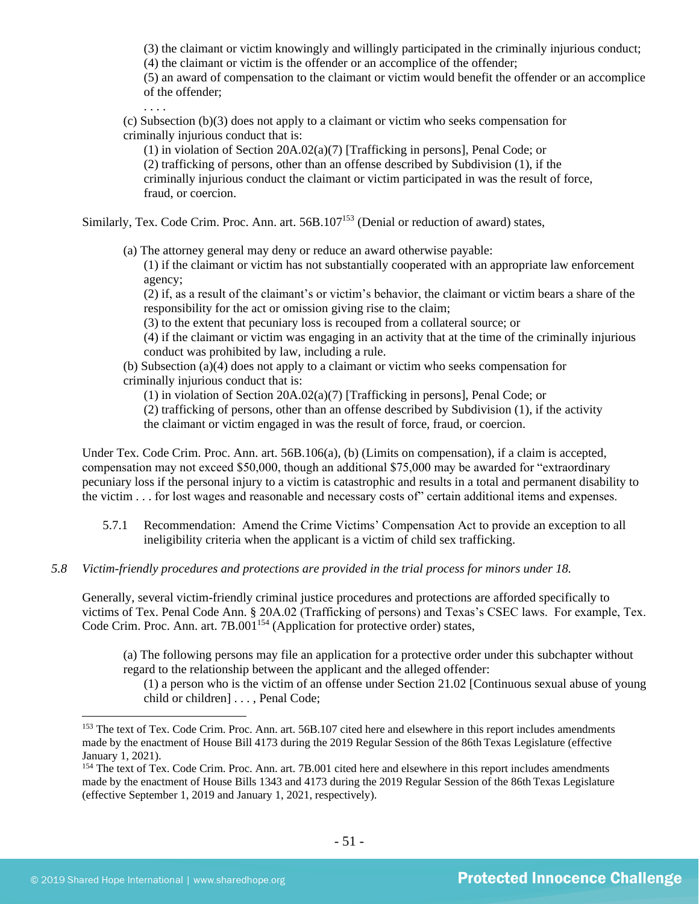(3) the claimant or victim knowingly and willingly participated in the criminally injurious conduct;

(4) the claimant or victim is the offender or an accomplice of the offender;

(5) an award of compensation to the claimant or victim would benefit the offender or an accomplice of the offender;

. . . .

(c) Subsection (b)(3) does not apply to a claimant or victim who seeks compensation for criminally injurious conduct that is:

(1) in violation of Section 20A.02(a)(7) [Trafficking in persons], Penal Code; or (2) trafficking of persons, other than an offense described by Subdivision (1), if the criminally injurious conduct the claimant or victim participated in was the result of force, fraud, or coercion.

Similarly, Tex. Code Crim. Proc. Ann. art. 56B.107<sup>153</sup> (Denial or reduction of award) states,

(a) The attorney general may deny or reduce an award otherwise payable:

(1) if the claimant or victim has not substantially cooperated with an appropriate law enforcement agency;

(2) if, as a result of the claimant's or victim's behavior, the claimant or victim bears a share of the responsibility for the act or omission giving rise to the claim;

(3) to the extent that pecuniary loss is recouped from a collateral source; or

(4) if the claimant or victim was engaging in an activity that at the time of the criminally injurious conduct was prohibited by law, including a rule.

(b) Subsection (a)(4) does not apply to a claimant or victim who seeks compensation for criminally injurious conduct that is:

(1) in violation of Section 20A.02(a)(7) [Trafficking in persons], Penal Code; or

(2) trafficking of persons, other than an offense described by Subdivision (1), if the activity the claimant or victim engaged in was the result of force, fraud, or coercion.

Under Tex. Code Crim. Proc. Ann. art. 56B.106(a), (b) (Limits on compensation), if a claim is accepted, compensation may not exceed \$50,000, though an additional \$75,000 may be awarded for "extraordinary pecuniary loss if the personal injury to a victim is catastrophic and results in a total and permanent disability to the victim . . . for lost wages and reasonable and necessary costs of" certain additional items and expenses.

- 5.7.1 Recommendation: Amend the Crime Victims' Compensation Act to provide an exception to all ineligibility criteria when the applicant is a victim of child sex trafficking.
- *5.8 Victim-friendly procedures and protections are provided in the trial process for minors under 18.*

Generally, several victim-friendly criminal justice procedures and protections are afforded specifically to victims of Tex. Penal Code Ann. § 20A.02 (Trafficking of persons) and Texas's CSEC laws. For example, Tex. Code Crim. Proc. Ann. art.  $7B.001<sup>154</sup>$  (Application for protective order) states,

(a) The following persons may file an application for a protective order under this subchapter without regard to the relationship between the applicant and the alleged offender:

(1) a person who is the victim of an offense under Section 21.02 [Continuous sexual abuse of young child or children] . . . , Penal Code;

<sup>&</sup>lt;sup>153</sup> The text of Tex. Code Crim. Proc. Ann. art. 56B.107 cited here and elsewhere in this report includes amendments made by the enactment of House Bill 4173 during the 2019 Regular Session of the 86th Texas Legislature (effective January 1, 2021).

<sup>154</sup> The text of Tex. Code Crim. Proc. Ann. art. 7B.001 cited here and elsewhere in this report includes amendments made by the enactment of House Bills 1343 and 4173 during the 2019 Regular Session of the 86th Texas Legislature (effective September 1, 2019 and January 1, 2021, respectively).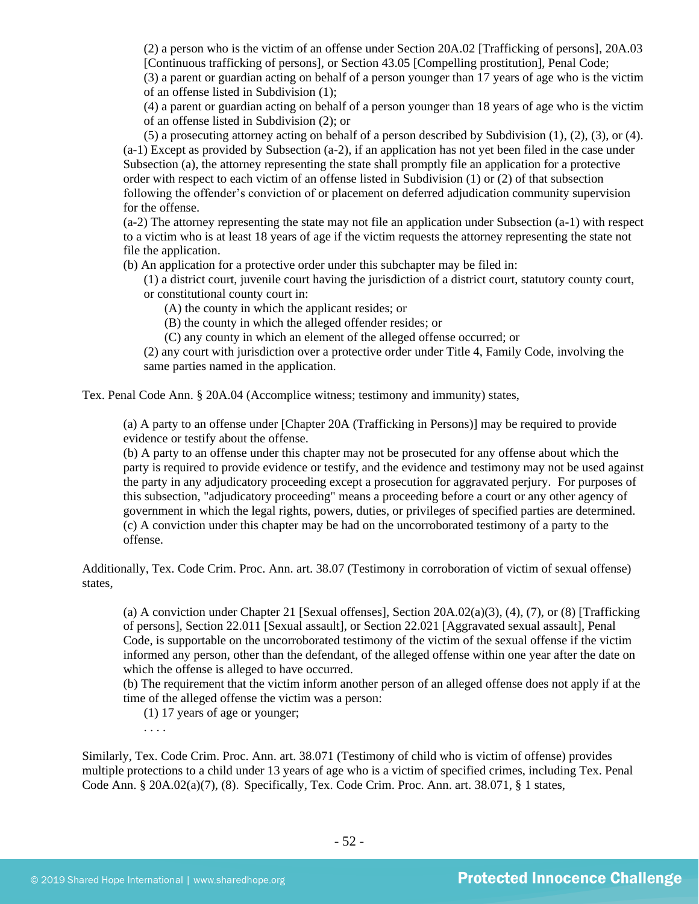(2) a person who is the victim of an offense under Section 20A.02 [Trafficking of persons], 20A.03 [Continuous trafficking of persons], or Section 43.05 [Compelling prostitution], Penal Code; (3) a parent or guardian acting on behalf of a person younger than 17 years of age who is the victim

of an offense listed in Subdivision (1);

(4) a parent or guardian acting on behalf of a person younger than 18 years of age who is the victim of an offense listed in Subdivision (2); or

(5) a prosecuting attorney acting on behalf of a person described by Subdivision (1), (2), (3), or (4). (a-1) Except as provided by Subsection (a-2), if an application has not yet been filed in the case under Subsection (a), the attorney representing the state shall promptly file an application for a protective order with respect to each victim of an offense listed in Subdivision (1) or (2) of that subsection following the offender's conviction of or placement on deferred adjudication community supervision for the offense.

(a-2) The attorney representing the state may not file an application under Subsection (a-1) with respect to a victim who is at least 18 years of age if the victim requests the attorney representing the state not file the application.

(b) An application for a protective order under this subchapter may be filed in:

(1) a district court, juvenile court having the jurisdiction of a district court, statutory county court, or constitutional county court in:

(A) the county in which the applicant resides; or

(B) the county in which the alleged offender resides; or

(C) any county in which an element of the alleged offense occurred; or

(2) any court with jurisdiction over a protective order under Title 4, Family Code, involving the same parties named in the application.

Tex. Penal Code Ann. § 20A.04 (Accomplice witness; testimony and immunity) states,

(a) A party to an offense under [Chapter 20A (Trafficking in Persons)] may be required to provide evidence or testify about the offense.

(b) A party to an offense under this chapter may not be prosecuted for any offense about which the party is required to provide evidence or testify, and the evidence and testimony may not be used against the party in any adjudicatory proceeding except a prosecution for aggravated perjury. For purposes of this subsection, "adjudicatory proceeding" means a proceeding before a court or any other agency of government in which the legal rights, powers, duties, or privileges of specified parties are determined. (c) A conviction under this chapter may be had on the uncorroborated testimony of a party to the offense.

Additionally, Tex. Code Crim. Proc. Ann. art. 38.07 (Testimony in corroboration of victim of sexual offense) states,

(a) A conviction under Chapter 21 [Sexual offenses], Section 20A.02(a)(3), (4), (7), or (8) [Trafficking of persons], Section 22.011 [Sexual assault], or Section 22.021 [Aggravated sexual assault], Penal Code, is supportable on the uncorroborated testimony of the victim of the sexual offense if the victim informed any person, other than the defendant, of the alleged offense within one year after the date on which the offense is alleged to have occurred.

(b) The requirement that the victim inform another person of an alleged offense does not apply if at the time of the alleged offense the victim was a person:

(1) 17 years of age or younger;

. . . .

Similarly, Tex. Code Crim. Proc. Ann. art. 38.071 (Testimony of child who is victim of offense) provides multiple protections to a child under 13 years of age who is a victim of specified crimes, including Tex. Penal Code Ann.  $\S 20A.02(a)(7)$ , (8). Specifically, Tex. Code Crim. Proc. Ann. art. 38.071,  $\S 1$  states,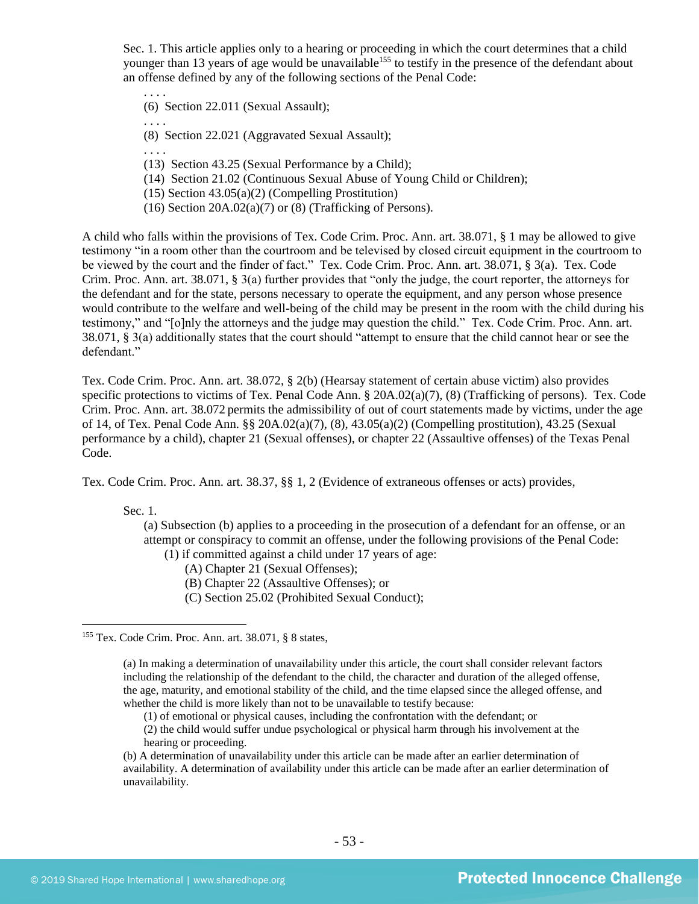Sec. 1. This article applies only to a hearing or proceeding in which the court determines that a child younger than 13 years of age would be unavailable<sup>155</sup> to testify in the presence of the defendant about an offense defined by any of the following sections of the Penal Code:

. . . . (6) Section 22.011 (Sexual Assault);

. . . .

(8) Section 22.021 (Aggravated Sexual Assault);

. . . .

- (13) Section 43.25 (Sexual Performance by a Child);
- (14) Section 21.02 (Continuous Sexual Abuse of Young Child or Children);
- (15) Section 43.05(a)(2) (Compelling Prostitution)
- (16) Section 20A.02(a)(7) or (8) (Trafficking of Persons).

A child who falls within the provisions of Tex. Code Crim. Proc. Ann. art. 38.071, § 1 may be allowed to give testimony "in a room other than the courtroom and be televised by closed circuit equipment in the courtroom to be viewed by the court and the finder of fact." Tex. Code Crim. Proc. Ann. art. 38.071, § 3(a). Tex. Code Crim. Proc. Ann. art. 38.071, § 3(a) further provides that "only the judge, the court reporter, the attorneys for the defendant and for the state, persons necessary to operate the equipment, and any person whose presence would contribute to the welfare and well-being of the child may be present in the room with the child during his testimony," and "[o]nly the attorneys and the judge may question the child." Tex. Code Crim. Proc. Ann. art. 38.071, § 3(a) additionally states that the court should "attempt to ensure that the child cannot hear or see the defendant."

Tex. Code Crim. Proc. Ann. art. 38.072, § 2(b) (Hearsay statement of certain abuse victim) also provides specific protections to victims of Tex. Penal Code Ann. § 20A.02(a)(7), (8) (Trafficking of persons). Tex. Code Crim. Proc. Ann. art. 38.072 permits the admissibility of out of court statements made by victims, under the age of 14, of Tex. Penal Code Ann. §§ 20A.02(a)(7), (8), 43.05(a)(2) (Compelling prostitution), 43.25 (Sexual performance by a child), chapter 21 (Sexual offenses), or chapter 22 (Assaultive offenses) of the Texas Penal Code.

Tex. Code Crim. Proc. Ann. art. 38.37, §§ 1, 2 (Evidence of extraneous offenses or acts) provides,

Sec. 1.

(a) Subsection (b) applies to a proceeding in the prosecution of a defendant for an offense, or an attempt or conspiracy to commit an offense, under the following provisions of the Penal Code:

- (1) if committed against a child under 17 years of age:
	- (A) Chapter 21 (Sexual Offenses);
	- (B) Chapter 22 (Assaultive Offenses); or
	- (C) Section 25.02 (Prohibited Sexual Conduct);

<sup>155</sup> Tex. Code Crim. Proc. Ann. art. 38.071, § 8 states,

<sup>(</sup>a) In making a determination of unavailability under this article, the court shall consider relevant factors including the relationship of the defendant to the child, the character and duration of the alleged offense, the age, maturity, and emotional stability of the child, and the time elapsed since the alleged offense, and whether the child is more likely than not to be unavailable to testify because:

<sup>(1)</sup> of emotional or physical causes, including the confrontation with the defendant; or

<sup>(2)</sup> the child would suffer undue psychological or physical harm through his involvement at the hearing or proceeding.

<sup>(</sup>b) A determination of unavailability under this article can be made after an earlier determination of availability. A determination of availability under this article can be made after an earlier determination of unavailability.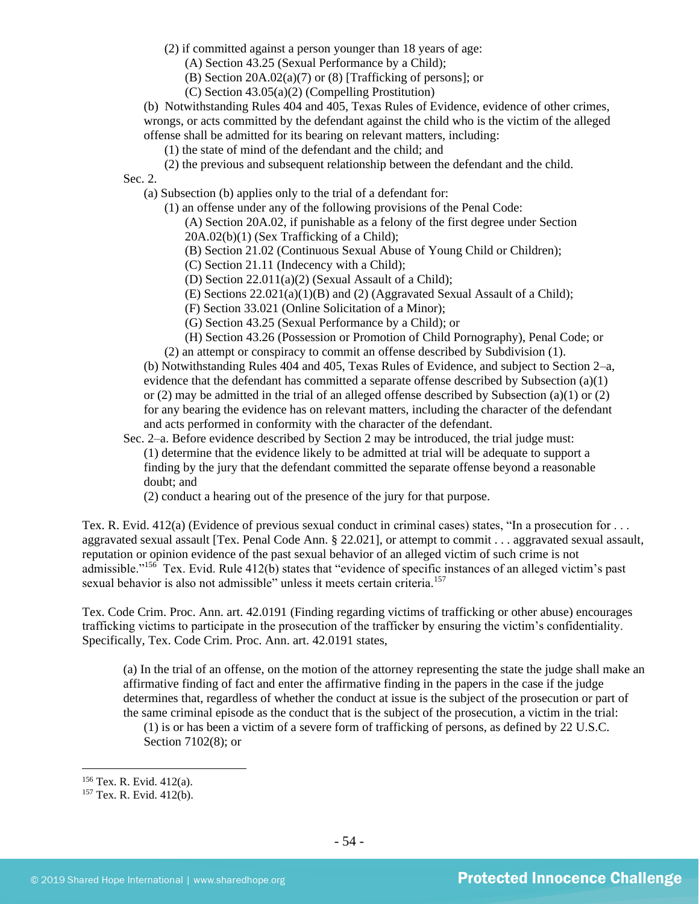(2) if committed against a person younger than 18 years of age:

(A) Section 43.25 (Sexual Performance by a Child);

- (B) Section 20A.02(a)(7) or (8) [Trafficking of persons]; or
- (C) Section 43.05(a)(2) (Compelling Prostitution)

(b) Notwithstanding Rules 404 and 405, Texas Rules of Evidence, evidence of other crimes, wrongs, or acts committed by the defendant against the child who is the victim of the alleged offense shall be admitted for its bearing on relevant matters, including:

(1) the state of mind of the defendant and the child; and

(2) the previous and subsequent relationship between the defendant and the child.

Sec. 2.

(a) Subsection (b) applies only to the trial of a defendant for:

- (1) an offense under any of the following provisions of the Penal Code:
	- (A) Section 20A.02, if punishable as a felony of the first degree under Section 20A.02(b)(1) (Sex Trafficking of a Child);
	- (B) Section 21.02 (Continuous Sexual Abuse of Young Child or Children);
	- (C) Section 21.11 (Indecency with a Child);
	- (D) Section 22.011(a)(2) (Sexual Assault of a Child);
	- (E) Sections 22.021(a)(1)(B) and (2) (Aggravated Sexual Assault of a Child);
	- (F) Section 33.021 (Online Solicitation of a Minor);
	- (G) Section 43.25 (Sexual Performance by a Child); or
	- (H) Section 43.26 (Possession or Promotion of Child Pornography), Penal Code; or

(2) an attempt or conspiracy to commit an offense described by Subdivision (1).

(b) Notwithstanding Rules 404 and 405, Texas Rules of Evidence, and subject to Section 2–a, evidence that the defendant has committed a separate offense described by Subsection (a)(1) or (2) may be admitted in the trial of an alleged offense described by Subsection (a)(1) or (2) for any bearing the evidence has on relevant matters, including the character of the defendant and acts performed in conformity with the character of the defendant.

Sec. 2–a. Before evidence described by Section 2 may be introduced, the trial judge must: (1) determine that the evidence likely to be admitted at trial will be adequate to support a finding by the jury that the defendant committed the separate offense beyond a reasonable doubt; and

(2) conduct a hearing out of the presence of the jury for that purpose.

Tex. R. Evid. 412(a) (Evidence of previous sexual conduct in criminal cases) states, "In a prosecution for . . . aggravated sexual assault [Tex. Penal Code Ann. § 22.021], or attempt to commit . . . aggravated sexual assault, reputation or opinion evidence of the past sexual behavior of an alleged victim of such crime is not admissible."<sup>156</sup> Tex. Evid. Rule 412(b) states that "evidence of specific instances of an alleged victim's past sexual behavior is also not admissible" unless it meets certain criteria.<sup>157</sup>

Tex. Code Crim. Proc. Ann. art. 42.0191 (Finding regarding victims of trafficking or other abuse) encourages trafficking victims to participate in the prosecution of the trafficker by ensuring the victim's confidentiality. Specifically, Tex. Code Crim. Proc. Ann. art. 42.0191 states,

(a) In the trial of an offense, on the motion of the attorney representing the state the judge shall make an affirmative finding of fact and enter the affirmative finding in the papers in the case if the judge determines that, regardless of whether the conduct at issue is the subject of the prosecution or part of the same criminal episode as the conduct that is the subject of the prosecution, a victim in the trial:

(1) is or has been a victim of a severe form of trafficking of persons, as defined by 22 U.S.C. Section 7102(8); or

<sup>156</sup> Tex. R. Evid. 412(a).

<sup>157</sup> Tex. R. Evid. 412(b).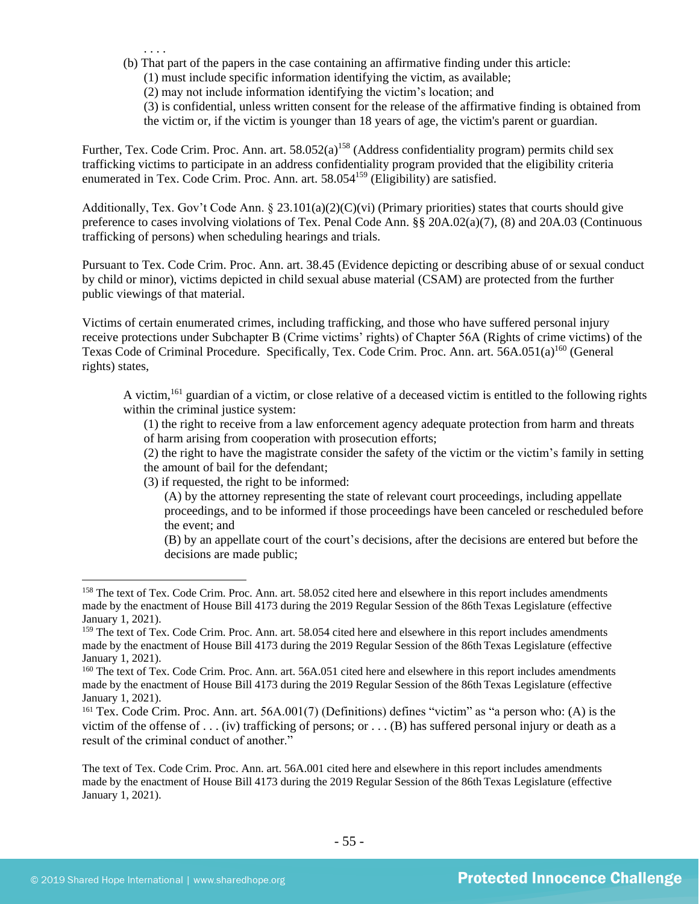- . . . .
- (b) That part of the papers in the case containing an affirmative finding under this article:
	- (1) must include specific information identifying the victim, as available;

(2) may not include information identifying the victim's location; and

(3) is confidential, unless written consent for the release of the affirmative finding is obtained from the victim or, if the victim is younger than 18 years of age, the victim's parent or guardian.

Further, Tex. Code Crim. Proc. Ann. art.  $58.052(a)^{158}$  (Address confidentiality program) permits child sex trafficking victims to participate in an address confidentiality program provided that the eligibility criteria enumerated in Tex. Code Crim. Proc. Ann. art. 58.054<sup>159</sup> (Eligibility) are satisfied.

Additionally, Tex. Gov't Code Ann. § 23.101(a)(2)(C)(vi) (Primary priorities) states that courts should give preference to cases involving violations of Tex. Penal Code Ann. §§ 20A.02(a)(7), (8) and 20A.03 (Continuous trafficking of persons) when scheduling hearings and trials.

Pursuant to Tex. Code Crim. Proc. Ann. art. 38.45 (Evidence depicting or describing abuse of or sexual conduct by child or minor), victims depicted in child sexual abuse material (CSAM) are protected from the further public viewings of that material.

Victims of certain enumerated crimes, including trafficking, and those who have suffered personal injury receive protections under Subchapter B (Crime victims' rights) of Chapter 56A (Rights of crime victims) of the Texas Code of Criminal Procedure. Specifically, Tex. Code Crim. Proc. Ann. art. 56A.051(a)<sup>160</sup> (General rights) states,

A victim,<sup>161</sup> guardian of a victim, or close relative of a deceased victim is entitled to the following rights within the criminal justice system:

(1) the right to receive from a law enforcement agency adequate protection from harm and threats of harm arising from cooperation with prosecution efforts;

(2) the right to have the magistrate consider the safety of the victim or the victim's family in setting the amount of bail for the defendant;

(3) if requested, the right to be informed:

(A) by the attorney representing the state of relevant court proceedings, including appellate proceedings, and to be informed if those proceedings have been canceled or rescheduled before the event; and

(B) by an appellate court of the court's decisions, after the decisions are entered but before the decisions are made public;

<sup>&</sup>lt;sup>158</sup> The text of Tex. Code Crim. Proc. Ann. art. 58.052 cited here and elsewhere in this report includes amendments made by the enactment of House Bill 4173 during the 2019 Regular Session of the 86th Texas Legislature (effective January 1, 2021).

<sup>&</sup>lt;sup>159</sup> The text of Tex. Code Crim. Proc. Ann. art. 58.054 cited here and elsewhere in this report includes amendments made by the enactment of House Bill 4173 during the 2019 Regular Session of the 86th Texas Legislature (effective January 1, 2021).

<sup>&</sup>lt;sup>160</sup> The text of Tex. Code Crim. Proc. Ann. art. 56A.051 cited here and elsewhere in this report includes amendments made by the enactment of House Bill 4173 during the 2019 Regular Session of the 86th Texas Legislature (effective January 1, 2021).

<sup>161</sup> Tex. Code Crim. Proc. Ann. art. 56A.001(7) (Definitions) defines "victim" as "a person who: (A) is the victim of the offense of . . . (iv) trafficking of persons; or . . . (B) has suffered personal injury or death as a result of the criminal conduct of another."

The text of Tex. Code Crim. Proc. Ann. art. 56A.001 cited here and elsewhere in this report includes amendments made by the enactment of House Bill 4173 during the 2019 Regular Session of the 86th Texas Legislature (effective January 1, 2021).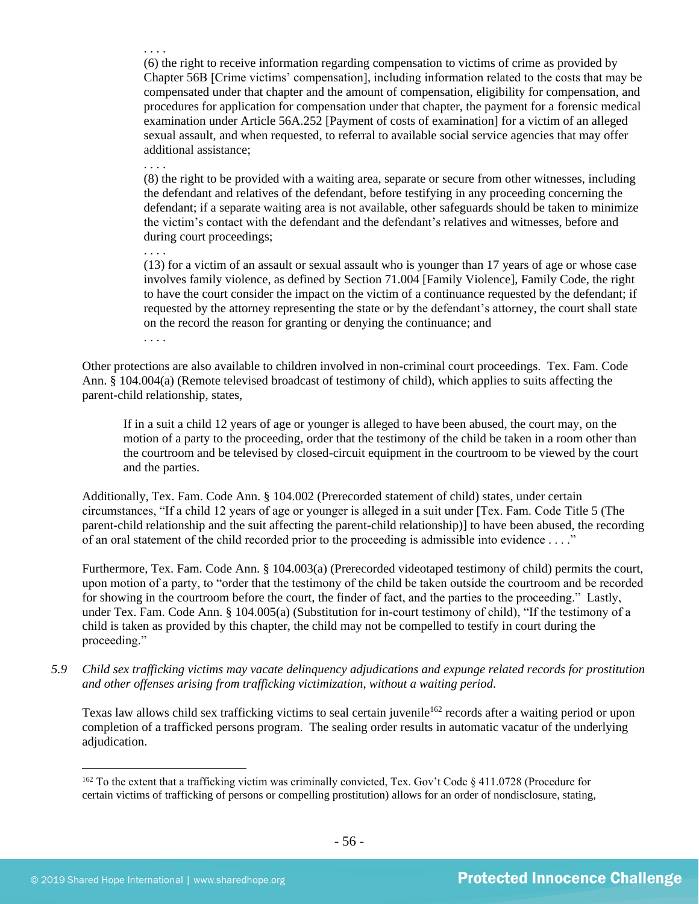. . . .

(6) the right to receive information regarding compensation to victims of crime as provided by Chapter 56B [Crime victims' compensation], including information related to the costs that may be compensated under that chapter and the amount of compensation, eligibility for compensation, and procedures for application for compensation under that chapter, the payment for a forensic medical examination under Article 56A.252 [Payment of costs of examination] for a victim of an alleged sexual assault, and when requested, to referral to available social service agencies that may offer additional assistance;

. . . . (8) the right to be provided with a waiting area, separate or secure from other witnesses, including the defendant and relatives of the defendant, before testifying in any proceeding concerning the defendant; if a separate waiting area is not available, other safeguards should be taken to minimize the victim's contact with the defendant and the defendant's relatives and witnesses, before and during court proceedings;

. . . .

(13) for a victim of an assault or sexual assault who is younger than 17 years of age or whose case involves family violence, as defined by Section 71.004 [Family Violence], Family Code, the right to have the court consider the impact on the victim of a continuance requested by the defendant; if requested by the attorney representing the state or by the defendant's attorney, the court shall state on the record the reason for granting or denying the continuance; and

. . . .

Other protections are also available to children involved in non-criminal court proceedings. Tex. Fam. Code Ann. § 104.004(a) (Remote televised broadcast of testimony of child), which applies to suits affecting the parent-child relationship, states,

If in a suit a child 12 years of age or younger is alleged to have been abused, the court may, on the motion of a party to the proceeding, order that the testimony of the child be taken in a room other than the courtroom and be televised by closed-circuit equipment in the courtroom to be viewed by the court and the parties.

Additionally, Tex. Fam. Code Ann. § 104.002 (Prerecorded statement of child) states, under certain circumstances, "If a child 12 years of age or younger is alleged in a suit under [Tex. Fam. Code Title 5 (The parent-child relationship and the suit affecting the parent-child relationship)] to have been abused, the recording of an oral statement of the child recorded prior to the proceeding is admissible into evidence . . . ."

Furthermore, Tex. Fam. Code Ann. § 104.003(a) (Prerecorded videotaped testimony of child) permits the court, upon motion of a party, to "order that the testimony of the child be taken outside the courtroom and be recorded for showing in the courtroom before the court, the finder of fact, and the parties to the proceeding." Lastly, under Tex. Fam. Code Ann. § 104.005(a) (Substitution for in-court testimony of child), "If the testimony of a child is taken as provided by this chapter, the child may not be compelled to testify in court during the proceeding."

*5.9 Child sex trafficking victims may vacate delinquency adjudications and expunge related records for prostitution and other offenses arising from trafficking victimization, without a waiting period.*

Texas law allows child sex trafficking victims to seal certain juvenile<sup>162</sup> records after a waiting period or upon completion of a trafficked persons program. The sealing order results in automatic vacatur of the underlying adjudication.

<sup>&</sup>lt;sup>162</sup> To the extent that a trafficking victim was criminally convicted, Tex. Gov't Code  $\S$  411.0728 (Procedure for certain victims of trafficking of persons or compelling prostitution) allows for an order of nondisclosure, stating,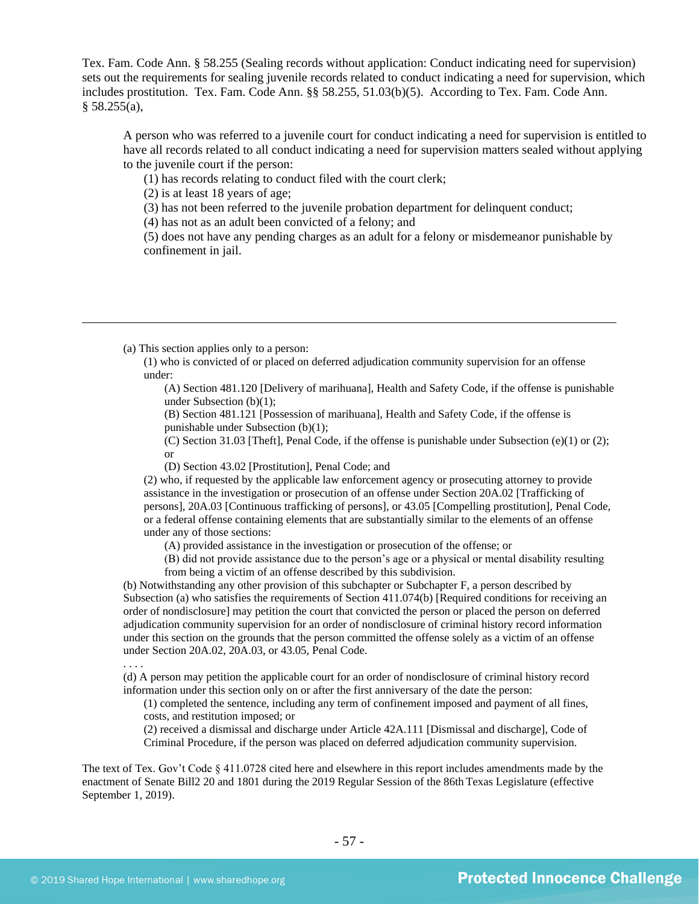Tex. Fam. Code Ann. § 58.255 (Sealing records without application: Conduct indicating need for supervision) sets out the requirements for sealing juvenile records related to conduct indicating a need for supervision, which includes prostitution. Tex. Fam. Code Ann. §§ 58.255, 51.03(b)(5). According to Tex. Fam. Code Ann.  $§ 58.255(a),$ 

A person who was referred to a juvenile court for conduct indicating a need for supervision is entitled to have all records related to all conduct indicating a need for supervision matters sealed without applying to the juvenile court if the person:

(1) has records relating to conduct filed with the court clerk;

(2) is at least 18 years of age;

(3) has not been referred to the juvenile probation department for delinquent conduct;

(4) has not as an adult been convicted of a felony; and

(5) does not have any pending charges as an adult for a felony or misdemeanor punishable by confinement in jail.

(a) This section applies only to a person:

(1) who is convicted of or placed on deferred adjudication community supervision for an offense under:

(A) Section 481.120 [Delivery of marihuana], Health and Safety Code, if the offense is punishable under Subsection (b)(1);

(B) Section 481.121 [Possession of marihuana], Health and Safety Code, if the offense is punishable under Subsection (b)(1);

(C) Section 31.03 [Theft], Penal Code, if the offense is punishable under Subsection (e)(1) or (2); or

(D) Section 43.02 [Prostitution], Penal Code; and

(2) who, if requested by the applicable law enforcement agency or prosecuting attorney to provide assistance in the investigation or prosecution of an offense under Section 20A.02 [Trafficking of persons], 20A.03 [Continuous trafficking of persons], or 43.05 [Compelling prostitution], Penal Code, or a federal offense containing elements that are substantially similar to the elements of an offense under any of those sections:

(A) provided assistance in the investigation or prosecution of the offense; or

(B) did not provide assistance due to the person's age or a physical or mental disability resulting from being a victim of an offense described by this subdivision.

(b) Notwithstanding any other provision of this subchapter or Subchapter F, a person described by Subsection (a) who satisfies the requirements of Section 411.074(b) [Required conditions for receiving an order of nondisclosure] may petition the court that convicted the person or placed the person on deferred adjudication community supervision for an order of nondisclosure of criminal history record information under this section on the grounds that the person committed the offense solely as a victim of an offense under Section 20A.02, 20A.03, or 43.05, Penal Code.

. . . .

(d) A person may petition the applicable court for an order of nondisclosure of criminal history record information under this section only on or after the first anniversary of the date the person:

(1) completed the sentence, including any term of confinement imposed and payment of all fines, costs, and restitution imposed; or

(2) received a dismissal and discharge under Article 42A.111 [Dismissal and discharge], Code of Criminal Procedure, if the person was placed on deferred adjudication community supervision.

The text of Tex. Gov't Code § 411.0728 cited here and elsewhere in this report includes amendments made by the enactment of Senate Bill2 20 and 1801 during the 2019 Regular Session of the 86th Texas Legislature (effective September 1, 2019).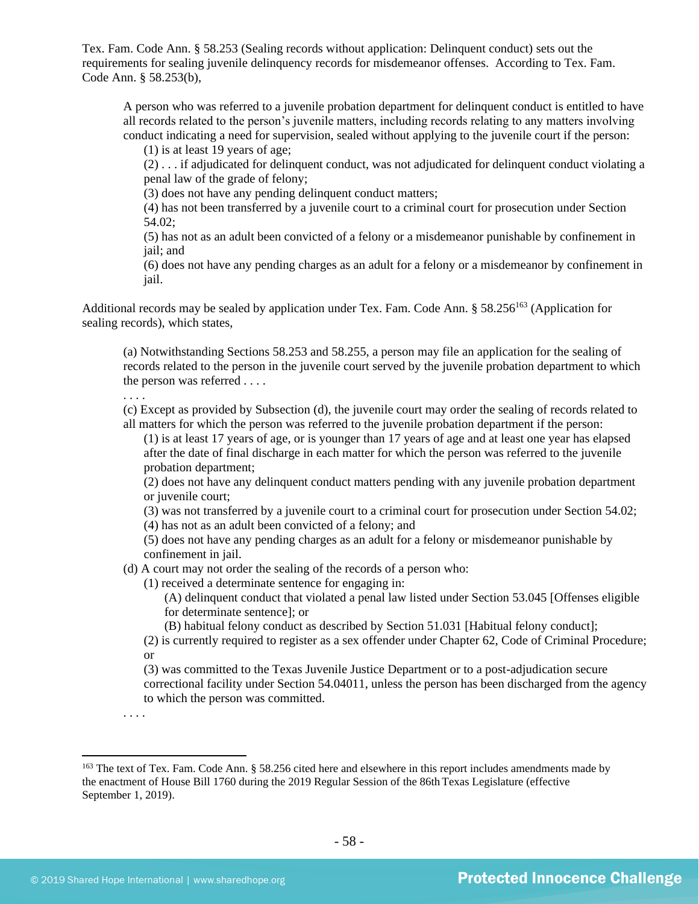Tex. Fam. Code Ann. § 58.253 (Sealing records without application: Delinquent conduct) sets out the requirements for sealing juvenile delinquency records for misdemeanor offenses. According to Tex. Fam. Code Ann. § 58.253(b),

A person who was referred to a juvenile probation department for delinquent conduct is entitled to have all records related to the person's juvenile matters, including records relating to any matters involving conduct indicating a need for supervision, sealed without applying to the juvenile court if the person:

(1) is at least 19 years of age;

(2) . . . if adjudicated for delinquent conduct, was not adjudicated for delinquent conduct violating a penal law of the grade of felony;

(3) does not have any pending delinquent conduct matters;

(4) has not been transferred by a juvenile court to a criminal court for prosecution under Section 54.02;

(5) has not as an adult been convicted of a felony or a misdemeanor punishable by confinement in jail; and

(6) does not have any pending charges as an adult for a felony or a misdemeanor by confinement in jail.

Additional records may be sealed by application under Tex. Fam. Code Ann. § 58.256<sup>163</sup> (Application for sealing records), which states,

(a) Notwithstanding Sections 58.253 and 58.255, a person may file an application for the sealing of records related to the person in the juvenile court served by the juvenile probation department to which the person was referred . . . .

. . . .

(c) Except as provided by Subsection (d), the juvenile court may order the sealing of records related to all matters for which the person was referred to the juvenile probation department if the person:

(1) is at least 17 years of age, or is younger than 17 years of age and at least one year has elapsed after the date of final discharge in each matter for which the person was referred to the juvenile probation department;

(2) does not have any delinquent conduct matters pending with any juvenile probation department or juvenile court;

(3) was not transferred by a juvenile court to a criminal court for prosecution under Section 54.02;

(4) has not as an adult been convicted of a felony; and

(5) does not have any pending charges as an adult for a felony or misdemeanor punishable by confinement in jail.

(d) A court may not order the sealing of the records of a person who:

(1) received a determinate sentence for engaging in:

(A) delinquent conduct that violated a penal law listed under Section 53.045 [Offenses eligible for determinate sentence]; or

(B) habitual felony conduct as described by Section 51.031 [Habitual felony conduct];

(2) is currently required to register as a sex offender under Chapter 62, Code of Criminal Procedure; or

(3) was committed to the Texas Juvenile Justice Department or to a post-adjudication secure correctional facility under Section 54.04011, unless the person has been discharged from the agency to which the person was committed.

. . . .

<sup>&</sup>lt;sup>163</sup> The text of Tex. Fam. Code Ann. § 58.256 cited here and elsewhere in this report includes amendments made by the enactment of House Bill 1760 during the 2019 Regular Session of the 86th Texas Legislature (effective September 1, 2019).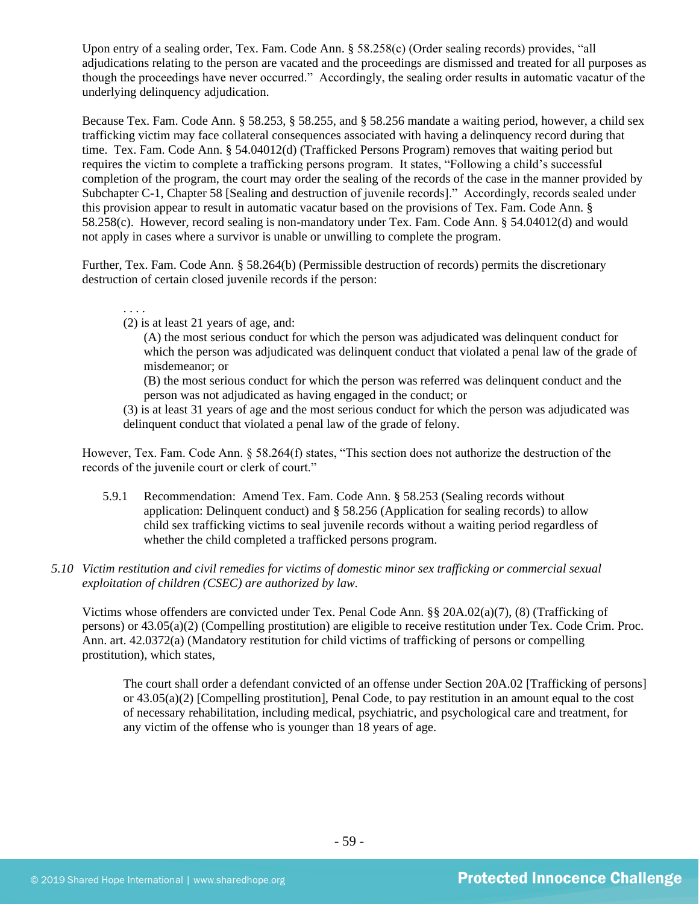Upon entry of a sealing order, Tex. Fam. Code Ann. § 58.258(c) (Order sealing records) provides, "all adjudications relating to the person are vacated and the proceedings are dismissed and treated for all purposes as though the proceedings have never occurred." Accordingly, the sealing order results in automatic vacatur of the underlying delinquency adjudication.

Because Tex. Fam. Code Ann. § 58.253, § 58.255, and § 58.256 mandate a waiting period, however, a child sex trafficking victim may face collateral consequences associated with having a delinquency record during that time. Tex. Fam. Code Ann. § 54.04012(d) (Trafficked Persons Program) removes that waiting period but requires the victim to complete a trafficking persons program. It states, "Following a child's successful completion of the program, the court may order the sealing of the records of the case in the manner provided by Subchapter C-1, Chapter 58 [Sealing and destruction of juvenile records]." Accordingly, records sealed under this provision appear to result in automatic vacatur based on the provisions of Tex. Fam. Code Ann. § 58.258(c). However, record sealing is non-mandatory under Tex. Fam. Code Ann. § 54.04012(d) and would not apply in cases where a survivor is unable or unwilling to complete the program.

Further, Tex. Fam. Code Ann. § 58.264(b) (Permissible destruction of records) permits the discretionary destruction of certain closed juvenile records if the person:

(2) is at least 21 years of age, and:

. . . .

(A) the most serious conduct for which the person was adjudicated was delinquent conduct for which the person was adjudicated was delinquent conduct that violated a penal law of the grade of misdemeanor; or

(B) the most serious conduct for which the person was referred was delinquent conduct and the person was not adjudicated as having engaged in the conduct; or

(3) is at least 31 years of age and the most serious conduct for which the person was adjudicated was delinquent conduct that violated a penal law of the grade of felony.

However, Tex. Fam. Code Ann. § 58.264(f) states, "This section does not authorize the destruction of the records of the juvenile court or clerk of court."

- 5.9.1 Recommendation: Amend Tex. Fam. Code Ann. § 58.253 (Sealing records without application: Delinquent conduct) and § 58.256 (Application for sealing records) to allow child sex trafficking victims to seal juvenile records without a waiting period regardless of whether the child completed a trafficked persons program.
- *5.10 Victim restitution and civil remedies for victims of domestic minor sex trafficking or commercial sexual exploitation of children (CSEC) are authorized by law.*

Victims whose offenders are convicted under Tex. Penal Code Ann. §§ 20A.02(a)(7), (8) (Trafficking of persons) or 43.05(a)(2) (Compelling prostitution) are eligible to receive restitution under Tex. Code Crim. Proc. Ann. art. 42.0372(a) (Mandatory restitution for child victims of trafficking of persons or compelling prostitution), which states,

The court shall order a defendant convicted of an offense under Section 20A.02 [Trafficking of persons] or 43.05(a)(2) [Compelling prostitution], Penal Code, to pay restitution in an amount equal to the cost of necessary rehabilitation, including medical, psychiatric, and psychological care and treatment, for any victim of the offense who is younger than 18 years of age.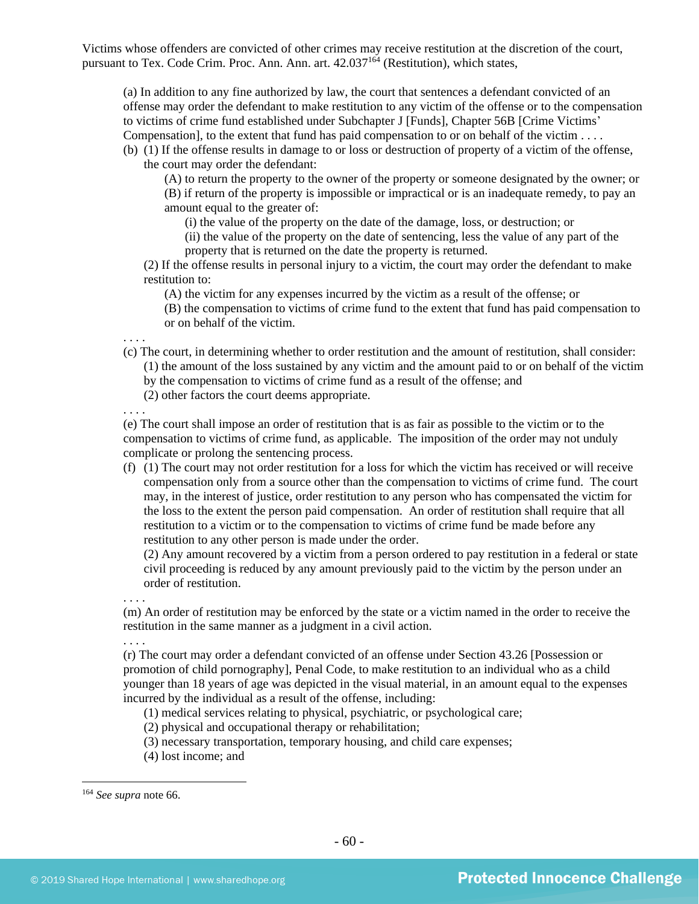Victims whose offenders are convicted of other crimes may receive restitution at the discretion of the court, pursuant to Tex. Code Crim. Proc. Ann. Ann. art.  $42.037^{164}$  (Restitution), which states,

(a) In addition to any fine authorized by law, the court that sentences a defendant convicted of an offense may order the defendant to make restitution to any victim of the offense or to the compensation to victims of crime fund established under Subchapter J [Funds], Chapter 56B [Crime Victims' Compensation], to the extent that fund has paid compensation to or on behalf of the victim . . . .

(b) (1) If the offense results in damage to or loss or destruction of property of a victim of the offense, the court may order the defendant:

(A) to return the property to the owner of the property or someone designated by the owner; or (B) if return of the property is impossible or impractical or is an inadequate remedy, to pay an amount equal to the greater of:

(i) the value of the property on the date of the damage, loss, or destruction; or

(ii) the value of the property on the date of sentencing, less the value of any part of the property that is returned on the date the property is returned.

(2) If the offense results in personal injury to a victim, the court may order the defendant to make restitution to:

(A) the victim for any expenses incurred by the victim as a result of the offense; or

(B) the compensation to victims of crime fund to the extent that fund has paid compensation to or on behalf of the victim.

. . . .

(c) The court, in determining whether to order restitution and the amount of restitution, shall consider: (1) the amount of the loss sustained by any victim and the amount paid to or on behalf of the victim by the compensation to victims of crime fund as a result of the offense; and (2) other factors the court deems appropriate.

. . . .

(e) The court shall impose an order of restitution that is as fair as possible to the victim or to the compensation to victims of crime fund, as applicable. The imposition of the order may not unduly complicate or prolong the sentencing process.

(f) (1) The court may not order restitution for a loss for which the victim has received or will receive compensation only from a source other than the compensation to victims of crime fund. The court may, in the interest of justice, order restitution to any person who has compensated the victim for the loss to the extent the person paid compensation. An order of restitution shall require that all restitution to a victim or to the compensation to victims of crime fund be made before any restitution to any other person is made under the order.

(2) Any amount recovered by a victim from a person ordered to pay restitution in a federal or state civil proceeding is reduced by any amount previously paid to the victim by the person under an order of restitution.

. . . . (m) An order of restitution may be enforced by the state or a victim named in the order to receive the restitution in the same manner as a judgment in a civil action.

. . . .

(r) The court may order a defendant convicted of an offense under Section 43.26 [Possession or promotion of child pornography], Penal Code, to make restitution to an individual who as a child younger than 18 years of age was depicted in the visual material, in an amount equal to the expenses incurred by the individual as a result of the offense, including:

(1) medical services relating to physical, psychiatric, or psychological care;

(2) physical and occupational therapy or rehabilitation;

(3) necessary transportation, temporary housing, and child care expenses;

(4) lost income; and

<sup>164</sup> *See supra* not[e 66.](#page-20-0)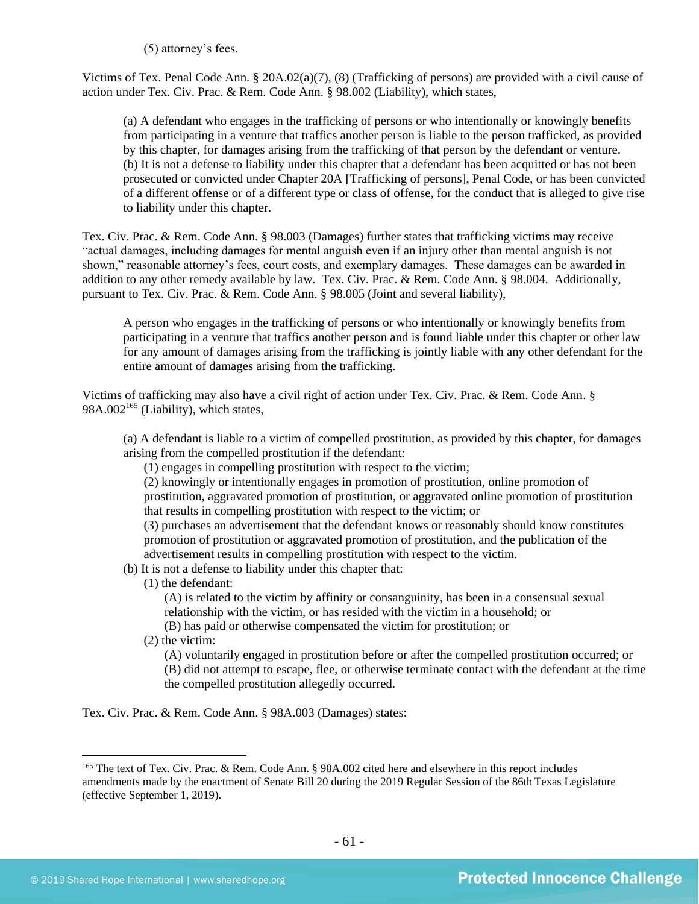(5) attorney's fees.

Victims of Tex. Penal Code Ann. § 20A.02(a)(7), (8) (Trafficking of persons) are provided with a civil cause of action under Tex. Civ. Prac. & Rem. Code Ann. § 98.002 (Liability), which states,

(a) A defendant who engages in the trafficking of persons or who intentionally or knowingly benefits from participating in a venture that traffics another person is liable to the person trafficked, as provided by this chapter, for damages arising from the trafficking of that person by the defendant or venture. (b) It is not a defense to liability under this chapter that a defendant has been acquitted or has not been prosecuted or convicted under Chapter 20A [Trafficking of persons], Penal Code, or has been convicted of a different offense or of a different type or class of offense, for the conduct that is alleged to give rise to liability under this chapter.

Tex. Civ. Prac. & Rem. Code Ann. § 98.003 (Damages) further states that trafficking victims may receive "actual damages, including damages for mental anguish even if an injury other than mental anguish is not shown," reasonable attorney's fees, court costs, and exemplary damages. These damages can be awarded in addition to any other remedy available by law. Tex. Civ. Prac. & Rem. Code Ann. § 98.004. Additionally, pursuant to Tex. Civ. Prac. & Rem. Code Ann. § 98.005 (Joint and several liability),

A person who engages in the trafficking of persons or who intentionally or knowingly benefits from participating in a venture that traffics another person and is found liable under this chapter or other law for any amount of damages arising from the trafficking is jointly liable with any other defendant for the entire amount of damages arising from the trafficking.

Victims of trafficking may also have a civil right of action under Tex. Civ. Prac. & Rem. Code Ann. § 98A.002<sup>165</sup> (Liability), which states,

(a) A defendant is liable to a victim of compelled prostitution, as provided by this chapter, for damages arising from the compelled prostitution if the defendant:

(1) engages in compelling prostitution with respect to the victim;

(2) knowingly or intentionally engages in promotion of prostitution, online promotion of prostitution, aggravated promotion of prostitution, or aggravated online promotion of prostitution that results in compelling prostitution with respect to the victim; or

(3) purchases an advertisement that the defendant knows or reasonably should know constitutes promotion of prostitution or aggravated promotion of prostitution, and the publication of the advertisement results in compelling prostitution with respect to the victim.

- (b) It is not a defense to liability under this chapter that:
	- (1) the defendant:

(A) is related to the victim by affinity or consanguinity, has been in a consensual sexual relationship with the victim, or has resided with the victim in a household; or

(B) has paid or otherwise compensated the victim for prostitution; or

(2) the victim:

(A) voluntarily engaged in prostitution before or after the compelled prostitution occurred; or (B) did not attempt to escape, flee, or otherwise terminate contact with the defendant at the time the compelled prostitution allegedly occurred.

Tex. Civ. Prac. & Rem. Code Ann. § 98A.003 (Damages) states:

<sup>165</sup> The text of Tex. Civ. Prac. & Rem. Code Ann. § 98A.002 cited here and elsewhere in this report includes amendments made by the enactment of Senate Bill 20 during the 2019 Regular Session of the 86th Texas Legislature (effective September 1, 2019).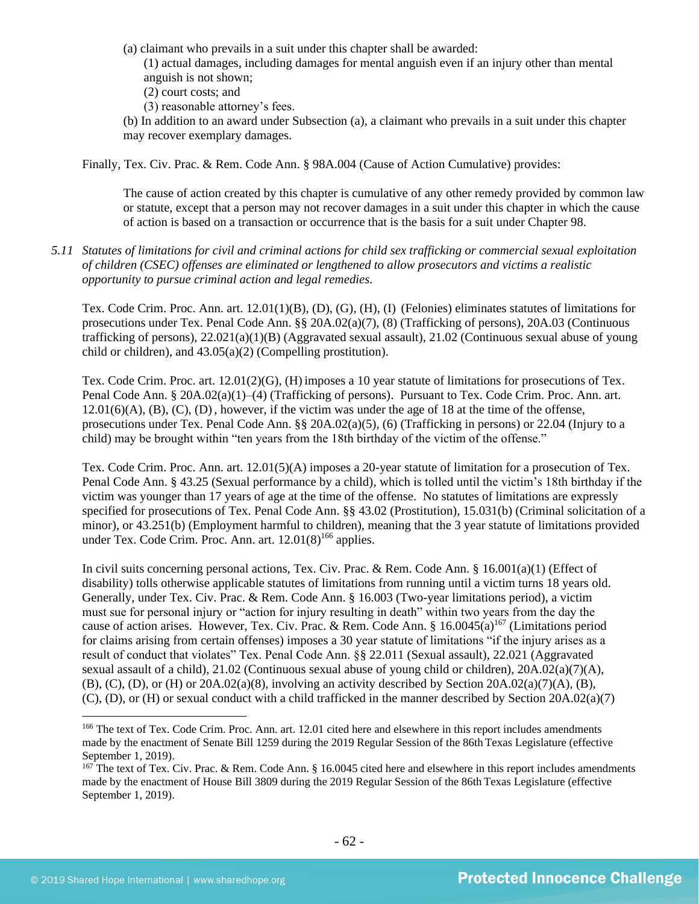(a) claimant who prevails in a suit under this chapter shall be awarded:

(1) actual damages, including damages for mental anguish even if an injury other than mental anguish is not shown;

(2) court costs; and

(3) reasonable attorney's fees.

(b) In addition to an award under Subsection (a), a claimant who prevails in a suit under this chapter may recover exemplary damages.

Finally, Tex. Civ. Prac. & Rem. Code Ann. § 98A.004 (Cause of Action Cumulative) provides:

The cause of action created by this chapter is cumulative of any other remedy provided by common law or statute, except that a person may not recover damages in a suit under this chapter in which the cause of action is based on a transaction or occurrence that is the basis for a suit under Chapter 98.

*5.11 Statutes of limitations for civil and criminal actions for child sex trafficking or commercial sexual exploitation of children (CSEC) offenses are eliminated or lengthened to allow prosecutors and victims a realistic opportunity to pursue criminal action and legal remedies.*

Tex. Code Crim. Proc. Ann. art. 12.01(1)(B), (D), (G), (H), (I) (Felonies) eliminates statutes of limitations for prosecutions under Tex. Penal Code Ann. §§ 20A.02(a)(7), (8) (Trafficking of persons), 20A.03 (Continuous trafficking of persons), 22.021(a)(1)(B) (Aggravated sexual assault), 21.02 (Continuous sexual abuse of young child or children), and 43.05(a)(2) (Compelling prostitution).

Tex. Code Crim. Proc. art. 12.01(2)(G), (H)imposes a 10 year statute of limitations for prosecutions of Tex. Penal Code Ann. § 20A.02(a)(1)–(4) (Trafficking of persons). Pursuant to Tex. Code Crim. Proc. Ann. art.  $12.01(6)(A)$ ,  $(B)$ ,  $(C)$ ,  $(D)$ , however, if the victim was under the age of 18 at the time of the offense, prosecutions under Tex. Penal Code Ann. §§ 20A.02(a)(5), (6) (Trafficking in persons) or 22.04 (Injury to a child) may be brought within "ten years from the 18th birthday of the victim of the offense."

Tex. Code Crim. Proc. Ann. art. 12.01(5)(A) imposes a 20-year statute of limitation for a prosecution of Tex. Penal Code Ann. § 43.25 (Sexual performance by a child), which is tolled until the victim's 18th birthday if the victim was younger than 17 years of age at the time of the offense. No statutes of limitations are expressly specified for prosecutions of Tex. Penal Code Ann. §§ 43.02 (Prostitution), 15.031(b) (Criminal solicitation of a minor), or 43.251(b) (Employment harmful to children), meaning that the 3 year statute of limitations provided under Tex. Code Crim. Proc. Ann. art. 12.01(8)<sup>166</sup> applies.

In civil suits concerning personal actions, Tex. Civ. Prac. & Rem. Code Ann. § 16.001(a)(1) (Effect of disability) tolls otherwise applicable statutes of limitations from running until a victim turns 18 years old. Generally, under Tex. Civ. Prac. & Rem. Code Ann. § 16.003 (Two-year limitations period), a victim must sue for personal injury or "action for injury resulting in death" within two years from the day the cause of action arises. However, Tex. Civ. Prac. & Rem. Code Ann. §  $16.0045(a)^{167}$  (Limitations period for claims arising from certain offenses) imposes a 30 year statute of limitations "if the injury arises as a result of conduct that violates" Tex. Penal Code Ann. §§ 22.011 (Sexual assault), 22.021 (Aggravated sexual assault of a child), 21.02 (Continuous sexual abuse of young child or children), 20A.02(a)(7)(A),  $(B)$ ,  $(C)$ ,  $(D)$ , or  $(H)$  or 20A.02(a)(8), involving an activity described by Section 20A.02(a)(7)(A),  $(B)$ , (C), (D), or (H) or sexual conduct with a child trafficked in the manner described by Section 20A.02(a)(7)

<sup>&</sup>lt;sup>166</sup> The text of Tex. Code Crim. Proc. Ann. art. 12.01 cited here and elsewhere in this report includes amendments made by the enactment of Senate Bill 1259 during the 2019 Regular Session of the 86th Texas Legislature (effective September 1, 2019).

 $167$  The text of Tex. Civ. Prac. & Rem. Code Ann. § 16.0045 cited here and elsewhere in this report includes amendments made by the enactment of House Bill 3809 during the 2019 Regular Session of the 86th Texas Legislature (effective September 1, 2019).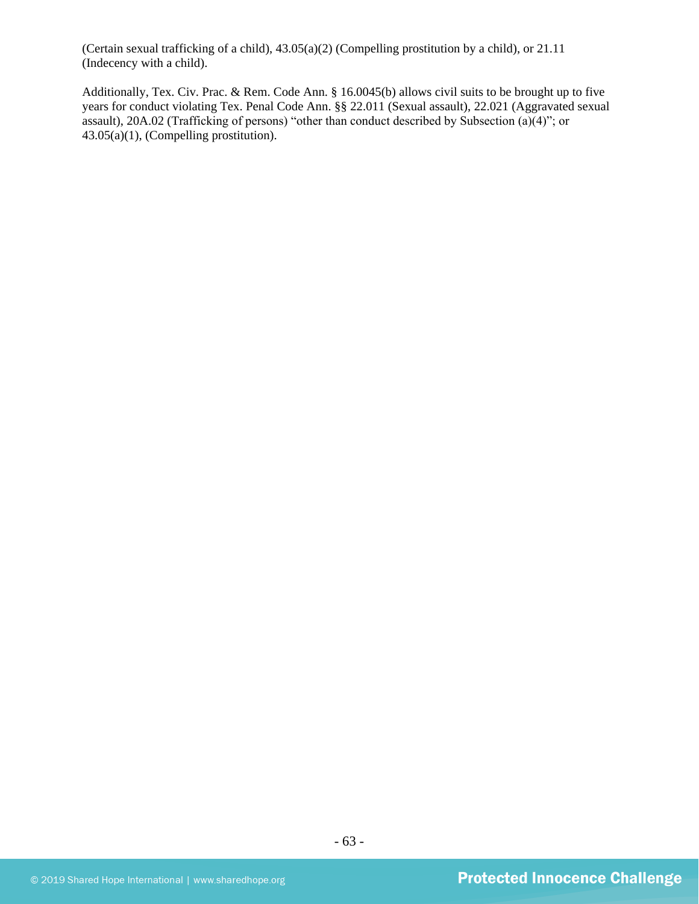(Certain sexual trafficking of a child), 43.05(a)(2) (Compelling prostitution by a child), or 21.11 (Indecency with a child).

Additionally, Tex. Civ. Prac. & Rem. Code Ann. § 16.0045(b) allows civil suits to be brought up to five years for conduct violating Tex. Penal Code Ann. §§ 22.011 (Sexual assault), 22.021 (Aggravated sexual assault), 20A.02 (Trafficking of persons) "other than conduct described by Subsection (a)(4)"; or 43.05(a)(1), (Compelling prostitution).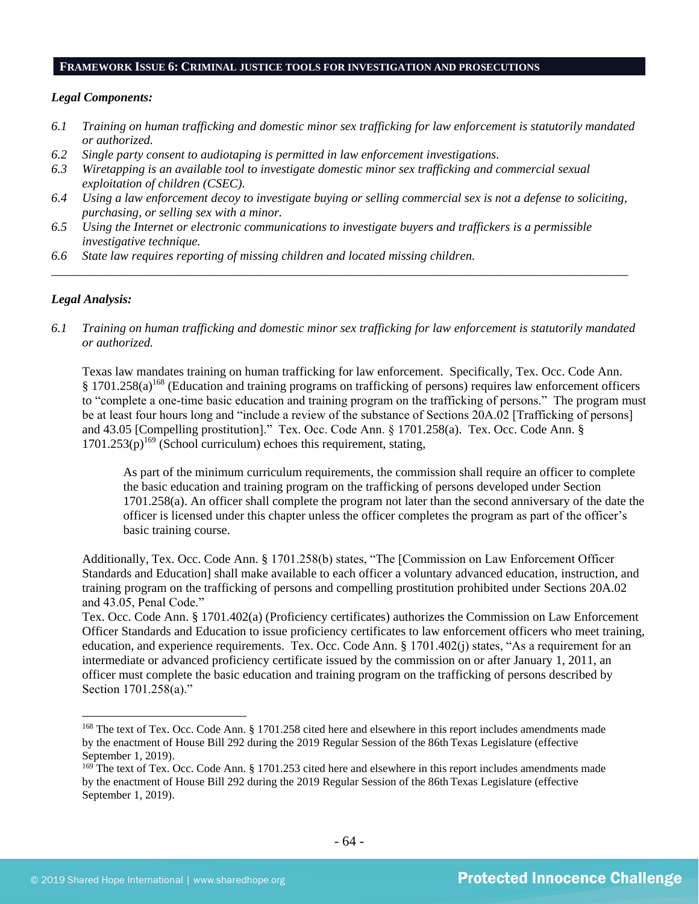#### **FRAMEWORK ISSUE 6: CRIMINAL JUSTICE TOOLS FOR INVESTIGATION AND PROSECUTIONS**

## *Legal Components:*

- *6.1 Training on human trafficking and domestic minor sex trafficking for law enforcement is statutorily mandated or authorized.*
- *6.2 Single party consent to audiotaping is permitted in law enforcement investigations.*
- *6.3 Wiretapping is an available tool to investigate domestic minor sex trafficking and commercial sexual exploitation of children (CSEC).*
- *6.4 Using a law enforcement decoy to investigate buying or selling commercial sex is not a defense to soliciting, purchasing, or selling sex with a minor.*

*\_\_\_\_\_\_\_\_\_\_\_\_\_\_\_\_\_\_\_\_\_\_\_\_\_\_\_\_\_\_\_\_\_\_\_\_\_\_\_\_\_\_\_\_\_\_\_\_\_\_\_\_\_\_\_\_\_\_\_\_\_\_\_\_\_\_\_\_\_\_\_\_\_\_\_\_\_\_\_\_\_\_\_\_\_\_\_\_\_\_\_\_*

- *6.5 Using the Internet or electronic communications to investigate buyers and traffickers is a permissible investigative technique.*
- *6.6 State law requires reporting of missing children and located missing children.*

# *Legal Analysis:*

*6.1 Training on human trafficking and domestic minor sex trafficking for law enforcement is statutorily mandated or authorized.*

Texas law mandates training on human trafficking for law enforcement. Specifically, Tex. Occ. Code Ann.  $§$  1701.258(a)<sup>168</sup> (Education and training programs on trafficking of persons) requires law enforcement officers to "complete a one-time basic education and training program on the trafficking of persons." The program must be at least four hours long and "include a review of the substance of Sections 20A.02 [Trafficking of persons] and 43.05 [Compelling prostitution]." Tex. Occ. Code Ann. § 1701.258(a). Tex. Occ. Code Ann. §  $1701.253(p)^{169}$  (School curriculum) echoes this requirement, stating,

As part of the minimum curriculum requirements, the commission shall require an officer to complete the basic education and training program on the trafficking of persons developed under Section 1701.258(a). An officer shall complete the program not later than the second anniversary of the date the officer is licensed under this chapter unless the officer completes the program as part of the officer's basic training course.

Additionally, Tex. Occ. Code Ann. § 1701.258(b) states, "The [Commission on Law Enforcement Officer Standards and Education] shall make available to each officer a voluntary advanced education, instruction, and training program on the trafficking of persons and compelling prostitution prohibited under Sections 20A.02 and 43.05, Penal Code."

Tex. Occ. Code Ann. § 1701.402(a) (Proficiency certificates) authorizes the Commission on Law Enforcement Officer Standards and Education to issue proficiency certificates to law enforcement officers who meet training, education, and experience requirements. Tex. Occ. Code Ann. § 1701.402(j) states, "As a requirement for an intermediate or advanced proficiency certificate issued by the commission on or after January 1, 2011, an officer must complete the basic education and training program on the trafficking of persons described by Section 1701.258(a)."

<sup>&</sup>lt;sup>168</sup> The text of Tex. Occ. Code Ann. § 1701.258 cited here and elsewhere in this report includes amendments made by the enactment of House Bill 292 during the 2019 Regular Session of the 86th Texas Legislature (effective September 1, 2019).

<sup>169</sup> The text of Tex. Occ. Code Ann. § 1701.253 cited here and elsewhere in this report includes amendments made by the enactment of House Bill 292 during the 2019 Regular Session of the 86th Texas Legislature (effective September 1, 2019).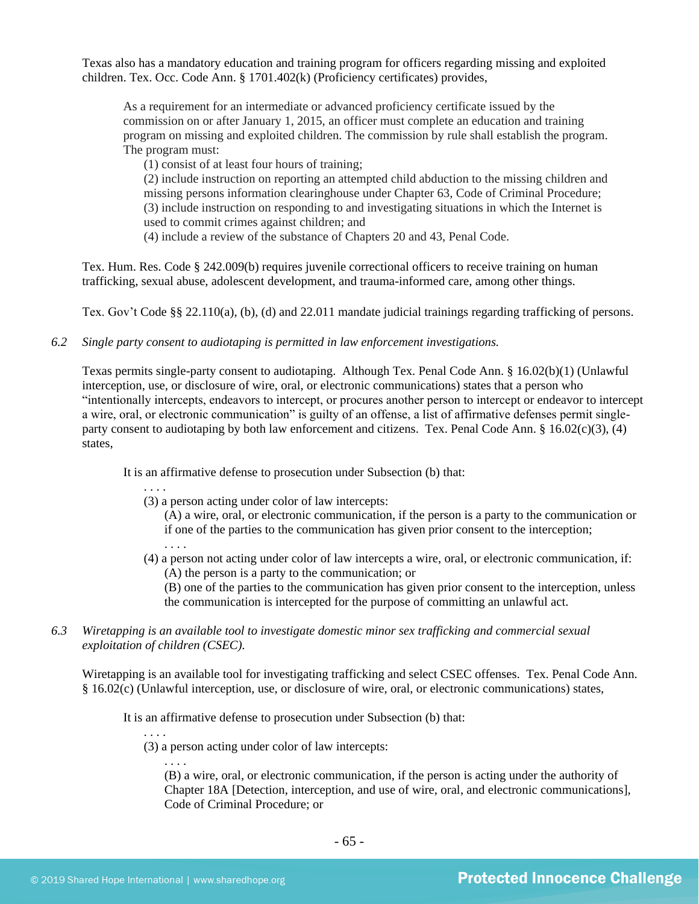Texas also has a mandatory education and training program for officers regarding missing and exploited children. Tex. Occ. Code Ann. § 1701.402(k) (Proficiency certificates) provides,

As a requirement for an intermediate or advanced proficiency certificate issued by the commission on or after January 1, 2015, an officer must complete an education and training program on missing and exploited children. The commission by rule shall establish the program. The program must:

(1) consist of at least four hours of training;

(2) include instruction on reporting an attempted child abduction to the missing children and missing persons information clearinghouse under Chapter 63, Code of Criminal Procedure; (3) include instruction on responding to and investigating situations in which the Internet is used to commit crimes against children; and

(4) include a review of the substance of Chapters 20 and 43, Penal Code.

Tex. Hum. Res. Code § 242.009(b) requires juvenile correctional officers to receive training on human trafficking, sexual abuse, adolescent development, and trauma-informed care, among other things.

Tex. Gov't Code §§ [22.110\(](http://www.statutes.legis.state.tx.us/GetStatute.aspx?Code=GV&Value=22.110&Date=5/26/2015)a), (b), (d) and [22.011](http://www.statutes.legis.state.tx.us/GetStatute.aspx?Code=PE&Value=22.011&Date=5/26/2015) mandate judicial trainings regarding trafficking of persons.

*6.2 Single party consent to audiotaping is permitted in law enforcement investigations.*

Texas permits single-party consent to audiotaping. Although Tex. Penal Code Ann. § 16.02(b)(1) (Unlawful interception, use, or disclosure of wire, oral, or electronic communications) states that a person who "intentionally intercepts, endeavors to intercept, or procures another person to intercept or endeavor to intercept a wire, oral, or electronic communication" is guilty of an offense, a list of affirmative defenses permit singleparty consent to audiotaping by both law enforcement and citizens. Tex. Penal Code Ann. § 16.02(c)(3), (4) states,

It is an affirmative defense to prosecution under Subsection (b) that:

- . . . .
- (3) a person acting under color of law intercepts:

(A) a wire, oral, or electronic communication, if the person is a party to the communication or if one of the parties to the communication has given prior consent to the interception; . . . .

(4) a person not acting under color of law intercepts a wire, oral, or electronic communication, if: (A) the person is a party to the communication; or

(B) one of the parties to the communication has given prior consent to the interception, unless the communication is intercepted for the purpose of committing an unlawful act.

# *6.3 Wiretapping is an available tool to investigate domestic minor sex trafficking and commercial sexual exploitation of children (CSEC).*

Wiretapping is an available tool for investigating trafficking and select CSEC offenses. Tex. Penal Code Ann. § 16.02(c) (Unlawful interception, use, or disclosure of wire, oral, or electronic communications) states,

It is an affirmative defense to prosecution under Subsection (b) that:

. . . . (3) a person acting under color of law intercepts:

(B) a wire, oral, or electronic communication, if the person is acting under the authority of Chapter 18A [Detection, interception, and use of wire, oral, and electronic communications], Code of Criminal Procedure; or

. . . .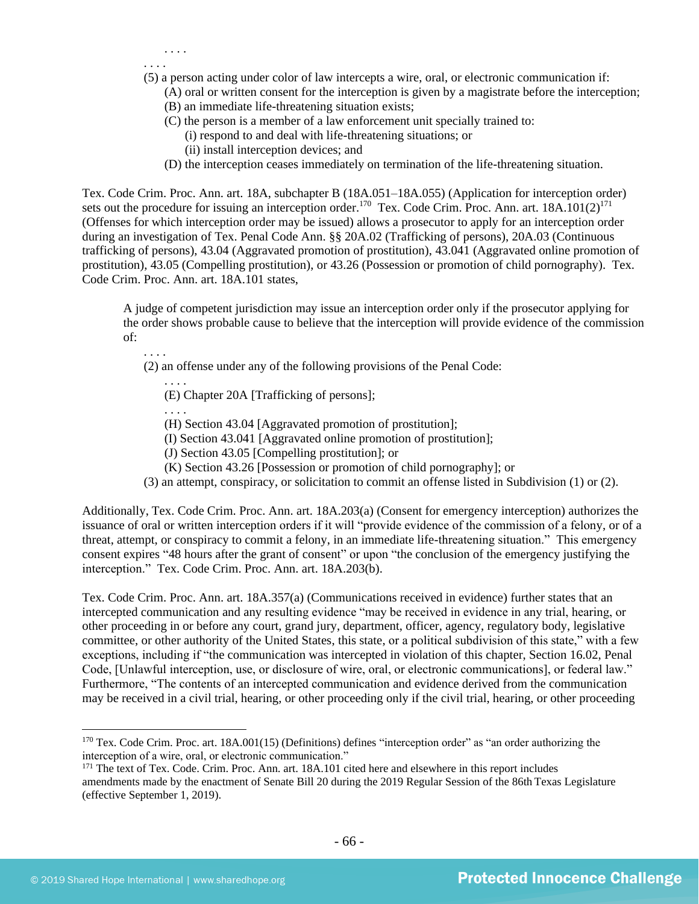. . . . . . . .

. . . .

. . . .

### (5) a person acting under color of law intercepts a wire, oral, or electronic communication if:

(A) oral or written consent for the interception is given by a magistrate before the interception;

- (B) an immediate life-threatening situation exists;
- (C) the person is a member of a law enforcement unit specially trained to:
	- (i) respond to and deal with life-threatening situations; or
	- (ii) install interception devices; and
- (D) the interception ceases immediately on termination of the life-threatening situation.

Tex. Code Crim. Proc. Ann. art. 18A, subchapter B (18A.051–18A.055) (Application for interception order) sets out the procedure for issuing an interception order.<sup>170</sup> Tex. Code Crim. Proc. Ann. art. 18A.101(2)<sup>171</sup> (Offenses for which interception order may be issued) allows a prosecutor to apply for an interception order during an investigation of Tex. Penal Code Ann. §§ 20A.02 (Trafficking of persons), 20A.03 (Continuous trafficking of persons), 43.04 (Aggravated promotion of prostitution), 43.041 (Aggravated online promotion of prostitution), 43.05 (Compelling prostitution), or 43.26 (Possession or promotion of child pornography). Tex. Code Crim. Proc. Ann. art. 18A.101 states,

A judge of competent jurisdiction may issue an interception order only if the prosecutor applying for the order shows probable cause to believe that the interception will provide evidence of the commission of:

(2) an offense under any of the following provisions of the Penal Code:

(E) Chapter 20A [Trafficking of persons];

. . . . (H) Section 43.04 [Aggravated promotion of prostitution];

(I) Section 43.041 [Aggravated online promotion of prostitution];

(J) Section 43.05 [Compelling prostitution]; or

- (K) Section 43.26 [Possession or promotion of child pornography]; or
- (3) an attempt, conspiracy, or solicitation to commit an offense listed in Subdivision (1) or (2).

Additionally, Tex. Code Crim. Proc. Ann. art. 18A.203(a) (Consent for emergency interception) authorizes the issuance of oral or written interception orders if it will "provide evidence of the commission of a felony, or of a threat, attempt, or conspiracy to commit a felony, in an immediate life-threatening situation." This emergency consent expires "48 hours after the grant of consent" or upon "the conclusion of the emergency justifying the interception." Tex. Code Crim. Proc. Ann. art. 18A.203(b).

Tex. Code Crim. Proc. Ann. art. 18A.357(a) (Communications received in evidence) further states that an intercepted communication and any resulting evidence "may be received in evidence in any trial, hearing, or other proceeding in or before any court, grand jury, department, officer, agency, regulatory body, legislative committee, or other authority of the United States, this state, or a political subdivision of this state," with a few exceptions, including if "the communication was intercepted in violation of this chapter, Section 16.02, Penal Code, [Unlawful interception, use, or disclosure of wire, oral, or electronic communications], or federal law." Furthermore, "The contents of an intercepted communication and evidence derived from the communication may be received in a civil trial, hearing, or other proceeding only if the civil trial, hearing, or other proceeding

<sup>&</sup>lt;sup>170</sup> Tex. Code Crim. Proc. art. 18A.001(15) (Definitions) defines "interception order" as "an order authorizing the interception of a wire, oral, or electronic communication."

<sup>&</sup>lt;sup>171</sup> The text of Tex. Code. Crim. Proc. Ann. art. 18A.101 cited here and elsewhere in this report includes amendments made by the enactment of Senate Bill 20 during the 2019 Regular Session of the 86th Texas Legislature (effective September 1, 2019).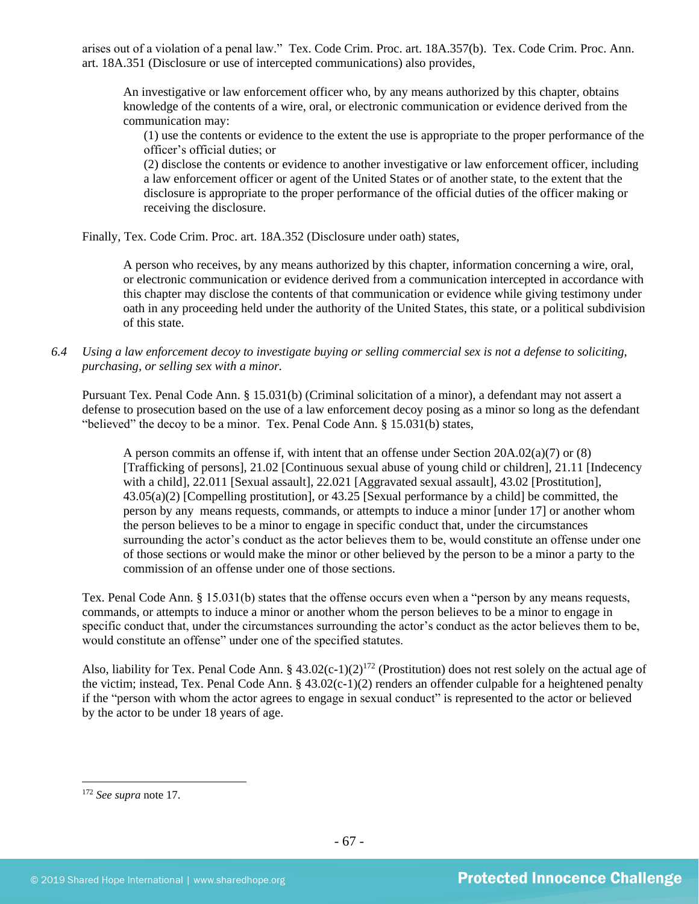arises out of a violation of a penal law." Tex. Code Crim. Proc. art. 18A.357(b). Tex. Code Crim. Proc. Ann. art. 18A.351 (Disclosure or use of intercepted communications) also provides,

An investigative or law enforcement officer who, by any means authorized by this chapter, obtains knowledge of the contents of a wire, oral, or electronic communication or evidence derived from the communication may:

(1) use the contents or evidence to the extent the use is appropriate to the proper performance of the officer's official duties; or

(2) disclose the contents or evidence to another investigative or law enforcement officer, including a law enforcement officer or agent of the United States or of another state, to the extent that the disclosure is appropriate to the proper performance of the official duties of the officer making or receiving the disclosure.

Finally, Tex. Code Crim. Proc. art. 18A.352 (Disclosure under oath) states,

A person who receives, by any means authorized by this chapter, information concerning a wire, oral, or electronic communication or evidence derived from a communication intercepted in accordance with this chapter may disclose the contents of that communication or evidence while giving testimony under oath in any proceeding held under the authority of the United States, this state, or a political subdivision of this state.

*6.4 Using a law enforcement decoy to investigate buying or selling commercial sex is not a defense to soliciting, purchasing, or selling sex with a minor.*

Pursuant Tex. Penal Code Ann. § 15.031(b) (Criminal solicitation of a minor), a defendant may not assert a defense to prosecution based on the use of a law enforcement decoy posing as a minor so long as the defendant "believed" the decoy to be a minor. Tex. Penal Code Ann. § 15.031(b) states,

A person commits an offense if, with intent that an offense under Section 20A.02(a)(7) or (8) [Trafficking of persons], 21.02 [Continuous sexual abuse of young child or children], 21.11 [Indecency with a child], 22.011 [Sexual assault], 22.021 [Aggravated sexual assault], 43.02 [Prostitution], 43.05(a)(2) [Compelling prostitution], or 43.25 [Sexual performance by a child] be committed, the person by any means requests, commands, or attempts to induce a minor [under 17] or another whom the person believes to be a minor to engage in specific conduct that, under the circumstances surrounding the actor's conduct as the actor believes them to be, would constitute an offense under one of those sections or would make the minor or other believed by the person to be a minor a party to the commission of an offense under one of those sections.

Tex. Penal Code Ann. § 15.031(b) states that the offense occurs even when a "person by any means requests, commands, or attempts to induce a minor or another whom the person believes to be a minor to engage in specific conduct that, under the circumstances surrounding the actor's conduct as the actor believes them to be, would constitute an offense" under one of the specified statutes.

Also, liability for Tex. Penal Code Ann.  $\S 43.02(c-1)(2)^{172}$  (Prostitution) does not rest solely on the actual age of the victim; instead, Tex. Penal Code Ann. § 43.02(c-1)(2) renders an offender culpable for a heightened penalty if the "person with whom the actor agrees to engage in sexual conduct" is represented to the actor or believed by the actor to be under 18 years of age.

<sup>172</sup> *See supra* not[e 17.](#page-4-0)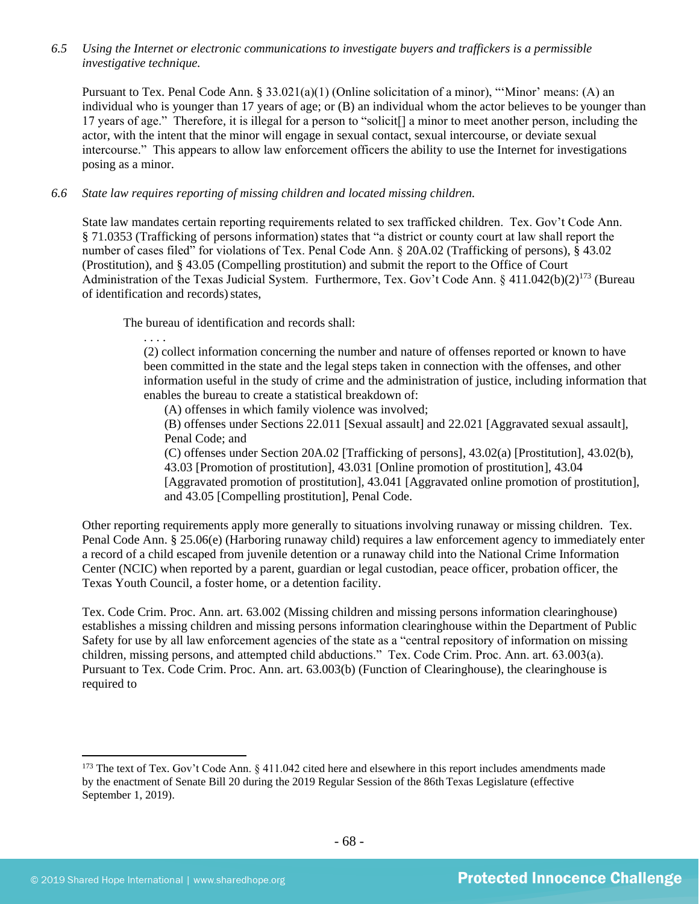*6.5 Using the Internet or electronic communications to investigate buyers and traffickers is a permissible investigative technique.*

Pursuant to Tex. Penal Code Ann. § 33.021(a)(1) (Online solicitation of a minor), "'Minor' means: (A) an individual who is younger than 17 years of age; or (B) an individual whom the actor believes to be younger than 17 years of age." Therefore, it is illegal for a person to "solicit[] a minor to meet another person, including the actor, with the intent that the minor will engage in sexual contact, sexual intercourse, or deviate sexual intercourse." This appears to allow law enforcement officers the ability to use the Internet for investigations posing as a minor.

### *6.6 State law requires reporting of missing children and located missing children.*

State law mandates certain reporting requirements related to sex trafficked children. Tex. Gov't Code Ann. § 71.0353 (Trafficking of persons information) states that "a district or county court at law shall report the number of cases filed" for violations of Tex. Penal Code Ann. § 20A.02 (Trafficking of persons), § 43.02 (Prostitution), and § 43.05 (Compelling prostitution) and submit the report to the Office of Court Administration of the Texas Judicial System. Furthermore, Tex. Gov't Code Ann. § 411.042(b)(2)<sup>173</sup> (Bureau of identification and records) states,

The bureau of identification and records shall:

. . . .

(2) collect information concerning the number and nature of offenses reported or known to have been committed in the state and the legal steps taken in connection with the offenses, and other information useful in the study of crime and the administration of justice, including information that enables the bureau to create a statistical breakdown of:

(A) offenses in which family violence was involved;

(B) offenses under Sections 22.011 [Sexual assault] and 22.021 [Aggravated sexual assault], Penal Code; and

(C) offenses under Section 20A.02 [Trafficking of persons], 43.02(a) [Prostitution], 43.02(b), 43.03 [Promotion of prostitution], 43.031 [Online promotion of prostitution], 43.04 [Aggravated promotion of prostitution], 43.041 [Aggravated online promotion of prostitution], and 43.05 [Compelling prostitution], Penal Code.

Other reporting requirements apply more generally to situations involving runaway or missing children. Tex. Penal Code Ann. § 25.06(e) (Harboring runaway child) requires a law enforcement agency to immediately enter a record of a child escaped from juvenile detention or a runaway child into the National Crime Information Center (NCIC) when reported by a parent, guardian or legal custodian, peace officer, probation officer, the Texas Youth Council, a foster home, or a detention facility.

Tex. Code Crim. Proc. Ann. art. 63.002 (Missing children and missing persons information clearinghouse) establishes a missing children and missing persons information clearinghouse within the Department of Public Safety for use by all law enforcement agencies of the state as a "central repository of information on missing children, missing persons, and attempted child abductions." Tex. Code Crim. Proc. Ann. art. 63.003(a). Pursuant to Tex. Code Crim. Proc. Ann. art. 63.003(b) (Function of Clearinghouse), the clearinghouse is required to

<sup>173</sup> The text of Tex. Gov't Code Ann. § 411.042 cited here and elsewhere in this report includes amendments made by the enactment of Senate Bill 20 during the 2019 Regular Session of the 86th Texas Legislature (effective September 1, 2019).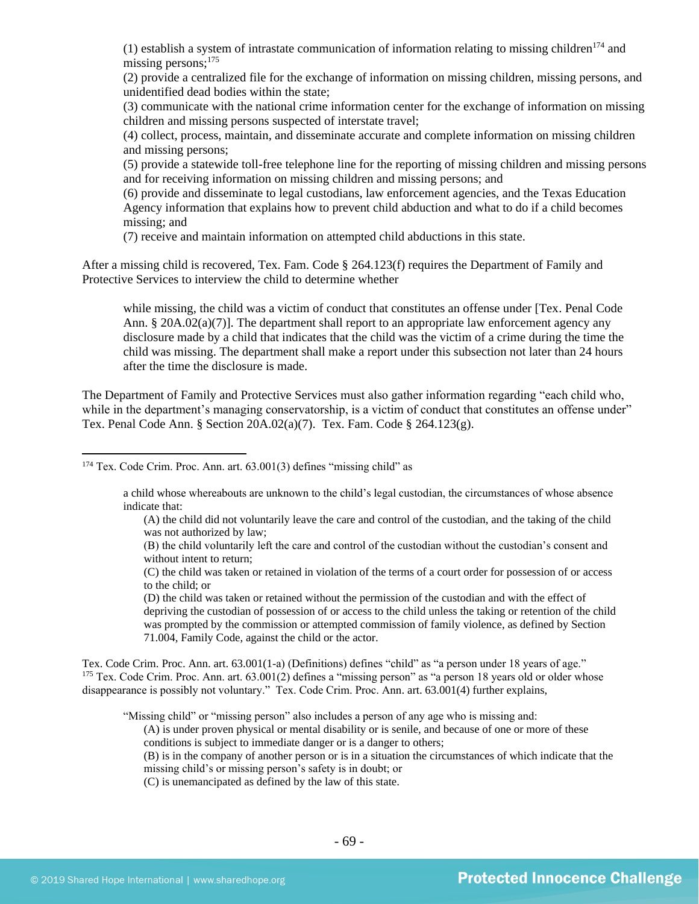(1) establish a system of intrastate communication of information relating to missing children<sup>174</sup> and missing persons:<sup>175</sup>

(2) provide a centralized file for the exchange of information on missing children, missing persons, and unidentified dead bodies within the state;

(3) communicate with the national crime information center for the exchange of information on missing children and missing persons suspected of interstate travel;

(4) collect, process, maintain, and disseminate accurate and complete information on missing children and missing persons;

(5) provide a statewide toll-free telephone line for the reporting of missing children and missing persons and for receiving information on missing children and missing persons; and

(6) provide and disseminate to legal custodians, law enforcement agencies, and the Texas Education Agency information that explains how to prevent child abduction and what to do if a child becomes missing; and

(7) receive and maintain information on attempted child abductions in this state.

After a missing child is recovered, Tex. Fam. Code § 264.123(f) requires the Department of Family and Protective Services to interview the child to determine whether

while missing, the child was a victim of conduct that constitutes an offense under [Tex. Penal Code Ann.  $\S 20A.02(a)(7)$ . The department shall report to an appropriate law enforcement agency any disclosure made by a child that indicates that the child was the victim of a crime during the time the child was missing. The department shall make a report under this subsection not later than 24 hours after the time the disclosure is made.

The Department of Family and Protective Services must also gather information regarding "each child who, while in the department's managing conservatorship, is a victim of conduct that constitutes an offense under" Tex. Penal Code Ann. § Section 20A.02(a)(7). Tex. Fam. Code § 264.123(g).

 $174$  Tex. Code Crim. Proc. Ann. art.  $63.001(3)$  defines "missing child" as

a child whose whereabouts are unknown to the child's legal custodian, the circumstances of whose absence indicate that:

(A) the child did not voluntarily leave the care and control of the custodian, and the taking of the child was not authorized by law;

(B) the child voluntarily left the care and control of the custodian without the custodian's consent and without intent to return;

(C) the child was taken or retained in violation of the terms of a court order for possession of or access to the child; or

(D) the child was taken or retained without the permission of the custodian and with the effect of depriving the custodian of possession of or access to the child unless the taking or retention of the child was prompted by the commission or attempted commission of family violence, as defined by Section 71.004, Family Code, against the child or the actor.

Tex. Code Crim. Proc. Ann. art. 63.001(1-a) (Definitions) defines "child" as "a person under 18 years of age."  $175$  Tex. Code Crim. Proc. Ann. art.  $63.001(2)$  defines a "missing person" as "a person 18 years old or older whose disappearance is possibly not voluntary." Tex. Code Crim. Proc. Ann. art. 63.001(4) further explains,

"Missing child" or "missing person" also includes a person of any age who is missing and:

(A) is under proven physical or mental disability or is senile, and because of one or more of these conditions is subject to immediate danger or is a danger to others;

(B) is in the company of another person or is in a situation the circumstances of which indicate that the missing child's or missing person's safety is in doubt; or

(C) is unemancipated as defined by the law of this state.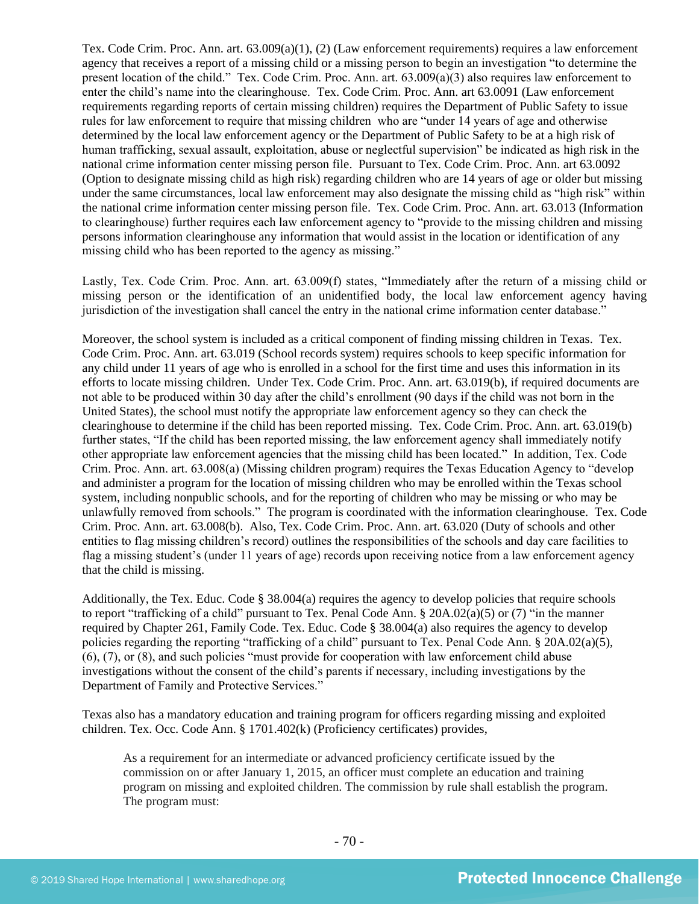Tex. Code Crim. Proc. Ann. art. 63.009(a)(1), (2) (Law enforcement requirements) requires a law enforcement agency that receives a report of a missing child or a missing person to begin an investigation "to determine the present location of the child." Tex. Code Crim. Proc. Ann. art. 63.009(a)(3) also requires law enforcement to enter the child's name into the clearinghouse. Tex. Code Crim. Proc. Ann. art 63.0091 (Law enforcement requirements regarding reports of certain missing children) requires the Department of Public Safety to issue rules for law enforcement to require that missing children who are "under 14 years of age and otherwise determined by the local law enforcement agency or the Department of Public Safety to be at a high risk of human trafficking, sexual assault, exploitation, abuse or neglectful supervision" be indicated as high risk in the national crime information center missing person file. Pursuant to Tex. Code Crim. Proc. Ann. art 63.0092 (Option to designate missing child as high risk) regarding children who are 14 years of age or older but missing under the same circumstances, local law enforcement may also designate the missing child as "high risk" within the national crime information center missing person file. Tex. Code Crim. Proc. Ann. art. 63.013 (Information to clearinghouse) further requires each law enforcement agency to "provide to the missing children and missing persons information clearinghouse any information that would assist in the location or identification of any missing child who has been reported to the agency as missing."

Lastly, Tex. Code Crim. Proc. Ann. art. 63.009(f) states, "Immediately after the return of a missing child or missing person or the identification of an unidentified body, the local law enforcement agency having jurisdiction of the investigation shall cancel the entry in the national crime information center database."

Moreover, the school system is included as a critical component of finding missing children in Texas. Tex. Code Crim. Proc. Ann. art. 63.019 (School records system) requires schools to keep specific information for any child under 11 years of age who is enrolled in a school for the first time and uses this information in its efforts to locate missing children. Under Tex. Code Crim. Proc. Ann. art. 63.019(b), if required documents are not able to be produced within 30 day after the child's enrollment (90 days if the child was not born in the United States), the school must notify the appropriate law enforcement agency so they can check the clearinghouse to determine if the child has been reported missing. Tex. Code Crim. Proc. Ann. art. 63.019(b) further states, "If the child has been reported missing, the law enforcement agency shall immediately notify other appropriate law enforcement agencies that the missing child has been located." In addition, Tex. Code Crim. Proc. Ann. art. 63.008(a) (Missing children program) requires the Texas Education Agency to "develop and administer a program for the location of missing children who may be enrolled within the Texas school system, including nonpublic schools, and for the reporting of children who may be missing or who may be unlawfully removed from schools." The program is coordinated with the information clearinghouse. Tex. Code Crim. Proc. Ann. art. 63.008(b). Also, Tex. Code Crim. Proc. Ann. art. 63.020 (Duty of schools and other entities to flag missing children's record) outlines the responsibilities of the schools and day care facilities to flag a missing student's (under 11 years of age) records upon receiving notice from a law enforcement agency that the child is missing.

Additionally, the Tex. Educ. Code § 38.004(a) requires the agency to develop policies that require schools to report "trafficking of a child" pursuant to Tex. Penal Code Ann. § 20A.02(a)(5) or (7) "in the manner required by Chapter 261, Family Code. Tex. Educ. Code § 38.004(a) also requires the agency to develop policies regarding the reporting "trafficking of a child" pursuant to Tex. Penal Code Ann. § 20A.02(a)(5), (6), (7), or (8), and such policies "must provide for cooperation with law enforcement child abuse investigations without the consent of the child's parents if necessary, including investigations by the Department of Family and Protective Services."

Texas also has a mandatory education and training program for officers regarding missing and exploited children. Tex. Occ. Code Ann. § 1701.402(k) (Proficiency certificates) provides,

As a requirement for an intermediate or advanced proficiency certificate issued by the commission on or after January 1, 2015, an officer must complete an education and training program on missing and exploited children. The commission by rule shall establish the program. The program must: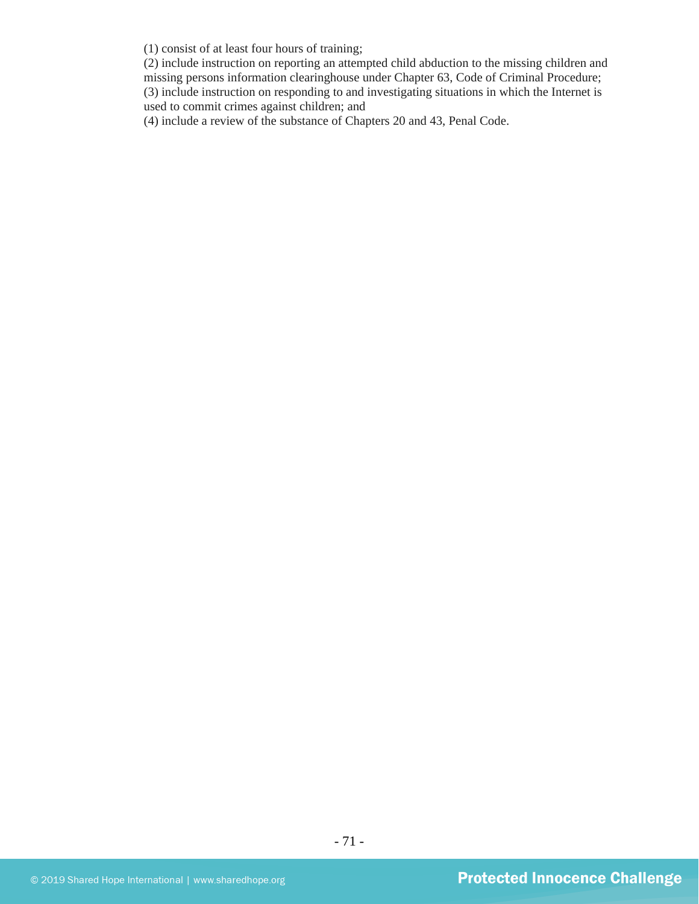(1) consist of at least four hours of training;

(2) include instruction on reporting an attempted child abduction to the missing children and missing persons information clearinghouse under Chapter 63, Code of Criminal Procedure; (3) include instruction on responding to and investigating situations in which the Internet is used to commit crimes against children; and

(4) include a review of the substance of Chapters 20 and 43, Penal Code.